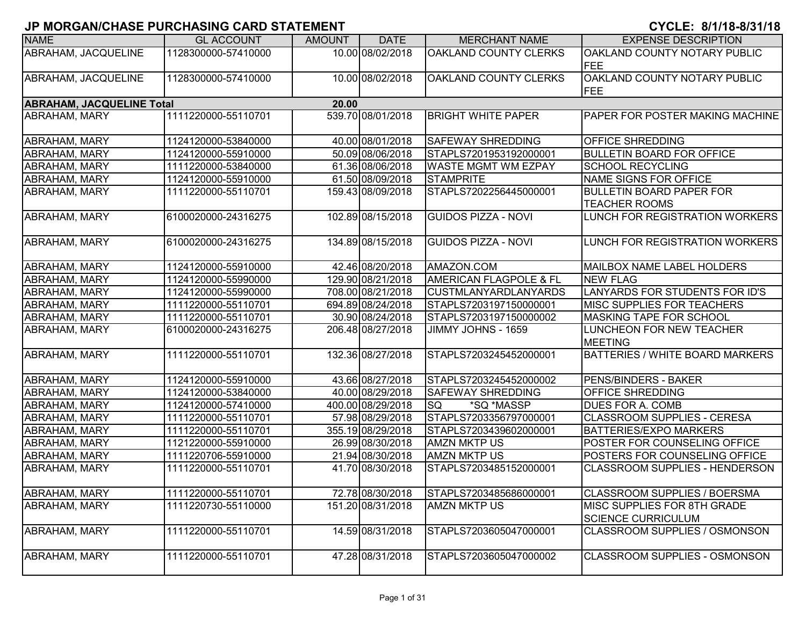| <b>NAME</b>                               | <b>GL ACCOUNT</b>   | <b>AMOUNT</b> | <b>DATE</b>       | <b>MERCHANT NAME</b>              | <b>EXPENSE DESCRIPTION</b>                               |  |  |  |  |  |
|-------------------------------------------|---------------------|---------------|-------------------|-----------------------------------|----------------------------------------------------------|--|--|--|--|--|
| ABRAHAM, JACQUELINE                       | 1128300000-57410000 |               | 10.00 08/02/2018  | OAKLAND COUNTY CLERKS             | OAKLAND COUNTY NOTARY PUBLIC<br>FEE                      |  |  |  |  |  |
| ABRAHAM, JACQUELINE                       | 1128300000-57410000 |               | 10.00 08/02/2018  | OAKLAND COUNTY CLERKS             | OAKLAND COUNTY NOTARY PUBLIC<br><b>FEE</b>               |  |  |  |  |  |
| <b>ABRAHAM, JACQUELINE Total</b><br>20.00 |                     |               |                   |                                   |                                                          |  |  |  |  |  |
| ABRAHAM, MARY                             | 1111220000-55110701 |               | 539.70 08/01/2018 | <b>BRIGHT WHITE PAPER</b>         | <b>PAPER FOR POSTER MAKING MACHINE</b>                   |  |  |  |  |  |
| <b>ABRAHAM, MARY</b>                      | 1124120000-53840000 |               | 40.00 08/01/2018  | <b>SAFEWAY SHREDDING</b>          | <b>OFFICE SHREDDING</b>                                  |  |  |  |  |  |
| ABRAHAM, MARY                             | 1124120000-55910000 |               | 50.09 08/06/2018  | STAPLS7201953192000001            | <b>BULLETIN BOARD FOR OFFICE</b>                         |  |  |  |  |  |
| ABRAHAM, MARY                             | 1111220000-53840000 |               | 61.36 08/06/2018  | <b>WASTE MGMT WM EZPAY</b>        | <b>SCHOOL RECYCLING</b>                                  |  |  |  |  |  |
| ABRAHAM, MARY                             | 1124120000-55910000 |               | 61.50 08/09/2018  | <b>STAMPRITE</b>                  | NAME SIGNS FOR OFFICE                                    |  |  |  |  |  |
| ABRAHAM, MARY                             | 1111220000-55110701 |               | 159.43 08/09/2018 | STAPLS7202256445000001            | <b>BULLETIN BOARD PAPER FOR</b><br><b>TEACHER ROOMS</b>  |  |  |  |  |  |
| <b>ABRAHAM, MARY</b>                      | 6100020000-24316275 |               | 102.89 08/15/2018 | <b>GUIDOS PIZZA - NOVI</b>        | LUNCH FOR REGISTRATION WORKERS                           |  |  |  |  |  |
| ABRAHAM, MARY                             | 6100020000-24316275 |               | 134.89 08/15/2018 | <b>GUIDOS PIZZA - NOVI</b>        | LUNCH FOR REGISTRATION WORKERS                           |  |  |  |  |  |
| ABRAHAM, MARY                             | 1124120000-55910000 |               | 42.46 08/20/2018  | AMAZON.COM                        | MAILBOX NAME LABEL HOLDERS                               |  |  |  |  |  |
| <b>ABRAHAM, MARY</b>                      | 1124120000-55990000 |               | 129.90 08/21/2018 | <b>AMERICAN FLAGPOLE &amp; FL</b> | <b>NEW FLAG</b>                                          |  |  |  |  |  |
| ABRAHAM, MARY                             | 1124120000-55990000 |               | 708.00 08/21/2018 | <b>CUSTMLANYARDLANYARDS</b>       | LANYARDS FOR STUDENTS FOR ID'S                           |  |  |  |  |  |
| ABRAHAM, MARY                             | 1111220000-55110701 |               | 694.89 08/24/2018 | STAPLS7203197150000001            | <b>MISC SUPPLIES FOR TEACHERS</b>                        |  |  |  |  |  |
| ABRAHAM, MARY                             | 1111220000-55110701 |               | 30.90 08/24/2018  | STAPLS7203197150000002            | <b>MASKING TAPE FOR SCHOOL</b>                           |  |  |  |  |  |
| <b>ABRAHAM, MARY</b>                      | 6100020000-24316275 |               | 206.48 08/27/2018 | JIMMY JOHNS - 1659                | LUNCHEON FOR NEW TEACHER<br><b>MEETING</b>               |  |  |  |  |  |
| <b>ABRAHAM, MARY</b>                      | 1111220000-55110701 |               | 132.36 08/27/2018 | STAPLS7203245452000001            | <b>BATTERIES / WHITE BOARD MARKERS</b>                   |  |  |  |  |  |
| ABRAHAM, MARY                             | 1124120000-55910000 |               | 43.66 08/27/2018  | STAPLS7203245452000002            | <b>PENS/BINDERS - BAKER</b>                              |  |  |  |  |  |
| ABRAHAM, MARY                             | 1124120000-53840000 |               | 40.00 08/29/2018  | SAFEWAY SHREDDING                 | OFFICE SHREDDING                                         |  |  |  |  |  |
| ABRAHAM, MARY                             | 1124120000-57410000 |               | 400.00 08/29/2018 | *SQ *MASSP<br><b>SQ</b>           | DUES FOR A. COMB                                         |  |  |  |  |  |
| <b>ABRAHAM, MARY</b>                      | 1111220000-55110701 |               | 57.98 08/29/2018  | STAPLS7203356797000001            | <b>CLASSROOM SUPPLIES - CERESA</b>                       |  |  |  |  |  |
| <b>ABRAHAM, MARY</b>                      | 1111220000-55110701 |               | 355.19 08/29/2018 | STAPLS7203439602000001            | <b>BATTERIES/EXPO MARKERS</b>                            |  |  |  |  |  |
| <b>ABRAHAM, MARY</b>                      | 1121220000-55910000 |               | 26.99 08/30/2018  | <b>AMZN MKTP US</b>               | POSTER FOR COUNSELING OFFICE                             |  |  |  |  |  |
| <b>ABRAHAM, MARY</b>                      | 1111220706-55910000 |               | 21.94 08/30/2018  | <b>AMZN MKTP US</b>               | POSTERS FOR COUNSELING OFFICE                            |  |  |  |  |  |
| <b>ABRAHAM, MARY</b>                      | 1111220000-55110701 |               | 41.70 08/30/2018  | STAPLS7203485152000001            | <b>CLASSROOM SUPPLIES - HENDERSON</b>                    |  |  |  |  |  |
| <b>ABRAHAM, MARY</b>                      | 1111220000-55110701 |               | 72.78 08/30/2018  | STAPLS7203485686000001            | <b>CLASSROOM SUPPLIES / BOERSMA</b>                      |  |  |  |  |  |
| ABRAHAM, MARY                             | 1111220730-55110000 |               | 151.20 08/31/2018 | <b>AMZN MKTP US</b>               | MISC SUPPLIES FOR 8TH GRADE<br><b>SCIENCE CURRICULUM</b> |  |  |  |  |  |
| <b>ABRAHAM, MARY</b>                      | 1111220000-55110701 |               | 14.59 08/31/2018  | STAPLS7203605047000001            | <b>CLASSROOM SUPPLIES / OSMONSON</b>                     |  |  |  |  |  |
| <b>ABRAHAM, MARY</b>                      | 1111220000-55110701 |               | 47.28 08/31/2018  | STAPLS7203605047000002            | CLASSROOM SUPPLIES - OSMONSON                            |  |  |  |  |  |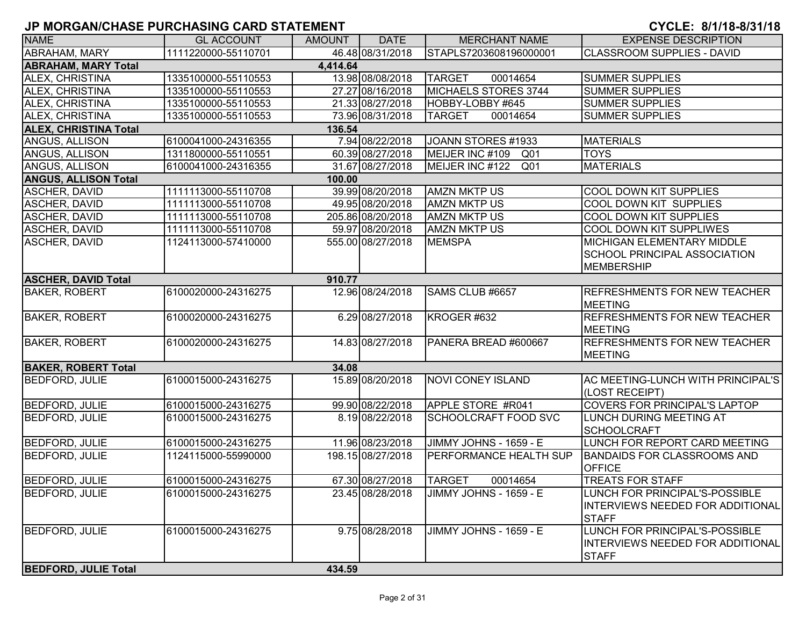| <b>NAME</b>                  | <b>GL ACCOUNT</b>   | AMOUNT   | <b>DATE</b>       | <b>MERCHANT NAME</b>               | <b>EXPENSE DESCRIPTION</b>                            |
|------------------------------|---------------------|----------|-------------------|------------------------------------|-------------------------------------------------------|
| <b>ABRAHAM, MARY</b>         | 1111220000-55110701 |          | 46.48 08/31/2018  | STAPLS7203608196000001             | <b>CLASSROOM SUPPLIES - DAVID</b>                     |
| <b>ABRAHAM, MARY Total</b>   |                     | 4,414.64 |                   |                                    |                                                       |
| ALEX, CHRISTINA              | 1335100000-55110553 |          | 13.98 08/08/2018  | <b>TARGET</b><br>00014654          | <b>SUMMER SUPPLIES</b>                                |
| ALEX, CHRISTINA              | 1335100000-55110553 |          | 27.27 08/16/2018  | MICHAELS STORES 3744               | <b>SUMMER SUPPLIES</b>                                |
| ALEX, CHRISTINA              | 1335100000-55110553 |          | 21.33 08/27/2018  | HOBBY-LOBBY #645                   | <b>SUMMER SUPPLIES</b>                                |
| ALEX, CHRISTINA              | 1335100000-55110553 |          | 73.96 08/31/2018  | <b>TARGET</b><br>00014654          | <b>SUMMER SUPPLIES</b>                                |
| <b>ALEX, CHRISTINA Total</b> |                     | 136.54   |                   |                                    |                                                       |
| ANGUS, ALLISON               | 6100041000-24316355 |          | 7.94 08/22/2018   | JOANN STORES #1933                 | <b>MATERIALS</b>                                      |
| ANGUS, ALLISON               | 1311800000-55110551 |          | 60.39 08/27/2018  | MEIJER INC #109<br>Q <sub>01</sub> | <b>TOYS</b>                                           |
| ANGUS, ALLISON               | 6100041000-24316355 |          | 31.67 08/27/2018  | MEIJER INC #122<br>Q <sub>01</sub> | <b>MATERIALS</b>                                      |
| <b>ANGUS, ALLISON Total</b>  |                     | 100.00   |                   |                                    |                                                       |
| <b>ASCHER, DAVID</b>         | 1111113000-55110708 |          | 39.99 08/20/2018  | <b>AMZN MKTP US</b>                | <b>COOL DOWN KIT SUPPLIES</b>                         |
| <b>ASCHER, DAVID</b>         | 1111113000-55110708 |          | 49.95 08/20/2018  | <b>AMZN MKTP US</b>                | <b>COOL DOWN KIT SUPPLIES</b>                         |
| <b>ASCHER, DAVID</b>         | 1111113000-55110708 |          | 205.86 08/20/2018 | <b>AMZN MKTP US</b>                | <b>COOL DOWN KIT SUPPLIES</b>                         |
| <b>ASCHER, DAVID</b>         | 1111113000-55110708 |          | 59.97 08/20/2018  | <b>AMZN MKTP US</b>                | <b>COOL DOWN KIT SUPPLIWES</b>                        |
| <b>ASCHER, DAVID</b>         | 1124113000-57410000 |          | 555.00 08/27/2018 | <b>MEMSPA</b>                      | <b>MICHIGAN ELEMENTARY MIDDLE</b>                     |
|                              |                     |          |                   |                                    | <b>SCHOOL PRINCIPAL ASSOCIATION</b>                   |
|                              |                     |          |                   |                                    | <b>MEMBERSHIP</b>                                     |
| <b>ASCHER, DAVID Total</b>   |                     | 910.77   |                   |                                    |                                                       |
| <b>BAKER, ROBERT</b>         | 6100020000-24316275 |          | 12.96 08/24/2018  | SAMS CLUB #6657                    | <b>REFRESHMENTS FOR NEW TEACHER</b><br><b>MEETING</b> |
| <b>BAKER, ROBERT</b>         | 6100020000-24316275 |          | 6.29 08/27/2018   | KROGER #632                        | <b>REFRESHMENTS FOR NEW TEACHER</b><br><b>MEETING</b> |
| <b>BAKER, ROBERT</b>         | 6100020000-24316275 |          | 14.83 08/27/2018  | PANERA BREAD #600667               | <b>REFRESHMENTS FOR NEW TEACHER</b><br><b>MEETING</b> |
| <b>BAKER, ROBERT Total</b>   |                     | 34.08    |                   |                                    |                                                       |
| <b>BEDFORD, JULIE</b>        | 6100015000-24316275 |          | 15.89 08/20/2018  | <b>NOVI CONEY ISLAND</b>           | AC MEETING-LUNCH WITH PRINCIPAL'S<br>(LOST RECEIPT)   |
| <b>BEDFORD, JULIE</b>        | 6100015000-24316275 |          | 99.90 08/22/2018  | APPLE STORE #R041                  | <b>COVERS FOR PRINCIPAL'S LAPTOP</b>                  |
| <b>BEDFORD, JULIE</b>        | 6100015000-24316275 |          | 8.19 08/22/2018   | SCHOOLCRAFT FOOD SVC               | <b>LUNCH DURING MEETING AT</b><br><b>SCHOOLCRAFT</b>  |
| <b>BEDFORD, JULIE</b>        | 6100015000-24316275 |          | 11.96 08/23/2018  | JIMMY JOHNS - 1659 - E             | LUNCH FOR REPORT CARD MEETING                         |
| <b>BEDFORD, JULIE</b>        | 1124115000-55990000 |          | 198.15 08/27/2018 | PERFORMANCE HEALTH SUP             | <b>BANDAIDS FOR CLASSROOMS AND</b><br><b>OFFICE</b>   |
| <b>BEDFORD, JULIE</b>        | 6100015000-24316275 |          | 67.30 08/27/2018  | <b>TARGET</b><br>00014654          | <b>TREATS FOR STAFF</b>                               |
| <b>BEDFORD, JULIE</b>        | 6100015000-24316275 |          | 23.45 08/28/2018  | JIMMY JOHNS - 1659 - E             | LUNCH FOR PRINCIPAL'S-POSSIBLE                        |
|                              |                     |          |                   |                                    | INTERVIEWS NEEDED FOR ADDITIONAL<br><b>STAFF</b>      |
| <b>BEDFORD, JULIE</b>        | 6100015000-24316275 |          | 9.75 08/28/2018   | JIMMY JOHNS - 1659 - E             | LUNCH FOR PRINCIPAL'S-POSSIBLE                        |
|                              |                     |          |                   |                                    | INTERVIEWS NEEDED FOR ADDITIONAL<br><b>STAFF</b>      |
| <b>BEDFORD, JULIE Total</b>  |                     | 434.59   |                   |                                    |                                                       |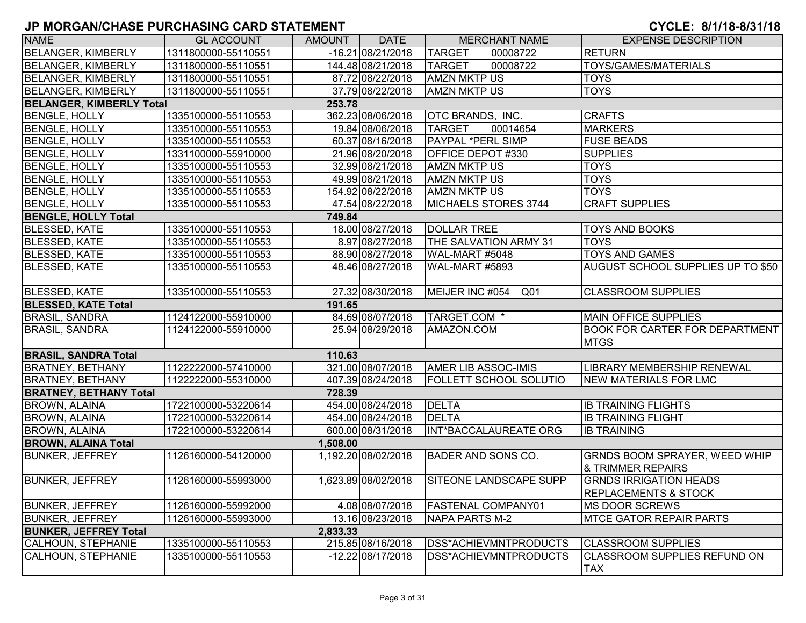| <b>NAME</b>                     | <b>GL ACCOUNT</b>   | AMOUNT   | <b>DATE</b>         | <b>MERCHANT NAME</b>               | <b>EXPENSE DESCRIPTION</b>                                       |
|---------------------------------|---------------------|----------|---------------------|------------------------------------|------------------------------------------------------------------|
| <b>BELANGER, KIMBERLY</b>       | 1311800000-55110551 |          | $-16.21$ 08/21/2018 | <b>TARGET</b><br>00008722          | <b>RETURN</b>                                                    |
| <b>BELANGER, KIMBERLY</b>       | 1311800000-55110551 |          | 144.48 08/21/2018   | <b>TARGET</b><br>00008722          | TOYS/GAMES/MATERIALS                                             |
| <b>BELANGER, KIMBERLY</b>       | 1311800000-55110551 |          | 87.72 08/22/2018    | <b>AMZN MKTP US</b>                | <b>TOYS</b>                                                      |
| <b>BELANGER, KIMBERLY</b>       | 1311800000-55110551 |          | 37.79 08/22/2018    | <b>AMZN MKTP US</b>                | <b>TOYS</b>                                                      |
| <b>BELANGER, KIMBERLY Total</b> |                     | 253.78   |                     |                                    |                                                                  |
| <b>BENGLE, HOLLY</b>            | 1335100000-55110553 |          | 362.23 08/06/2018   | <b>OTC BRANDS, INC.</b>            | <b>CRAFTS</b>                                                    |
| <b>BENGLE, HOLLY</b>            | 1335100000-55110553 |          | 19.84 08/06/2018    | <b>TARGET</b><br>00014654          | <b>MARKERS</b>                                                   |
| <b>BENGLE, HOLLY</b>            | 1335100000-55110553 |          | 60.37 08/16/2018    | <b>PAYPAL *PERL SIMP</b>           | <b>FUSE BEADS</b>                                                |
| <b>BENGLE, HOLLY</b>            | 1331100000-55910000 |          | 21.96 08/20/2018    | OFFICE DEPOT #330                  | <b>SUPPLIES</b>                                                  |
| <b>BENGLE, HOLLY</b>            | 1335100000-55110553 |          | 32.99 08/21/2018    | <b>AMZN MKTP US</b>                | <b>TOYS</b>                                                      |
| <b>BENGLE, HOLLY</b>            | 1335100000-55110553 |          | 49.99 08/21/2018    | <b>AMZN MKTP US</b>                | <b>TOYS</b>                                                      |
| <b>BENGLE, HOLLY</b>            | 1335100000-55110553 |          | 154.92 08/22/2018   | <b>AMZN MKTP US</b>                | <b>TOYS</b>                                                      |
| <b>BENGLE, HOLLY</b>            | 1335100000-55110553 |          | 47.54 08/22/2018    | MICHAELS STORES 3744               | <b>CRAFT SUPPLIES</b>                                            |
| <b>BENGLE, HOLLY Total</b>      |                     | 749.84   |                     |                                    |                                                                  |
| <b>BLESSED, KATE</b>            | 1335100000-55110553 |          | 18.00 08/27/2018    | <b>DOLLAR TREE</b>                 | <b>TOYS AND BOOKS</b>                                            |
| <b>BLESSED, KATE</b>            | 1335100000-55110553 |          | 8.97 08/27/2018     | THE SALVATION ARMY 31              | <b>TOYS</b>                                                      |
| <b>BLESSED, KATE</b>            | 1335100000-55110553 |          | 88.90 08/27/2018    | WAL-MART #5048                     | <b>TOYS AND GAMES</b>                                            |
| <b>BLESSED, KATE</b>            | 1335100000-55110553 |          | 48.46 08/27/2018    | WAL-MART #5893                     | AUGUST SCHOOL SUPPLIES UP TO \$50                                |
| <b>BLESSED, KATE</b>            | 1335100000-55110553 |          | 27.32 08/30/2018    | MEIJER INC #054<br>Q <sub>01</sub> | <b>CLASSROOM SUPPLIES</b>                                        |
| <b>BLESSED, KATE Total</b>      |                     | 191.65   |                     |                                    |                                                                  |
| <b>BRASIL, SANDRA</b>           | 1124122000-55910000 |          | 84.69 08/07/2018    | TARGET.COM *                       | <b>MAIN OFFICE SUPPLIES</b>                                      |
| <b>BRASIL, SANDRA</b>           | 1124122000-55910000 |          | 25.94 08/29/2018    | AMAZON.COM                         | <b>BOOK FOR CARTER FOR DEPARTMENT</b><br><b>MTGS</b>             |
| <b>BRASIL, SANDRA Total</b>     |                     | 110.63   |                     |                                    |                                                                  |
| <b>BRATNEY, BETHANY</b>         | 1122222000-57410000 |          | 321.00 08/07/2018   | <b>AMER LIB ASSOC-IMIS</b>         | LIBRARY MEMBERSHIP RENEWAL                                       |
| <b>BRATNEY, BETHANY</b>         | 1122222000-55310000 |          | 407.39 08/24/2018   | <b>FOLLETT SCHOOL SOLUTIO</b>      | <b>NEW MATERIALS FOR LMC</b>                                     |
| <b>BRATNEY, BETHANY Total</b>   |                     | 728.39   |                     |                                    |                                                                  |
| <b>BROWN, ALAINA</b>            | 1722100000-53220614 |          | 454.00 08/24/2018   | <b>DELTA</b>                       | <b>IB TRAINING FLIGHTS</b>                                       |
| <b>BROWN, ALAINA</b>            | 1722100000-53220614 |          | 454.00 08/24/2018   | <b>DELTA</b>                       | <b>IB TRAINING FLIGHT</b>                                        |
| <b>BROWN, ALAINA</b>            | 1722100000-53220614 |          | 600.00 08/31/2018   | INT*BACCALAUREATE ORG              | <b>IB TRAINING</b>                                               |
| <b>BROWN, ALAINA Total</b>      |                     | 1,508.00 |                     |                                    |                                                                  |
| <b>BUNKER, JEFFREY</b>          | 1126160000-54120000 |          | 1,192.20 08/02/2018 | <b>BADER AND SONS CO.</b>          | GRNDS BOOM SPRAYER, WEED WHIP<br>& TRIMMER REPAIRS               |
| <b>BUNKER, JEFFREY</b>          | 1126160000-55993000 |          | 1,623.89 08/02/2018 | <b>SITEONE LANDSCAPE SUPP</b>      | <b>GRNDS IRRIGATION HEADS</b><br><b>REPLACEMENTS &amp; STOCK</b> |
| <b>BUNKER, JEFFREY</b>          | 1126160000-55992000 |          | 4.08 08/07/2018     | <b>FASTENAL COMPANY01</b>          | <b>IMS DOOR SCREWS</b>                                           |
| <b>BUNKER, JEFFREY</b>          | 1126160000-55993000 |          | 13.16 08/23/2018    | NAPA PARTS M-2                     | <b>IMTCE GATOR REPAIR PARTS</b>                                  |
| <b>BUNKER, JEFFREY Total</b>    |                     | 2,833.33 |                     |                                    |                                                                  |
| CALHOUN, STEPHANIE              | 1335100000-55110553 |          | 215.85 08/16/2018   | DSS*ACHIEVMNTPRODUCTS              | <b>CLASSROOM SUPPLIES</b>                                        |
| CALHOUN, STEPHANIE              | 1335100000-55110553 |          | $-12.22$ 08/17/2018 | <b>DSS*ACHIEVMNTPRODUCTS</b>       | CLASSROOM SUPPLIES REFUND ON<br><b>TAX</b>                       |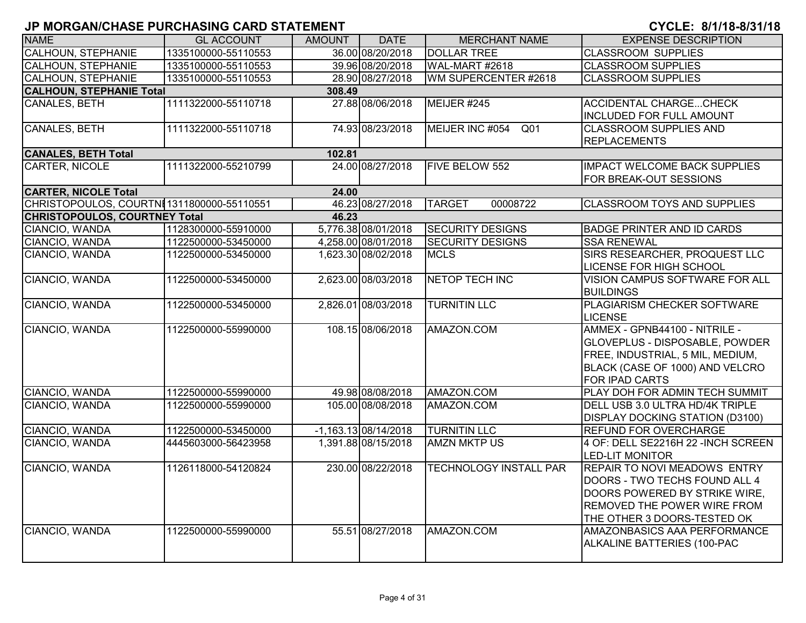| <b>NAME</b>                                | <b>GL ACCOUNT</b>   | <b>AMOUNT</b> | <b>DATE</b>            | <b>MERCHANT NAME</b>          | <b>EXPENSE DESCRIPTION</b>                                                                                                                                          |  |  |  |  |
|--------------------------------------------|---------------------|---------------|------------------------|-------------------------------|---------------------------------------------------------------------------------------------------------------------------------------------------------------------|--|--|--|--|
| <b>CALHOUN, STEPHANIE</b>                  | 1335100000-55110553 |               | 36.00 08/20/2018       | <b>DOLLAR TREE</b>            | <b>CLASSROOM SUPPLIES</b>                                                                                                                                           |  |  |  |  |
| <b>CALHOUN, STEPHANIE</b>                  | 1335100000-55110553 |               | 39.96 08/20/2018       | WAL-MART #2618                | <b>CLASSROOM SUPPLIES</b>                                                                                                                                           |  |  |  |  |
| <b>CALHOUN, STEPHANIE</b>                  | 1335100000-55110553 |               | 28.90 08/27/2018       | WM SUPERCENTER #2618          | <b>CLASSROOM SUPPLIES</b>                                                                                                                                           |  |  |  |  |
| <b>CALHOUN, STEPHANIE Total</b><br>308.49  |                     |               |                        |                               |                                                                                                                                                                     |  |  |  |  |
| <b>CANALES, BETH</b>                       | 1111322000-55110718 |               | 27.88 08/06/2018       | MEIJER #245                   | <b>ACCIDENTAL CHARGECHECK</b><br><b>INCLUDED FOR FULL AMOUNT</b>                                                                                                    |  |  |  |  |
| <b>CANALES, BETH</b>                       | 1111322000-55110718 |               | 74.93 08/23/2018       | MEIJER INC #054<br>Q01        | <b>CLASSROOM SUPPLIES AND</b><br><b>REPLACEMENTS</b>                                                                                                                |  |  |  |  |
| <b>CANALES, BETH Total</b>                 |                     | 102.81        |                        |                               |                                                                                                                                                                     |  |  |  |  |
| CARTER, NICOLE                             | 1111322000-55210799 |               | 24.00 08/27/2018       | FIVE BELOW 552                | <b>IMPACT WELCOME BACK SUPPLIES</b><br>FOR BREAK-OUT SESSIONS                                                                                                       |  |  |  |  |
| <b>CARTER, NICOLE Total</b>                |                     | 24.00         |                        |                               |                                                                                                                                                                     |  |  |  |  |
| CHRISTOPOULOS, COURTNI 1311800000-55110551 |                     |               | 46.23 08/27/2018       | <b>TARGET</b><br>00008722     | <b>CLASSROOM TOYS AND SUPPLIES</b>                                                                                                                                  |  |  |  |  |
| <b>CHRISTOPOULOS, COURTNEY Total</b>       |                     | 46.23         |                        |                               |                                                                                                                                                                     |  |  |  |  |
| CIANCIO, WANDA                             | 1128300000-55910000 |               | 5,776.38 08/01/2018    | <b>SECURITY DESIGNS</b>       | <b>BADGE PRINTER AND ID CARDS</b>                                                                                                                                   |  |  |  |  |
| CIANCIO, WANDA                             | 1122500000-53450000 |               | 4,258.00 08/01/2018    | <b>SECURITY DESIGNS</b>       | <b>SSA RENEWAL</b>                                                                                                                                                  |  |  |  |  |
| CIANCIO, WANDA                             | 1122500000-53450000 |               | 1,623.30 08/02/2018    | <b>MCLS</b>                   | SIRS RESEARCHER, PROQUEST LLC<br><b>LICENSE FOR HIGH SCHOOL</b>                                                                                                     |  |  |  |  |
| CIANCIO, WANDA                             | 1122500000-53450000 |               | 2,623.00 08/03/2018    | <b>NETOP TECH INC</b>         | VISION CAMPUS SOFTWARE FOR ALL<br><b>BUILDINGS</b>                                                                                                                  |  |  |  |  |
| CIANCIO, WANDA                             | 1122500000-53450000 |               | 2,826.01 08/03/2018    | <b>TURNITIN LLC</b>           | <b>PLAGIARISM CHECKER SOFTWARE</b><br><b>LICENSE</b>                                                                                                                |  |  |  |  |
| CIANCIO, WANDA                             | 1122500000-55990000 |               | 108.15 08/06/2018      | AMAZON.COM                    | AMMEX - GPNB44100 - NITRILE -<br><b>GLOVEPLUS - DISPOSABLE, POWDER</b><br>FREE, INDUSTRIAL, 5 MIL, MEDIUM,<br>BLACK (CASE OF 1000) AND VELCRO<br>FOR IPAD CARTS     |  |  |  |  |
| CIANCIO, WANDA                             | 1122500000-55990000 |               | 49.98 08/08/2018       | AMAZON.COM                    | PLAY DOH FOR ADMIN TECH SUMMIT                                                                                                                                      |  |  |  |  |
| CIANCIO, WANDA                             | 1122500000-55990000 |               | 105.00 08/08/2018      | AMAZON.COM                    | DELL USB 3.0 ULTRA HD/4K TRIPLE<br><b>DISPLAY DOCKING STATION (D3100)</b>                                                                                           |  |  |  |  |
| CIANCIO, WANDA                             | 1122500000-53450000 |               | $-1,163.13$ 08/14/2018 | <b>TURNITIN LLC</b>           | <b>REFUND FOR OVERCHARGE</b>                                                                                                                                        |  |  |  |  |
| CIANCIO, WANDA                             | 4445603000-56423958 |               | 1,391.88 08/15/2018    | <b>AMZN MKTP US</b>           | 4 OF: DELL SE2216H 22 - INCH SCREEN<br><b>LED-LIT MONITOR</b>                                                                                                       |  |  |  |  |
| CIANCIO, WANDA                             | 1126118000-54120824 |               | 230.00 08/22/2018      | <b>TECHNOLOGY INSTALL PAR</b> | <b>REPAIR TO NOVI MEADOWS ENTRY</b><br>DOORS - TWO TECHS FOUND ALL 4<br>DOORS POWERED BY STRIKE WIRE,<br>REMOVED THE POWER WIRE FROM<br>THE OTHER 3 DOORS-TESTED OK |  |  |  |  |
| CIANCIO, WANDA                             | 1122500000-55990000 |               | 55.51 08/27/2018       | AMAZON.COM                    | <b>AMAZONBASICS AAA PERFORMANCE</b><br>ALKALINE BATTERIES (100-PAC                                                                                                  |  |  |  |  |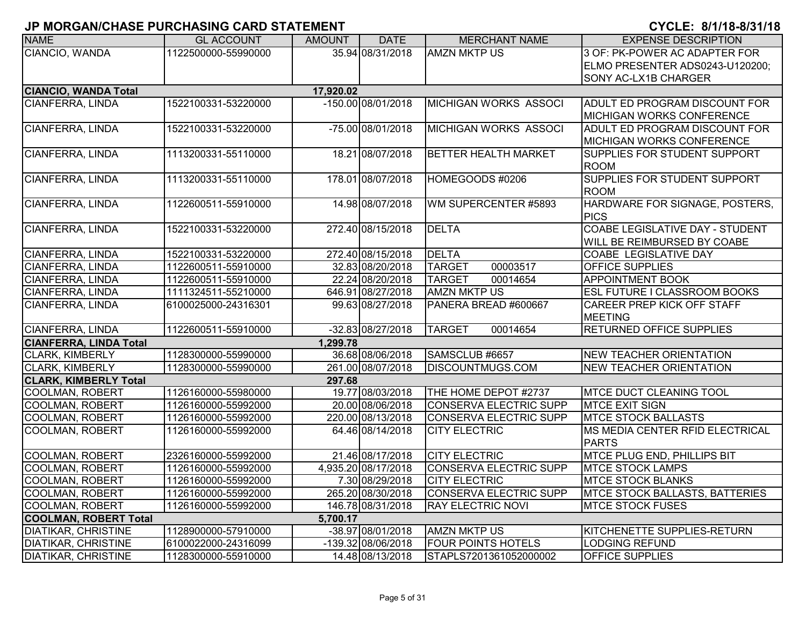| <b>NAME</b>                   | <b>GL ACCOUNT</b>   | <b>AMOUNT</b> | <b>DATE</b>         | <b>MERCHANT NAME</b>          | <b>EXPENSE DESCRIPTION</b>            |
|-------------------------------|---------------------|---------------|---------------------|-------------------------------|---------------------------------------|
| CIANCIO, WANDA                | 1122500000-55990000 |               | 35.94 08/31/2018    | <b>AMZN MKTP US</b>           | 3 OF: PK-POWER AC ADAPTER FOR         |
|                               |                     |               |                     |                               | ELMO PRESENTER ADS0243-U120200;       |
|                               |                     |               |                     |                               | SONY AC-LX1B CHARGER                  |
| <b>CIANCIO, WANDA Total</b>   |                     | 17,920.02     |                     |                               |                                       |
| CIANFERRA, LINDA              | 1522100331-53220000 |               | -150.00 08/01/2018  | MICHIGAN WORKS ASSOCI         | ADULT ED PROGRAM DISCOUNT FOR         |
|                               |                     |               |                     |                               | <b>MICHIGAN WORKS CONFERENCE</b>      |
| CIANFERRA, LINDA              | 1522100331-53220000 |               | -75.00 08/01/2018   | <b>MICHIGAN WORKS ASSOCI</b>  | ADULT ED PROGRAM DISCOUNT FOR         |
|                               |                     |               |                     |                               | <b>MICHIGAN WORKS CONFERENCE</b>      |
| CIANFERRA, LINDA              | 1113200331-55110000 |               | 18.21 08/07/2018    | <b>BETTER HEALTH MARKET</b>   | SUPPLIES FOR STUDENT SUPPORT          |
|                               |                     |               |                     |                               | <b>ROOM</b>                           |
| CIANFERRA, LINDA              | 1113200331-55110000 |               | 178.01 08/07/2018   | HOMEGOODS #0206               | SUPPLIES FOR STUDENT SUPPORT          |
|                               |                     |               |                     |                               | <b>ROOM</b>                           |
| CIANFERRA, LINDA              | 1122600511-55910000 |               | 14.98 08/07/2018    | WM SUPERCENTER #5893          | HARDWARE FOR SIGNAGE, POSTERS,        |
|                               |                     |               |                     |                               | <b>PICS</b>                           |
| CIANFERRA, LINDA              | 1522100331-53220000 |               | 272.40 08/15/2018   | <b>DELTA</b>                  | COABE LEGISLATIVE DAY - STUDENT       |
|                               |                     |               |                     |                               | WILL BE REIMBURSED BY COABE           |
| <b>CIANFERRA, LINDA</b>       | 1522100331-53220000 |               | 272.40 08/15/2018   | <b>DELTA</b>                  | <b>COABE LEGISLATIVE DAY</b>          |
| <b>CIANFERRA, LINDA</b>       | 1122600511-55910000 |               | 32.83 08/20/2018    | <b>TARGET</b><br>00003517     | OFFICE SUPPLIES                       |
| <b>CIANFERRA, LINDA</b>       | 1122600511-55910000 |               | 22.24 08/20/2018    | <b>TARGET</b><br>00014654     | <b>APPOINTMENT BOOK</b>               |
| CIANFERRA, LINDA              | 1111324511-55210000 |               | 646.91 08/27/2018   | <b>AMZN MKTP US</b>           | <b>ESL FUTURE I CLASSROOM BOOKS</b>   |
| CIANFERRA, LINDA              | 6100025000-24316301 |               | 99.63 08/27/2018    | PANERA BREAD #600667          | <b>CAREER PREP KICK OFF STAFF</b>     |
|                               |                     |               |                     |                               | <b>MEETING</b>                        |
| CIANFERRA, LINDA              | 1122600511-55910000 |               | -32.83 08/27/2018   | <b>TARGET</b><br>00014654     | <b>RETURNED OFFICE SUPPLIES</b>       |
| <b>CIANFERRA, LINDA Total</b> |                     | 1,299.78      |                     |                               |                                       |
| <b>CLARK, KIMBERLY</b>        | 1128300000-55990000 |               | 36.68 08/06/2018    | SAMSCLUB #6657                | <b>NEW TEACHER ORIENTATION</b>        |
| <b>CLARK, KIMBERLY</b>        | 1128300000-55990000 |               | 261.00 08/07/2018   | <b>DISCOUNTMUGS.COM</b>       | <b>NEW TEACHER ORIENTATION</b>        |
| <b>CLARK, KIMBERLY Total</b>  |                     | 297.68        |                     |                               |                                       |
| <b>COOLMAN, ROBERT</b>        | 1126160000-55980000 |               | 19.77 08/03/2018    | THE HOME DEPOT #2737          | <b>MTCE DUCT CLEANING TOOL</b>        |
| <b>COOLMAN, ROBERT</b>        | 1126160000-55992000 |               | 20.00 08/06/2018    | <b>CONSERVA ELECTRIC SUPP</b> | <b>MTCE EXIT SIGN</b>                 |
| COOLMAN, ROBERT               | 1126160000-55992000 |               | 220.00 08/13/2018   | <b>CONSERVA ELECTRIC SUPP</b> | <b>MTCE STOCK BALLASTS</b>            |
| COOLMAN, ROBERT               | 1126160000-55992000 |               | 64.46 08/14/2018    | <b>CITY ELECTRIC</b>          | MS MEDIA CENTER RFID ELECTRICAL       |
|                               |                     |               |                     |                               | <b>PARTS</b>                          |
| COOLMAN, ROBERT               | 2326160000-55992000 |               | 21.46 08/17/2018    | <b>CITY ELECTRIC</b>          | MTCE PLUG END, PHILLIPS BIT           |
| <b>COOLMAN, ROBERT</b>        | 1126160000-55992000 |               | 4,935.20 08/17/2018 | CONSERVA ELECTRIC SUPP        | <b>MTCE STOCK LAMPS</b>               |
| COOLMAN, ROBERT               | 1126160000-55992000 |               | 7.30 08/29/2018     | <b>CITY ELECTRIC</b>          | <b>MTCE STOCK BLANKS</b>              |
| COOLMAN, ROBERT               | 1126160000-55992000 |               | 265.20 08/30/2018   | CONSERVA ELECTRIC SUPP        | <b>MTCE STOCK BALLASTS, BATTERIES</b> |
| <b>COOLMAN, ROBERT</b>        | 1126160000-55992000 |               | 146.78 08/31/2018   | <b>RAY ELECTRIC NOVI</b>      | <b>MTCE STOCK FUSES</b>               |
| <b>COOLMAN, ROBERT Total</b>  |                     | 5,700.17      |                     |                               |                                       |
| <b>DIATIKAR, CHRISTINE</b>    | 1128900000-57910000 |               | -38.97 08/01/2018   | <b>AMZN MKTP US</b>           | KITCHENETTE SUPPLIES-RETURN           |
| <b>DIATIKAR, CHRISTINE</b>    | 6100022000-24316099 |               | -139.32 08/06/2018  | <b>FOUR POINTS HOTELS</b>     | <b>LODGING REFUND</b>                 |
| <b>DIATIKAR, CHRISTINE</b>    | 1128300000-55910000 |               | 14.48 08/13/2018    | STAPLS7201361052000002        | <b>OFFICE SUPPLIES</b>                |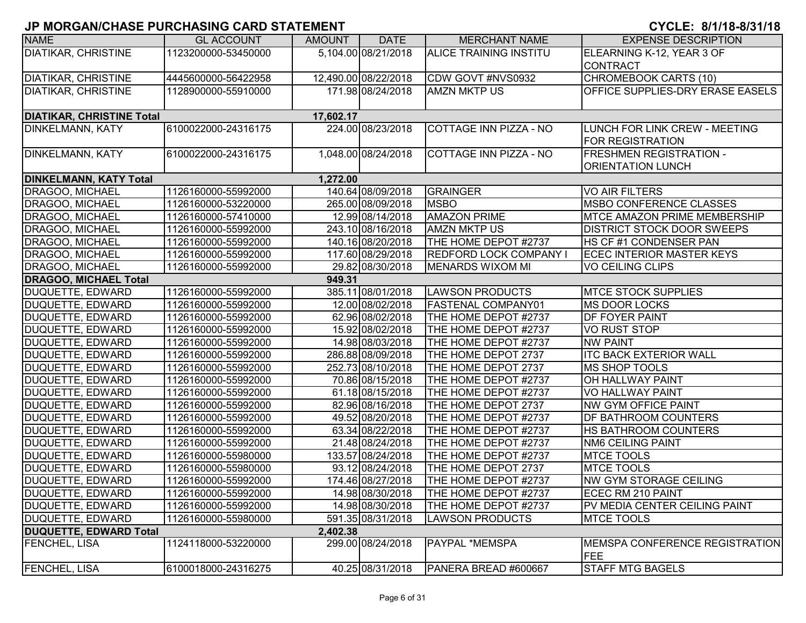| <b>NAME</b>                      | <b>GL ACCOUNT</b>   | AMOUNT    | <b>DATE</b>          | <b>MERCHANT NAME</b>          | <b>EXPENSE DESCRIPTION</b>              |
|----------------------------------|---------------------|-----------|----------------------|-------------------------------|-----------------------------------------|
| <b>DIATIKAR, CHRISTINE</b>       | 1123200000-53450000 |           | 5,104.00 08/21/2018  | ALICE TRAINING INSTITU        | ELEARNING K-12, YEAR 3 OF               |
|                                  |                     |           |                      |                               | <b>CONTRACT</b>                         |
| <b>DIATIKAR, CHRISTINE</b>       | 4445600000-56422958 |           | 12,490.00 08/22/2018 | CDW GOVT #NVS0932             | <b>CHROMEBOOK CARTS (10)</b>            |
| DIATIKAR, CHRISTINE              | 1128900000-55910000 |           | 171.98 08/24/2018    | <b>AMZN MKTP US</b>           | <b>OFFICE SUPPLIES-DRY ERASE EASELS</b> |
|                                  |                     |           |                      |                               |                                         |
| <b>DIATIKAR, CHRISTINE Total</b> |                     | 17,602.17 |                      |                               |                                         |
| <b>DINKELMANN, KATY</b>          | 6100022000-24316175 |           | 224.00 08/23/2018    | COTTAGE INN PIZZA - NO        | LUNCH FOR LINK CREW - MEETING           |
|                                  |                     |           |                      |                               | FOR REGISTRATION                        |
| <b>DINKELMANN, KATY</b>          | 6100022000-24316175 |           | 1,048.00 08/24/2018  | COTTAGE INN PIZZA - NO        | <b>FRESHMEN REGISTRATION -</b>          |
|                                  |                     |           |                      |                               | <b>ORIENTATION LUNCH</b>                |
| <b>DINKELMANN, KATY Total</b>    |                     | 1,272.00  |                      |                               |                                         |
| DRAGOO, MICHAEL                  | 1126160000-55992000 |           | 140.64 08/09/2018    | <b>GRAINGER</b>               | VO AIR FILTERS                          |
| DRAGOO, MICHAEL                  | 1126160000-53220000 |           | 265.00 08/09/2018    | <b>MSBO</b>                   | <b>MSBO CONFERENCE CLASSES</b>          |
| DRAGOO, MICHAEL                  | 1126160000-57410000 |           | 12.99 08/14/2018     | <b>AMAZON PRIME</b>           | <b>MTCE AMAZON PRIME MEMBERSHIP</b>     |
| <b>DRAGOO, MICHAEL</b>           | 1126160000-55992000 |           | 243.10 08/16/2018    | <b>AMZN MKTP US</b>           | <b>DISTRICT STOCK DOOR SWEEPS</b>       |
| <b>DRAGOO, MICHAEL</b>           | 1126160000-55992000 |           | 140.16 08/20/2018    | THE HOME DEPOT #2737          | HS CF #1 CONDENSER PAN                  |
| DRAGOO, MICHAEL                  | 1126160000-55992000 |           | 117.60 08/29/2018    | <b>REDFORD LOCK COMPANY I</b> | <b>ECEC INTERIOR MASTER KEYS</b>        |
| <b>DRAGOO, MICHAEL</b>           | 1126160000-55992000 |           | 29.82 08/30/2018     | <b>MENARDS WIXOM MI</b>       | <b>VO CEILING CLIPS</b>                 |
| <b>DRAGOO, MICHAEL Total</b>     |                     | 949.31    |                      |                               |                                         |
| <b>DUQUETTE, EDWARD</b>          | 1126160000-55992000 |           | 385.11 08/01/2018    | <b>LAWSON PRODUCTS</b>        | <b>MTCE STOCK SUPPLIES</b>              |
| <b>DUQUETTE, EDWARD</b>          | 1126160000-55992000 |           | 12.00 08/02/2018     | <b>FASTENAL COMPANY01</b>     | <b>MS DOOR LOCKS</b>                    |
| <b>DUQUETTE, EDWARD</b>          | 1126160000-55992000 |           | 62.96 08/02/2018     | THE HOME DEPOT #2737          | <b>DF FOYER PAINT</b>                   |
| <b>DUQUETTE, EDWARD</b>          | 1126160000-55992000 |           | 15.92 08/02/2018     | THE HOME DEPOT #2737          | <b>VO RUST STOP</b>                     |
| <b>DUQUETTE, EDWARD</b>          | 1126160000-55992000 |           | 14.98 08/03/2018     | THE HOME DEPOT #2737          | <b>NW PAINT</b>                         |
| DUQUETTE, EDWARD                 | 1126160000-55992000 |           | 286.88 08/09/2018    | THE HOME DEPOT 2737           | <b>ITC BACK EXTERIOR WALL</b>           |
| DUQUETTE, EDWARD                 | 1126160000-55992000 |           | 252.73 08/10/2018    | THE HOME DEPOT 2737           | MS SHOP TOOLS                           |
| DUQUETTE, EDWARD                 | 1126160000-55992000 |           | 70.86 08/15/2018     | THE HOME DEPOT #2737          | <b>OH HALLWAY PAINT</b>                 |
| <b>DUQUETTE, EDWARD</b>          | 1126160000-55992000 |           | 61.18 08/15/2018     | THE HOME DEPOT #2737          | VO HALLWAY PAINT                        |
| <b>DUQUETTE, EDWARD</b>          | 1126160000-55992000 |           | 82.96 08/16/2018     | THE HOME DEPOT 2737           | <b>NW GYM OFFICE PAINT</b>              |
| <b>DUQUETTE, EDWARD</b>          | 1126160000-55992000 |           | 49.52 08/20/2018     | THE HOME DEPOT #2737          | <b>DF BATHROOM COUNTERS</b>             |
| <b>DUQUETTE, EDWARD</b>          | 1126160000-55992000 |           | 63.34 08/22/2018     | THE HOME DEPOT #2737          | <b>HS BATHROOM COUNTERS</b>             |
| DUQUETTE, EDWARD                 | 1126160000-55992000 |           | 21.48 08/24/2018     | THE HOME DEPOT #2737          | <b>NM6 CEILING PAINT</b>                |
| <b>DUQUETTE, EDWARD</b>          | 1126160000-55980000 |           | 133.57 08/24/2018    | THE HOME DEPOT #2737          | <b>MTCE TOOLS</b>                       |
| <b>DUQUETTE, EDWARD</b>          | 1126160000-55980000 |           | 93.12 08/24/2018     | THE HOME DEPOT 2737           | <b>MTCE TOOLS</b>                       |
| <b>DUQUETTE, EDWARD</b>          | 1126160000-55992000 |           | 174.46 08/27/2018    | THE HOME DEPOT #2737          | <b>NW GYM STORAGE CEILING</b>           |
| DUQUETTE, EDWARD                 | 1126160000-55992000 |           | 14.98 08/30/2018     | THE HOME DEPOT #2737          | ECEC RM 210 PAINT                       |
| DUQUETTE, EDWARD                 | 1126160000-55992000 |           | 14.98 08/30/2018     | THE HOME DEPOT #2737          | PV MEDIA CENTER CEILING PAINT           |
| DUQUETTE, EDWARD                 | 1126160000-55980000 |           | 591.35 08/31/2018    | <b>LAWSON PRODUCTS</b>        | <b>MTCE TOOLS</b>                       |
| <b>DUQUETTE, EDWARD Total</b>    |                     | 2,402.38  |                      |                               |                                         |
| <b>FENCHEL, LISA</b>             | 1124118000-53220000 |           | 299.00 08/24/2018    | <b>PAYPAL *MEMSPA</b>         | MEMSPA CONFERENCE REGISTRATION<br>FEE   |
| <b>FENCHEL, LISA</b>             | 6100018000-24316275 |           | 40.25 08/31/2018     | PANERA BREAD #600667          | <b>STAFF MTG BAGELS</b>                 |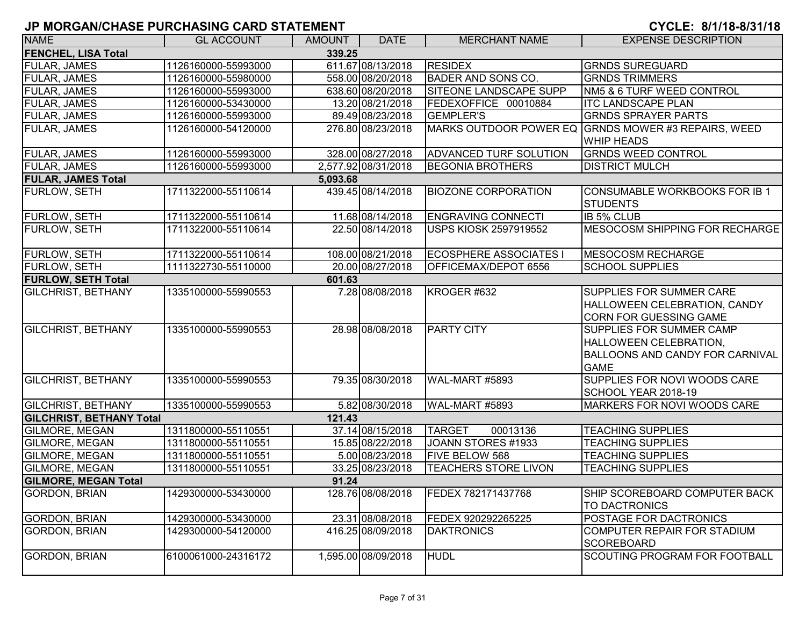| <b>NAME</b>                     | <b>GL ACCOUNT</b>   | <b>AMOUNT</b> | <b>DATE</b>         | <b>MERCHANT NAME</b>          | <b>EXPENSE DESCRIPTION</b>                                                                                                |
|---------------------------------|---------------------|---------------|---------------------|-------------------------------|---------------------------------------------------------------------------------------------------------------------------|
| <b>FENCHEL, LISA Total</b>      |                     | 339.25        |                     |                               |                                                                                                                           |
| FULAR, JAMES                    | 1126160000-55993000 |               | 611.67 08/13/2018   | <b>RESIDEX</b>                | <b>GRNDS SUREGUARD</b>                                                                                                    |
| <b>FULAR, JAMES</b>             | 1126160000-55980000 |               | 558.00 08/20/2018   | <b>BADER AND SONS CO.</b>     | <b>GRNDS TRIMMERS</b>                                                                                                     |
| <b>FULAR, JAMES</b>             | 1126160000-55993000 |               | 638.60 08/20/2018   | SITEONE LANDSCAPE SUPP        | NM5 & 6 TURF WEED CONTROL                                                                                                 |
| FULAR, JAMES                    | 1126160000-53430000 |               | 13.20 08/21/2018    | FEDEXOFFICE 00010884          | <b>ITC LANDSCAPE PLAN</b>                                                                                                 |
| FULAR, JAMES                    | 1126160000-55993000 |               | 89.49 08/23/2018    | <b>GEMPLER'S</b>              | <b>GRNDS SPRAYER PARTS</b>                                                                                                |
| <b>FULAR, JAMES</b>             | 1126160000-54120000 |               | 276.80 08/23/2018   |                               | MARKS OUTDOOR POWER EQ GRNDS MOWER #3 REPAIRS, WEED<br><b>WHIP HEADS</b>                                                  |
| <b>FULAR, JAMES</b>             | 1126160000-55993000 |               | 328.00 08/27/2018   | <b>ADVANCED TURF SOLUTION</b> | <b>GRNDS WEED CONTROL</b>                                                                                                 |
| FULAR, JAMES                    | 1126160000-55993000 |               | 2,577.92 08/31/2018 | <b>BEGONIA BROTHERS</b>       | <b>DISTRICT MULCH</b>                                                                                                     |
| <b>FULAR, JAMES Total</b>       |                     | 5,093.68      |                     |                               |                                                                                                                           |
| FURLOW, SETH                    | 1711322000-55110614 |               | 439.45 08/14/2018   | <b>BIOZONE CORPORATION</b>    | <b>CONSUMABLE WORKBOOKS FOR IB 1</b><br><b>STUDENTS</b>                                                                   |
| FURLOW, SETH                    | 1711322000-55110614 |               | 11.68 08/14/2018    | <b>ENGRAVING CONNECTI</b>     | <b>IB 5% CLUB</b>                                                                                                         |
| <b>FURLOW, SETH</b>             | 1711322000-55110614 |               | 22.50 08/14/2018    | <b>USPS KIOSK 2597919552</b>  | MESOCOSM SHIPPING FOR RECHARGE                                                                                            |
| FURLOW, SETH                    | 1711322000-55110614 |               | 108.00 08/21/2018   | <b>ECOSPHERE ASSOCIATES I</b> | MESOCOSM RECHARGE                                                                                                         |
| FURLOW, SETH                    | 1111322730-55110000 |               | 20.00 08/27/2018    | OFFICEMAX/DEPOT 6556          | <b>SCHOOL SUPPLIES</b>                                                                                                    |
| <b>FURLOW, SETH Total</b>       |                     | 601.63        |                     |                               |                                                                                                                           |
| <b>GILCHRIST, BETHANY</b>       | 1335100000-55990553 |               | 7.28 08/08/2018     | KROGER #632                   | <b>SUPPLIES FOR SUMMER CARE</b><br><b>HALLOWEEN CELEBRATION, CANDY</b><br><b>CORN FOR GUESSING GAME</b>                   |
| <b>GILCHRIST, BETHANY</b>       | 1335100000-55990553 |               | 28.98 08/08/2018    | <b>PARTY CITY</b>             | <b>SUPPLIES FOR SUMMER CAMP</b><br><b>HALLOWEEN CELEBRATION,</b><br><b>BALLOONS AND CANDY FOR CARNIVAL</b><br><b>GAME</b> |
| <b>GILCHRIST, BETHANY</b>       | 1335100000-55990553 |               | 79.35 08/30/2018    | WAL-MART #5893                | SUPPLIES FOR NOVI WOODS CARE<br>SCHOOL YEAR 2018-19                                                                       |
| <b>GILCHRIST, BETHANY</b>       | 1335100000-55990553 |               | 5.82 08/30/2018     | WAL-MART #5893                | MARKERS FOR NOVI WOODS CARE                                                                                               |
| <b>GILCHRIST, BETHANY Total</b> |                     | 121.43        |                     |                               |                                                                                                                           |
| GILMORE, MEGAN                  | 1311800000-55110551 |               | 37.14 08/15/2018    | <b>TARGET</b><br>00013136     | <b>TEACHING SUPPLIES</b>                                                                                                  |
| <b>GILMORE, MEGAN</b>           | 1311800000-55110551 |               | 15.85 08/22/2018    | JOANN STORES #1933            | <b>TEACHING SUPPLIES</b>                                                                                                  |
| <b>GILMORE, MEGAN</b>           | 1311800000-55110551 |               | 5.00 08/23/2018     | FIVE BELOW 568                | <b>TEACHING SUPPLIES</b>                                                                                                  |
| <b>GILMORE, MEGAN</b>           | 1311800000-55110551 |               | 33.25 08/23/2018    | <b>TEACHERS STORE LIVON</b>   | <b>TEACHING SUPPLIES</b>                                                                                                  |
| <b>GILMORE, MEGAN Total</b>     |                     | 91.24         |                     |                               |                                                                                                                           |
| <b>GORDON, BRIAN</b>            | 1429300000-53430000 |               | 128.76 08/08/2018   | FEDEX 782171437768            | SHIP SCOREBOARD COMPUTER BACK<br>TO DACTRONICS                                                                            |
| <b>GORDON, BRIAN</b>            | 1429300000-53430000 |               | 23.31 08/08/2018    | FEDEX 920292265225            | POSTAGE FOR DACTRONICS                                                                                                    |
| <b>GORDON, BRIAN</b>            | 1429300000-54120000 |               | 416.25 08/09/2018   | <b>DAKTRONICS</b>             | COMPUTER REPAIR FOR STADIUM<br><b>SCOREBOARD</b>                                                                          |
| <b>GORDON, BRIAN</b>            | 6100061000-24316172 |               | 1,595.00 08/09/2018 | <b>HUDL</b>                   | <b>SCOUTING PROGRAM FOR FOOTBALL</b>                                                                                      |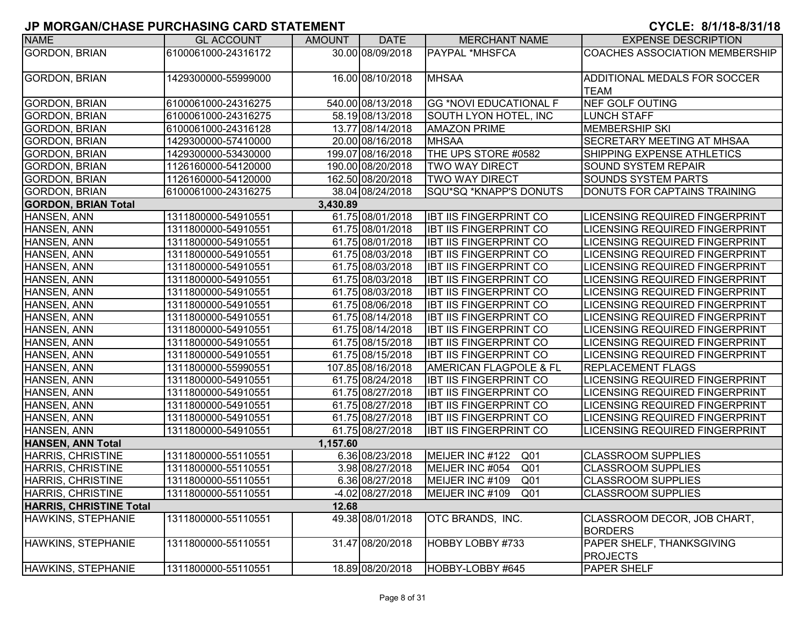| <b>NAME</b>                    | <b>GL ACCOUNT</b>   | <b>AMOUNT</b> | <b>DATE</b>       | <b>MERCHANT NAME</b>               | <b>EXPENSE DESCRIPTION</b>            |
|--------------------------------|---------------------|---------------|-------------------|------------------------------------|---------------------------------------|
| <b>GORDON, BRIAN</b>           | 6100061000-24316172 |               | 30.00 08/09/2018  | <b>PAYPAL *MHSFCA</b>              | <b>COACHES ASSOCIATION MEMBERSHIP</b> |
|                                |                     |               |                   |                                    |                                       |
| <b>GORDON, BRIAN</b>           | 1429300000-55999000 |               | 16.00 08/10/2018  | <b>MHSAA</b>                       | ADDITIONAL MEDALS FOR SOCCER          |
|                                |                     |               |                   |                                    | <b>TEAM</b>                           |
| <b>GORDON, BRIAN</b>           | 6100061000-24316275 |               | 540.00 08/13/2018 | <b>GG *NOVI EDUCATIONAL F</b>      | <b>NEF GOLF OUTING</b>                |
| <b>GORDON, BRIAN</b>           | 6100061000-24316275 |               | 58.19 08/13/2018  | SOUTH LYON HOTEL, INC              | <b>LUNCH STAFF</b>                    |
| <b>GORDON, BRIAN</b>           | 6100061000-24316128 |               | 13.77 08/14/2018  | <b>AMAZON PRIME</b>                | <b>MEMBERSHIP SKI</b>                 |
| <b>GORDON, BRIAN</b>           | 1429300000-57410000 |               | 20.00 08/16/2018  | <b>MHSAA</b>                       | <b>SECRETARY MEETING AT MHSAA</b>     |
| <b>GORDON, BRIAN</b>           | 1429300000-53430000 |               | 199.07 08/16/2018 | THE UPS STORE #0582                | SHIPPING EXPENSE ATHLETICS            |
| <b>GORDON, BRIAN</b>           | 1126160000-54120000 |               | 190.00 08/20/2018 | <b>TWO WAY DIRECT</b>              | <b>SOUND SYSTEM REPAIR</b>            |
| <b>GORDON, BRIAN</b>           | 1126160000-54120000 |               | 162.50 08/20/2018 | <b>TWO WAY DIRECT</b>              | <b>SOUNDS SYSTEM PARTS</b>            |
| <b>GORDON, BRIAN</b>           | 6100061000-24316275 |               | 38.04 08/24/2018  | SQU*SQ *KNAPP'S DONUTS             | DONUTS FOR CAPTAINS TRAINING          |
| <b>GORDON, BRIAN Total</b>     |                     | 3,430.89      |                   |                                    |                                       |
| HANSEN, ANN                    | 1311800000-54910551 |               | 61.75 08/01/2018  | <b>IBT IIS FINGERPRINT CO</b>      | <b>LICENSING REQUIRED FINGERPRINT</b> |
| HANSEN, ANN                    | 1311800000-54910551 |               | 61.75 08/01/2018  | <b>IBT IIS FINGERPRINT CO</b>      | <b>LICENSING REQUIRED FINGERPRINT</b> |
| HANSEN, ANN                    | 1311800000-54910551 |               | 61.75 08/01/2018  | <b>IBT IIS FINGERPRINT CO</b>      | <b>LICENSING REQUIRED FINGERPRINT</b> |
| HANSEN, ANN                    | 1311800000-54910551 |               | 61.75 08/03/2018  | <b>IBT IIS FINGERPRINT CO</b>      | LICENSING REQUIRED FINGERPRINT        |
| HANSEN, ANN                    | 1311800000-54910551 |               | 61.75 08/03/2018  | <b>IBT IIS FINGERPRINT CO</b>      | LICENSING REQUIRED FINGERPRINT        |
| HANSEN, ANN                    | 1311800000-54910551 |               | 61.75 08/03/2018  | <b>IBT IIS FINGERPRINT CO</b>      | <b>LICENSING REQUIRED FINGERPRINT</b> |
| HANSEN, ANN                    | 1311800000-54910551 |               | 61.75 08/03/2018  | <b>IBT IIS FINGERPRINT CO</b>      | <b>LICENSING REQUIRED FINGERPRINT</b> |
| HANSEN, ANN                    | 1311800000-54910551 |               | 61.75 08/06/2018  | <b>IBT IIS FINGERPRINT CO</b>      | LICENSING REQUIRED FINGERPRINT        |
| HANSEN, ANN                    | 1311800000-54910551 |               | 61.75 08/14/2018  | <b>IBT IIS FINGERPRINT CO</b>      | <b>LICENSING REQUIRED FINGERPRINT</b> |
| HANSEN, ANN                    | 1311800000-54910551 |               | 61.75 08/14/2018  | <b>IBT IIS FINGERPRINT CO</b>      | <b>LICENSING REQUIRED FINGERPRINT</b> |
| HANSEN, ANN                    | 1311800000-54910551 |               | 61.75 08/15/2018  | <b>IBT IIS FINGERPRINT CO</b>      | <b>LICENSING REQUIRED FINGERPRINT</b> |
| HANSEN, ANN                    | 1311800000-54910551 |               | 61.75 08/15/2018  | <b>IBT IIS FINGERPRINT CO</b>      | <b>LICENSING REQUIRED FINGERPRINT</b> |
| HANSEN, ANN                    | 1311800000-55990551 |               | 107.85 08/16/2018 | AMERICAN FLAGPOLE & FL             | <b>REPLACEMENT FLAGS</b>              |
| HANSEN, ANN                    | 1311800000-54910551 |               | 61.75 08/24/2018  | <b>IBT IIS FINGERPRINT CO</b>      | <b>LICENSING REQUIRED FINGERPRINT</b> |
| HANSEN, ANN                    | 1311800000-54910551 |               | 61.75 08/27/2018  | <b>IBT IIS FINGERPRINT CO</b>      | <b>LICENSING REQUIRED FINGERPRINT</b> |
| HANSEN, ANN                    | 1311800000-54910551 |               | 61.75 08/27/2018  | <b>IBT IIS FINGERPRINT CO</b>      | <b>LICENSING REQUIRED FINGERPRINT</b> |
| HANSEN, ANN                    | 1311800000-54910551 |               | 61.75 08/27/2018  | <b>IBT IIS FINGERPRINT CO</b>      | LICENSING REQUIRED FINGERPRINT        |
| HANSEN, ANN                    | 1311800000-54910551 |               | 61.75 08/27/2018  | <b>IBT IIS FINGERPRINT CO</b>      | LICENSING REQUIRED FINGERPRINT        |
| HANSEN, ANN Total              |                     | 1,157.60      |                   |                                    |                                       |
| <b>HARRIS, CHRISTINE</b>       | 1311800000-55110551 |               | 6.36 08/23/2018   | MEIJER INC #122<br>Q <sub>01</sub> | <b>CLASSROOM SUPPLIES</b>             |
| <b>HARRIS, CHRISTINE</b>       | 1311800000-55110551 |               | 3.98 08/27/2018   | MEIJER INC #054<br>Q <sub>01</sub> | <b>CLASSROOM SUPPLIES</b>             |
| <b>HARRIS, CHRISTINE</b>       | 1311800000-55110551 |               | 6.36 08/27/2018   | MEIJER INC #109<br>Q <sub>01</sub> | <b>CLASSROOM SUPPLIES</b>             |
| HARRIS, CHRISTINE              | 1311800000-55110551 |               | -4.02 08/27/2018  | MEIJER INC #109<br>Q <sub>01</sub> | <b>CLASSROOM SUPPLIES</b>             |
| <b>HARRIS, CHRISTINE Total</b> |                     | 12.68         |                   |                                    |                                       |
| HAWKINS, STEPHANIE             | 1311800000-55110551 |               | 49.38 08/01/2018  | OTC BRANDS, INC.                   | CLASSROOM DECOR, JOB CHART,           |
|                                |                     |               |                   |                                    | <b>BORDERS</b>                        |
| HAWKINS, STEPHANIE             | 1311800000-55110551 |               | 31.47 08/20/2018  | HOBBY LOBBY #733                   | PAPER SHELF, THANKSGIVING             |
|                                |                     |               |                   |                                    | <b>PROJECTS</b>                       |
| HAWKINS, STEPHANIE             | 1311800000-55110551 |               | 18.89 08/20/2018  | HOBBY-LOBBY #645                   | <b>PAPER SHELF</b>                    |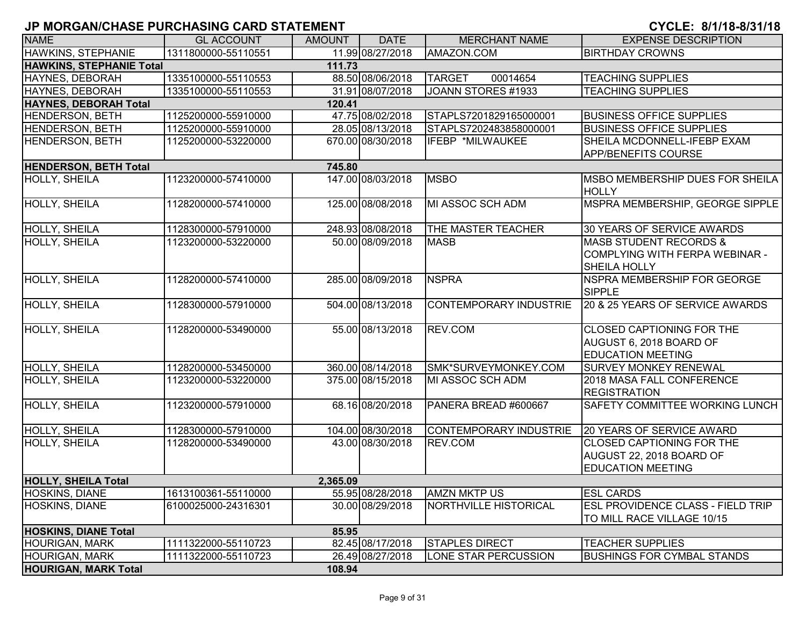| <b>NAME</b>                     | <b>GL ACCOUNT</b>   | <b>AMOUNT</b> | <b>DATE</b>       | <b>MERCHANT NAME</b>          | <b>EXPENSE DESCRIPTION</b>                                                                 |
|---------------------------------|---------------------|---------------|-------------------|-------------------------------|--------------------------------------------------------------------------------------------|
| <b>HAWKINS, STEPHANIE</b>       | 1311800000-55110551 |               | 11.99 08/27/2018  | AMAZON.COM                    | <b>BIRTHDAY CROWNS</b>                                                                     |
| <b>HAWKINS, STEPHANIE Total</b> |                     | 111.73        |                   |                               |                                                                                            |
| HAYNES, DEBORAH                 | 1335100000-55110553 |               | 88.50 08/06/2018  | 00014654<br><b>TARGET</b>     | <b>TEACHING SUPPLIES</b>                                                                   |
| HAYNES, DEBORAH                 | 1335100000-55110553 |               | 31.91 08/07/2018  | JOANN STORES #1933            | <b>TEACHING SUPPLIES</b>                                                                   |
| <b>HAYNES, DEBORAH Total</b>    |                     | 120.41        |                   |                               |                                                                                            |
| <b>HENDERSON, BETH</b>          | 1125200000-55910000 |               | 47.75 08/02/2018  | STAPLS7201829165000001        | <b>BUSINESS OFFICE SUPPLIES</b>                                                            |
| <b>HENDERSON, BETH</b>          | 1125200000-55910000 |               | 28.05 08/13/2018  | STAPLS7202483858000001        | <b>BUSINESS OFFICE SUPPLIES</b>                                                            |
| <b>HENDERSON, BETH</b>          | 1125200000-53220000 |               | 670.00 08/30/2018 | IFEBP *MILWAUKEE              | SHEILA MCDONNELL-IFEBP EXAM<br><b>APP/BENEFITS COURSE</b>                                  |
| <b>HENDERSON, BETH Total</b>    |                     | 745.80        |                   |                               |                                                                                            |
| HOLLY, SHEILA                   | 1123200000-57410000 |               | 147.00 08/03/2018 | <b>MSBO</b>                   | MSBO MEMBERSHIP DUES FOR SHEILA<br><b>HOLLY</b>                                            |
| HOLLY, SHEILA                   | 1128200000-57410000 |               | 125.00 08/08/2018 | MI ASSOC SCH ADM              | MSPRA MEMBERSHIP, GEORGE SIPPLE                                                            |
| HOLLY, SHEILA                   | 1128300000-57910000 |               | 248.93 08/08/2018 | THE MASTER TEACHER            | 30 YEARS OF SERVICE AWARDS                                                                 |
| <b>HOLLY, SHEILA</b>            | 1123200000-53220000 |               | 50.00 08/09/2018  | <b>MASB</b>                   | <b>MASB STUDENT RECORDS &amp;</b><br>COMPLYING WITH FERPA WEBINAR -<br><b>SHEILA HOLLY</b> |
| <b>HOLLY, SHEILA</b>            | 1128200000-57410000 |               | 285.00 08/09/2018 | <b>NSPRA</b>                  | <b>INSPRA MEMBERSHIP FOR GEORGE</b><br>SIPPLE                                              |
| <b>HOLLY, SHEILA</b>            | 1128300000-57910000 |               | 504.00 08/13/2018 | <b>CONTEMPORARY INDUSTRIE</b> | 20 & 25 YEARS OF SERVICE AWARDS                                                            |
| <b>HOLLY, SHEILA</b>            | 1128200000-53490000 |               | 55.00 08/13/2018  | REV.COM                       | <b>CLOSED CAPTIONING FOR THE</b><br>AUGUST 6, 2018 BOARD OF<br><b>EDUCATION MEETING</b>    |
| HOLLY, SHEILA                   | 1128200000-53450000 |               | 360.00 08/14/2018 | SMK*SURVEYMONKEY.COM          | <b>SURVEY MONKEY RENEWAL</b>                                                               |
| <b>HOLLY, SHEILA</b>            | 1123200000-53220000 |               | 375.00 08/15/2018 | MI ASSOC SCH ADM              | 2018 MASA FALL CONFERENCE<br><b>REGISTRATION</b>                                           |
| <b>HOLLY, SHEILA</b>            | 1123200000-57910000 |               | 68.16 08/20/2018  | PANERA BREAD #600667          | <b>SAFETY COMMITTEE WORKING LUNCH</b>                                                      |
| <b>HOLLY, SHEILA</b>            | 1128300000-57910000 |               | 104.00 08/30/2018 | <b>CONTEMPORARY INDUSTRIE</b> | 20 YEARS OF SERVICE AWARD                                                                  |
| HOLLY, SHEILA                   | 1128200000-53490000 |               | 43.00 08/30/2018  | REV.COM                       | <b>CLOSED CAPTIONING FOR THE</b><br>AUGUST 22, 2018 BOARD OF<br><b>EDUCATION MEETING</b>   |
| <b>HOLLY, SHEILA Total</b>      |                     | 2,365.09      |                   |                               |                                                                                            |
| HOSKINS, DIANE                  | 1613100361-55110000 |               | 55.95 08/28/2018  | <b>AMZN MKTP US</b>           | <b>ESL CARDS</b>                                                                           |
| <b>HOSKINS, DIANE</b>           | 6100025000-24316301 |               | 30.00 08/29/2018  | NORTHVILLE HISTORICAL         | <b>ESL PROVIDENCE CLASS - FIELD TRIP</b><br>TO MILL RACE VILLAGE 10/15                     |
| <b>HOSKINS, DIANE Total</b>     |                     | 85.95         |                   |                               |                                                                                            |
| <b>HOURIGAN, MARK</b>           | 1111322000-55110723 |               | 82.45 08/17/2018  | <b>STAPLES DIRECT</b>         | <b>TEACHER SUPPLIES</b>                                                                    |
| <b>HOURIGAN, MARK</b>           | 1111322000-55110723 |               | 26.49 08/27/2018  | LONE STAR PERCUSSION          | <b>BUSHINGS FOR CYMBAL STANDS</b>                                                          |
| <b>HOURIGAN, MARK Total</b>     |                     | 108.94        |                   |                               |                                                                                            |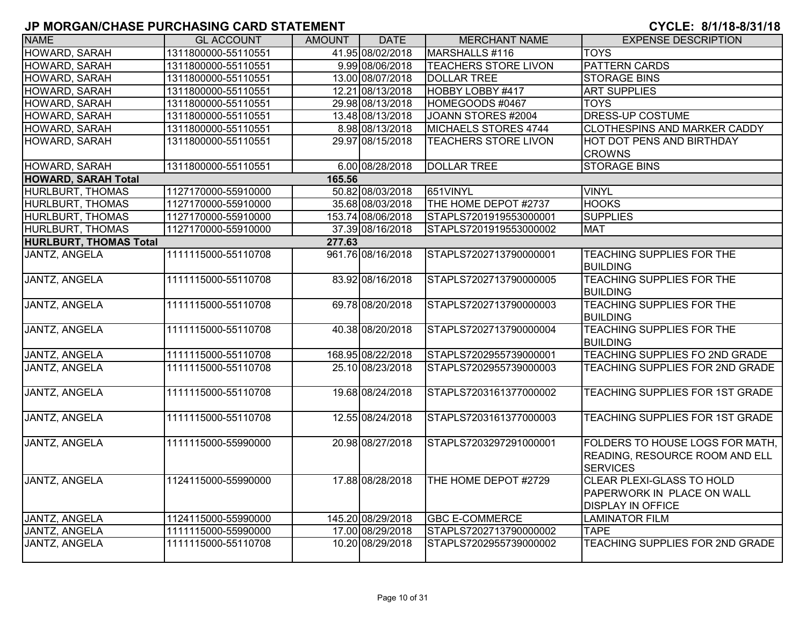| <b>NAME</b>                   | <b>GL ACCOUNT</b>   | AMOUNT | <b>DATE</b>       | <b>MERCHANT NAME</b>        | <b>EXPENSE DESCRIPTION</b>                                                                 |
|-------------------------------|---------------------|--------|-------------------|-----------------------------|--------------------------------------------------------------------------------------------|
| HOWARD, SARAH                 | 1311800000-55110551 |        | 41.95 08/02/2018  | MARSHALLS #116              | <b>TOYS</b>                                                                                |
| HOWARD, SARAH                 | 1311800000-55110551 |        | 9.99 08/06/2018   | <b>TEACHERS STORE LIVON</b> | <b>PATTERN CARDS</b>                                                                       |
| HOWARD, SARAH                 | 1311800000-55110551 |        | 13.00 08/07/2018  | <b>DOLLAR TREE</b>          | <b>STORAGE BINS</b>                                                                        |
| HOWARD, SARAH                 | 1311800000-55110551 |        | 12.21 08/13/2018  | HOBBY LOBBY #417            | <b>ART SUPPLIES</b>                                                                        |
| HOWARD, SARAH                 | 1311800000-55110551 |        | 29.98 08/13/2018  | HOMEGOODS #0467             | <b>TOYS</b>                                                                                |
| HOWARD, SARAH                 | 1311800000-55110551 |        | 13.48 08/13/2018  | JOANN STORES #2004          | DRESS-UP COSTUME                                                                           |
| HOWARD, SARAH                 | 1311800000-55110551 |        | 8.98 08/13/2018   | MICHAELS STORES 4744        | <b>CLOTHESPINS AND MARKER CADDY</b>                                                        |
| HOWARD, SARAH                 | 1311800000-55110551 |        | 29.97 08/15/2018  | <b>TEACHERS STORE LIVON</b> | HOT DOT PENS AND BIRTHDAY<br><b>CROWNS</b>                                                 |
| HOWARD, SARAH                 | 1311800000-55110551 |        | 6.00 08/28/2018   | <b>DOLLAR TREE</b>          | <b>STORAGE BINS</b>                                                                        |
| <b>HOWARD, SARAH Total</b>    |                     | 165.56 |                   |                             |                                                                                            |
| HURLBURT, THOMAS              | 1127170000-55910000 |        | 50.82 08/03/2018  | 651VINYL                    | <b>VINYL</b>                                                                               |
| <b>HURLBURT, THOMAS</b>       | 1127170000-55910000 |        | 35.68 08/03/2018  | THE HOME DEPOT #2737        | <b>HOOKS</b>                                                                               |
| HURLBURT, THOMAS              | 1127170000-55910000 |        | 153.74 08/06/2018 | STAPLS7201919553000001      | <b>SUPPLIES</b>                                                                            |
| HURLBURT, THOMAS              | 1127170000-55910000 |        | 37.39 08/16/2018  | STAPLS7201919553000002      | <b>MAT</b>                                                                                 |
| <b>HURLBURT, THOMAS Total</b> |                     | 277.63 |                   |                             |                                                                                            |
| <b>JANTZ, ANGELA</b>          | 1111115000-55110708 |        | 961.76 08/16/2018 | STAPLS7202713790000001      | <b>TEACHING SUPPLIES FOR THE</b><br><b>BUILDING</b>                                        |
| <b>JANTZ, ANGELA</b>          | 1111115000-55110708 |        | 83.92 08/16/2018  | STAPLS7202713790000005      | <b>TEACHING SUPPLIES FOR THE</b><br><b>BUILDING</b>                                        |
| <b>JANTZ, ANGELA</b>          | 1111115000-55110708 |        | 69.78 08/20/2018  | STAPLS7202713790000003      | <b>TEACHING SUPPLIES FOR THE</b><br><b>BUILDING</b>                                        |
| <b>JANTZ, ANGELA</b>          | 1111115000-55110708 |        | 40.38 08/20/2018  | STAPLS7202713790000004      | <b>TEACHING SUPPLIES FOR THE</b><br><b>BUILDING</b>                                        |
| <b>JANTZ, ANGELA</b>          | 1111115000-55110708 |        | 168.95 08/22/2018 | STAPLS7202955739000001      | TEACHING SUPPLIES FO 2ND GRADE                                                             |
| <b>JANTZ, ANGELA</b>          | 1111115000-55110708 |        | 25.10 08/23/2018  | STAPLS7202955739000003      | TEACHING SUPPLIES FOR 2ND GRADE                                                            |
| <b>JANTZ, ANGELA</b>          | 1111115000-55110708 |        | 19.68 08/24/2018  | STAPLS7203161377000002      | <b>TEACHING SUPPLIES FOR 1ST GRADE</b>                                                     |
| <b>JANTZ, ANGELA</b>          | 1111115000-55110708 |        | 12.55 08/24/2018  | STAPLS7203161377000003      | <b>TEACHING SUPPLIES FOR 1ST GRADE</b>                                                     |
| <b>JANTZ, ANGELA</b>          | 1111115000-55990000 |        | 20.98 08/27/2018  | STAPLS7203297291000001      | FOLDERS TO HOUSE LOGS FOR MATH.<br>READING, RESOURCE ROOM AND ELL<br><b>SERVICES</b>       |
| JANTZ, ANGELA                 | 1124115000-55990000 |        | 17.88 08/28/2018  | THE HOME DEPOT #2729        | <b>CLEAR PLEXI-GLASS TO HOLD</b><br>PAPERWORK IN PLACE ON WALL<br><b>DISPLAY IN OFFICE</b> |
| JANTZ, ANGELA                 | 1124115000-55990000 |        | 145.20 08/29/2018 | <b>GBC E-COMMERCE</b>       | <b>LAMINATOR FILM</b>                                                                      |
| JANTZ, ANGELA                 | 1111115000-55990000 |        | 17.00 08/29/2018  | STAPLS7202713790000002      | <b>TAPE</b>                                                                                |
| <b>JANTZ, ANGELA</b>          | 1111115000-55110708 |        | 10.20 08/29/2018  | STAPLS7202955739000002      | TEACHING SUPPLIES FOR 2ND GRADE                                                            |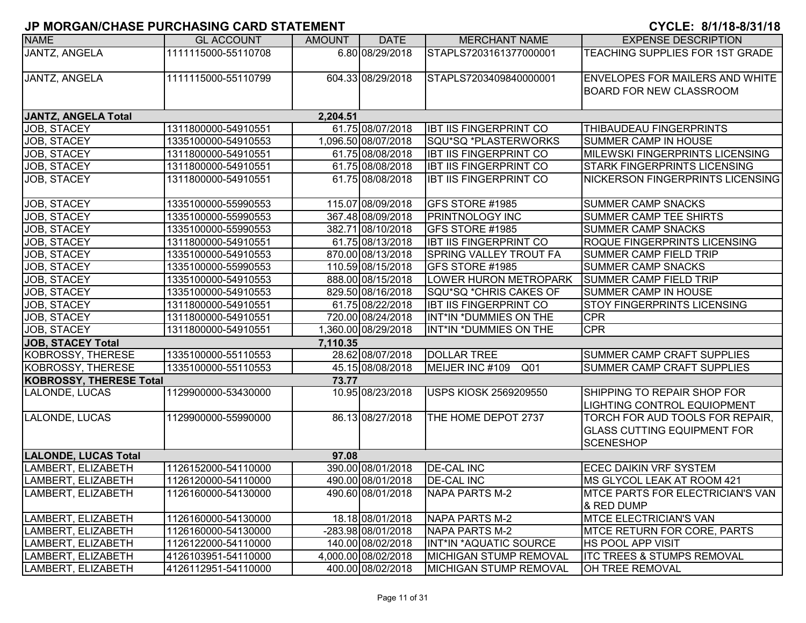| <b>NAME</b>                    | <b>GL ACCOUNT</b>   | <b>AMOUNT</b> | <b>DATE</b>         | <b>MERCHANT NAME</b>               | <b>EXPENSE DESCRIPTION</b>                                                                |
|--------------------------------|---------------------|---------------|---------------------|------------------------------------|-------------------------------------------------------------------------------------------|
| <b>JANTZ, ANGELA</b>           | 1111115000-55110708 |               | 6.80 08/29/2018     | STAPLS7203161377000001             | TEACHING SUPPLIES FOR 1ST GRADE                                                           |
| JANTZ, ANGELA                  | 1111115000-55110799 |               | 604.33 08/29/2018   | STAPLS7203409840000001             | <b>ENVELOPES FOR MAILERS AND WHITE</b><br><b>BOARD FOR NEW CLASSROOM</b>                  |
| <b>JANTZ, ANGELA Total</b>     |                     | 2,204.51      |                     |                                    |                                                                                           |
| JOB, STACEY                    | 1311800000-54910551 |               | 61.75 08/07/2018    | <b>IBT IIS FINGERPRINT CO</b>      | THIBAUDEAU FINGERPRINTS                                                                   |
| JOB, STACEY                    | 1335100000-54910553 |               | 1.096.50 08/07/2018 | SQU*SQ *PLASTERWORKS               | SUMMER CAMP IN HOUSE                                                                      |
| JOB, STACEY                    | 1311800000-54910551 |               | 61.75 08/08/2018    | <b>IBT IIS FINGERPRINT CO</b>      | MILEWSKI FINGERPRINTS LICENSING                                                           |
| JOB, STACEY                    | 1311800000-54910551 |               | 61.75 08/08/2018    | <b>IBT IIS FINGERPRINT CO</b>      | STARK FINGERPRINTS LICENSING                                                              |
| JOB, STACEY                    | 1311800000-54910551 |               | 61.75 08/08/2018    | <b>IBT IIS FINGERPRINT CO</b>      | <b>NICKERSON FINGERPRINTS LICENSING</b>                                                   |
| JOB, STACEY                    | 1335100000-55990553 |               | 115.07 08/09/2018   | GFS STORE #1985                    | <b>SUMMER CAMP SNACKS</b>                                                                 |
| <b>JOB, STACEY</b>             | 1335100000-55990553 |               | 367.48 08/09/2018   | <b>PRINTNOLOGY INC</b>             | <b>SUMMER CAMP TEE SHIRTS</b>                                                             |
| JOB, STACEY                    | 1335100000-55990553 |               | 382.71 08/10/2018   | GFS STORE #1985                    | <b>SUMMER CAMP SNACKS</b>                                                                 |
| JOB, STACEY                    | 1311800000-54910551 |               | 61.75 08/13/2018    | <b>IBT IIS FINGERPRINT CO</b>      | <b>ROQUE FINGERPRINTS LICENSING</b>                                                       |
| JOB, STACEY                    | 1335100000-54910553 |               | 870.00 08/13/2018   | <b>SPRING VALLEY TROUT FA</b>      | <b>SUMMER CAMP FIELD TRIP</b>                                                             |
| JOB, STACEY                    | 1335100000-55990553 |               | 110.59 08/15/2018   | GFS STORE #1985                    | <b>SUMMER CAMP SNACKS</b>                                                                 |
| JOB, STACEY                    | 1335100000-54910553 |               | 888.00 08/15/2018   | LOWER HURON METROPARK              | <b>SUMMER CAMP FIELD TRIP</b>                                                             |
| JOB, STACEY                    | 1335100000-54910553 |               | 829.50 08/16/2018   | SQU*SQ *CHRIS CAKES OF             | <b>SUMMER CAMP IN HOUSE</b>                                                               |
| JOB, STACEY                    | 1311800000-54910551 |               | 61.75 08/22/2018    | <b>IBT IIS FINGERPRINT CO</b>      | STOY FINGERPRINTS LICENSING                                                               |
| JOB, STACEY                    | 1311800000-54910551 |               | 720.00 08/24/2018   | INT*IN *DUMMIES ON THE             | <b>CPR</b>                                                                                |
| JOB, STACEY                    | 1311800000-54910551 |               | 1.360.00 08/29/2018 | INT*IN *DUMMIES ON THE             | <b>CPR</b>                                                                                |
| <b>JOB, STACEY Total</b>       |                     | 7,110.35      |                     |                                    |                                                                                           |
| <b>KOBROSSY, THERESE</b>       | 1335100000-55110553 |               | 28.62 08/07/2018    | <b>DOLLAR TREE</b>                 | <b>SUMMER CAMP CRAFT SUPPLIES</b>                                                         |
| KOBROSSY, THERESE              | 1335100000-55110553 |               | 45.15 08/08/2018    | MEIJER INC #109<br>Q <sub>01</sub> | SUMMER CAMP CRAFT SUPPLIES                                                                |
| <b>KOBROSSY, THERESE Total</b> |                     | 73.77         |                     |                                    |                                                                                           |
| LALONDE, LUCAS                 | 1129900000-53430000 |               | 10.95 08/23/2018    | <b>USPS KIOSK 2569209550</b>       | SHIPPING TO REPAIR SHOP FOR                                                               |
|                                |                     |               |                     |                                    | LIGHTING CONTROL EQUIOPMENT                                                               |
| LALONDE, LUCAS                 | 1129900000-55990000 |               | 86.13 08/27/2018    | THE HOME DEPOT 2737                | TORCH FOR AUD TOOLS FOR REPAIR,<br><b>GLASS CUTTING EQUIPMENT FOR</b><br><b>SCENESHOP</b> |
| <b>LALONDE, LUCAS Total</b>    |                     | 97.08         |                     |                                    |                                                                                           |
| LAMBERT, ELIZABETH             | 1126152000-54110000 |               | 390.00 08/01/2018   | <b>DE-CAL INC</b>                  | ECEC DAIKIN VRF SYSTEM                                                                    |
| LAMBERT, ELIZABETH             | 1126120000-54110000 |               | 490.00 08/01/2018   | <b>DE-CAL INC</b>                  | <b>IMS GLYCOL LEAK AT ROOM 421</b>                                                        |
| LAMBERT, ELIZABETH             | 1126160000-54130000 |               | 490.60 08/01/2018   | <b>NAPA PARTS M-2</b>              | <b>IMTCE PARTS FOR ELECTRICIAN'S VAN</b><br>& RED DUMP                                    |
| LAMBERT, ELIZABETH             | 1126160000-54130000 |               | 18.18 08/01/2018    | NAPA PARTS M-2                     | <b>MTCE ELECTRICIAN'S VAN</b>                                                             |
| LAMBERT, ELIZABETH             | 1126160000-54130000 |               | -283.98 08/01/2018  | NAPA PARTS M-2                     | <b>IMTCE RETURN FOR CORE, PARTS</b>                                                       |
| LAMBERT, ELIZABETH             | 1126122000-54110000 |               | 140.00 08/02/2018   | INT*IN *AQUATIC SOURCE             | <b>HS POOL APP VISIT</b>                                                                  |
| LAMBERT, ELIZABETH             | 4126103951-54110000 |               | 4,000.00 08/02/2018 | MICHIGAN STUMP REMOVAL             | <b>ITC TREES &amp; STUMPS REMOVAL</b>                                                     |
| LAMBERT, ELIZABETH             | 4126112951-54110000 |               | 400.00 08/02/2018   | <b>MICHIGAN STUMP REMOVAL</b>      | <b>OH TREE REMOVAL</b>                                                                    |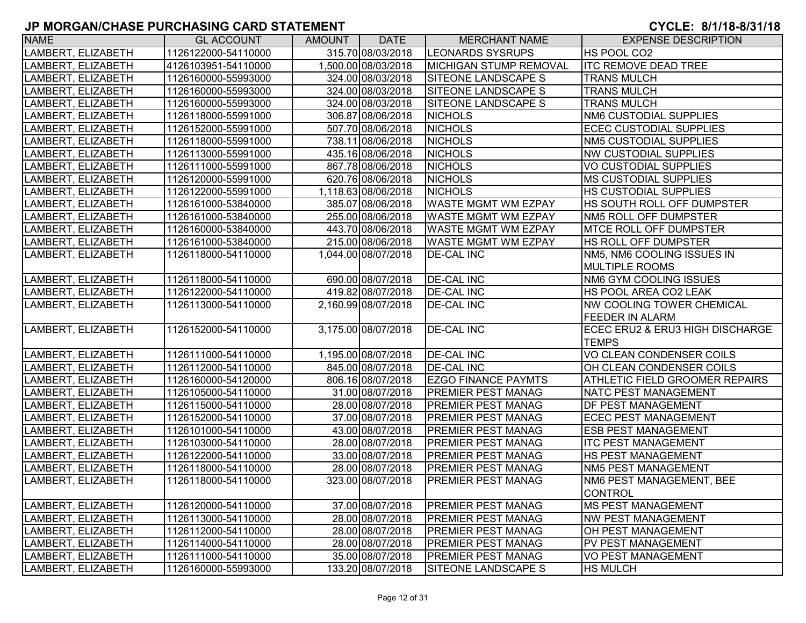| <b>NAME</b>        | <b>GL ACCOUNT</b>   | AMOUNT | <b>DATE</b>         | <b>MERCHANT NAME</b>       | <b>EXPENSE DESCRIPTION</b>            |
|--------------------|---------------------|--------|---------------------|----------------------------|---------------------------------------|
| LAMBERT, ELIZABETH | 1126122000-54110000 |        | 315.70 08/03/2018   | <b>LEONARDS SYSRUPS</b>    | HS POOL CO2                           |
| LAMBERT, ELIZABETH | 4126103951-54110000 |        | 1,500.00 08/03/2018 | MICHIGAN STUMP REMOVAL     | <b>ITC REMOVE DEAD TREE</b>           |
| LAMBERT, ELIZABETH | 1126160000-55993000 |        | 324.00 08/03/2018   | <b>SITEONE LANDSCAPE S</b> | <b>TRANS MULCH</b>                    |
| LAMBERT, ELIZABETH | 1126160000-55993000 |        | 324.00 08/03/2018   | SITEONE LANDSCAPE S        | <b>TRANS MULCH</b>                    |
| LAMBERT, ELIZABETH | 1126160000-55993000 |        | 324.00 08/03/2018   | <b>SITEONE LANDSCAPE S</b> | <b>TRANS MULCH</b>                    |
| LAMBERT, ELIZABETH | 1126118000-55991000 |        | 306.87 08/06/2018   | <b>NICHOLS</b>             | NM6 CUSTODIAL SUPPLIES                |
| LAMBERT, ELIZABETH | 1126152000-55991000 |        | 507.70 08/06/2018   | <b>NICHOLS</b>             | <b>ECEC CUSTODIAL SUPPLIES</b>        |
| LAMBERT, ELIZABETH | 1126118000-55991000 |        | 738.11 08/06/2018   | <b>NICHOLS</b>             | NM5 CUSTODIAL SUPPLIES                |
| LAMBERT, ELIZABETH | 1126113000-55991000 |        | 435.16 08/06/2018   | <b>NICHOLS</b>             | <b>NW CUSTODIAL SUPPLIES</b>          |
| LAMBERT, ELIZABETH | 1126111000-55991000 |        | 867.78 08/06/2018   | <b>NICHOLS</b>             | <b>VO CUSTODIAL SUPPLIES</b>          |
| LAMBERT, ELIZABETH | 1126120000-55991000 |        | 620.76 08/06/2018   | <b>NICHOLS</b>             | <b>IMS CUSTODIAL SUPPLIES</b>         |
| LAMBERT, ELIZABETH | 1126122000-55991000 |        | 1,118.63 08/06/2018 | <b>NICHOLS</b>             | <b>HS CUSTODIAL SUPPLIES</b>          |
| LAMBERT, ELIZABETH | 1126161000-53840000 |        | 385.07 08/06/2018   | <b>WASTE MGMT WM EZPAY</b> | HS SOUTH ROLL OFF DUMPSTER            |
| LAMBERT, ELIZABETH | 1126161000-53840000 |        | 255.00 08/06/2018   | <b>WASTE MGMT WM EZPAY</b> | NM5 ROLL OFF DUMPSTER                 |
| LAMBERT, ELIZABETH | 1126160000-53840000 |        | 443.70 08/06/2018   | WASTE MGMT WM EZPAY        | <b>MTCE ROLL OFF DUMPSTER</b>         |
| LAMBERT, ELIZABETH | 1126161000-53840000 |        | 215.00 08/06/2018   | <b>WASTE MGMT WM EZPAY</b> | <b>HS ROLL OFF DUMPSTER</b>           |
| LAMBERT, ELIZABETH | 1126118000-54110000 |        | 1,044.00 08/07/2018 | <b>DE-CAL INC</b>          | NM5, NM6 COOLING ISSUES IN            |
|                    |                     |        |                     |                            | <b>MULTIPLE ROOMS</b>                 |
| LAMBERT, ELIZABETH | 1126118000-54110000 |        | 690.00 08/07/2018   | <b>DE-CAL INC</b>          | NM6 GYM COOLING ISSUES                |
| LAMBERT, ELIZABETH | 1126122000-54110000 |        | 419.82 08/07/2018   | <b>DE-CAL INC</b>          | <b>HS POOL AREA CO2 LEAK</b>          |
| LAMBERT, ELIZABETH | 1126113000-54110000 |        | 2,160.99 08/07/2018 | <b>DE-CAL INC</b>          | <b>NW COOLING TOWER CHEMICAL</b>      |
|                    |                     |        |                     |                            | <b>FEEDER IN ALARM</b>                |
| LAMBERT, ELIZABETH | 1126152000-54110000 |        | 3,175.00 08/07/2018 | <b>DE-CAL INC</b>          | ECEC ERU2 & ERU3 HIGH DISCHARGE       |
|                    |                     |        |                     |                            | <b>TEMPS</b>                          |
| LAMBERT, ELIZABETH | 1126111000-54110000 |        | 1,195.00 08/07/2018 | <b>DE-CAL INC</b>          | VO CLEAN CONDENSER COILS              |
| LAMBERT, ELIZABETH | 1126112000-54110000 |        | 845.00 08/07/2018   | <b>DE-CAL INC</b>          | OH CLEAN CONDENSER COILS              |
| LAMBERT, ELIZABETH | 1126160000-54120000 |        | 806.16 08/07/2018   | <b>EZGO FINANCE PAYMTS</b> | <b>ATHLETIC FIELD GROOMER REPAIRS</b> |
| LAMBERT, ELIZABETH | 1126105000-54110000 |        | 31.00 08/07/2018    | <b>PREMIER PEST MANAG</b>  | <b>NATC PEST MANAGEMENT</b>           |
| LAMBERT, ELIZABETH | 1126115000-54110000 |        | 28.00 08/07/2018    | <b>PREMIER PEST MANAG</b>  | <b>DF PEST MANAGEMENT</b>             |
| LAMBERT, ELIZABETH | 1126152000-54110000 |        | 37.00 08/07/2018    | <b>PREMIER PEST MANAG</b>  | <b>ECEC PEST MANAGEMENT</b>           |
| LAMBERT, ELIZABETH | 1126101000-54110000 |        | 43.00 08/07/2018    | <b>PREMIER PEST MANAG</b>  | <b>ESB PEST MANAGEMENT</b>            |
| LAMBERT, ELIZABETH | 1126103000-54110000 |        | 28.00 08/07/2018    | <b>PREMIER PEST MANAG</b>  | <b>ITC PEST MANAGEMENT</b>            |
| LAMBERT, ELIZABETH | 1126122000-54110000 |        | 33.00 08/07/2018    | <b>PREMIER PEST MANAG</b>  | <b>HS PEST MANAGEMENT</b>             |
| LAMBERT, ELIZABETH | 1126118000-54110000 |        | 28.00 08/07/2018    | <b>PREMIER PEST MANAG</b>  | NM5 PEST MANAGEMENT                   |
| LAMBERT, ELIZABETH | 1126118000-54110000 |        | 323.00 08/07/2018   | <b>PREMIER PEST MANAG</b>  | NM6 PEST MANAGEMENT, BEE              |
|                    |                     |        |                     |                            | CONTROL                               |
| LAMBERT, ELIZABETH | 1126120000-54110000 |        | 37.00 08/07/2018    | <b>PREMIER PEST MANAG</b>  | <b>IMS PEST MANAGEMENT</b>            |
| LAMBERT, ELIZABETH | 1126113000-54110000 |        | 28.00 08/07/2018    | <b>PREMIER PEST MANAG</b>  | <b>NW PEST MANAGEMENT</b>             |
| LAMBERT, ELIZABETH | 1126112000-54110000 |        | 28.00 08/07/2018    | <b>PREMIER PEST MANAG</b>  | OH PEST MANAGEMENT                    |
| LAMBERT, ELIZABETH | 1126114000-54110000 |        | 28.00 08/07/2018    | <b>PREMIER PEST MANAG</b>  | <b>PV PEST MANAGEMENT</b>             |
| LAMBERT, ELIZABETH | 1126111000-54110000 |        | 35.00 08/07/2018    | <b>PREMIER PEST MANAG</b>  | <b>VO PEST MANAGEMENT</b>             |
| LAMBERT, ELIZABETH | 1126160000-55993000 |        | 133.20 08/07/2018   | <b>SITEONE LANDSCAPE S</b> | <b>HS MULCH</b>                       |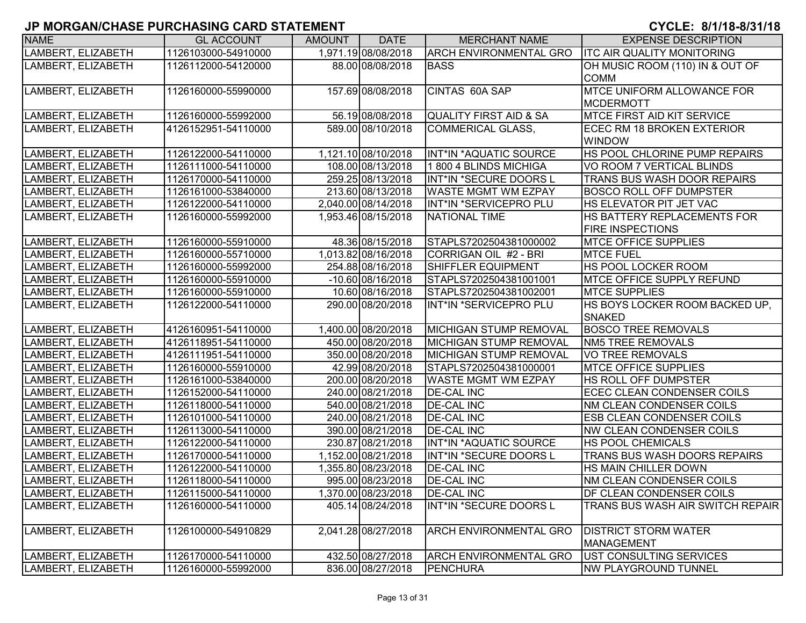| <b>NAME</b>        | <b>GL ACCOUNT</b>   | <b>AMOUNT</b> | <b>DATE</b>         | <b>MERCHANT NAME</b>          | <b>EXPENSE DESCRIPTION</b>              |
|--------------------|---------------------|---------------|---------------------|-------------------------------|-----------------------------------------|
| LAMBERT, ELIZABETH | 1126103000-54910000 |               | 1,971.19 08/08/2018 | <b>ARCH ENVIRONMENTAL GRO</b> | <b>ITC AIR QUALITY MONITORING</b>       |
| LAMBERT, ELIZABETH | 1126112000-54120000 |               | 88.00 08/08/2018    | <b>BASS</b>                   | OH MUSIC ROOM (110) IN & OUT OF         |
|                    |                     |               |                     |                               | <b>COMM</b>                             |
| LAMBERT, ELIZABETH | 1126160000-55990000 |               | 157.69 08/08/2018   | CINTAS 60A SAP                | <b>MTCE UNIFORM ALLOWANCE FOR</b>       |
|                    |                     |               |                     |                               | <b>MCDERMOTT</b>                        |
| LAMBERT, ELIZABETH | 1126160000-55992000 |               | 56.19 08/08/2018    | QUALITY FIRST AID & SA        | <b>MTCE FIRST AID KIT SERVICE</b>       |
| LAMBERT, ELIZABETH | 4126152951-54110000 |               | 589.00 08/10/2018   | <b>COMMERICAL GLASS,</b>      | <b>ECEC RM 18 BROKEN EXTERIOR</b>       |
|                    |                     |               |                     |                               | <b>WINDOW</b>                           |
| LAMBERT, ELIZABETH | 1126122000-54110000 |               | 1,121.10 08/10/2018 | INT*IN *AQUATIC SOURCE        | HS POOL CHLORINE PUMP REPAIRS           |
| LAMBERT, ELIZABETH | 1126111000-54110000 |               | 108.00 08/13/2018   | 1800 4 BLINDS MICHIGA         | VO ROOM 7 VERTICAL BLINDS               |
| LAMBERT, ELIZABETH | 1126170000-54110000 |               | 259.25 08/13/2018   | INT*IN *SECURE DOORS L        | <b>TRANS BUS WASH DOOR REPAIRS</b>      |
| LAMBERT, ELIZABETH | 1126161000-53840000 |               | 213.60 08/13/2018   | <b>WASTE MGMT WM EZPAY</b>    | <b>BOSCO ROLL OFF DUMPSTER</b>          |
| LAMBERT, ELIZABETH | 1126122000-54110000 |               | 2,040.00 08/14/2018 | INT*IN *SERVICEPRO PLU        | HS ELEVATOR PIT JET VAC                 |
| LAMBERT, ELIZABETH | 1126160000-55992000 |               | 1,953.46 08/15/2018 | <b>NATIONAL TIME</b>          | <b>HS BATTERY REPLACEMENTS FOR</b>      |
|                    |                     |               |                     |                               | <b>FIRE INSPECTIONS</b>                 |
| LAMBERT, ELIZABETH | 1126160000-55910000 |               | 48.36 08/15/2018    | STAPLS7202504381000002        | <b>MTCE OFFICE SUPPLIES</b>             |
| LAMBERT, ELIZABETH | 1126160000-55710000 |               | 1,013.82 08/16/2018 | CORRIGAN OIL #2 - BRI         | <b>MTCE FUEL</b>                        |
| LAMBERT, ELIZABETH | 1126160000-55992000 |               | 254.88 08/16/2018   | <b>SHIFFLER EQUIPMENT</b>     | <b>HS POOL LOCKER ROOM</b>              |
| LAMBERT, ELIZABETH | 1126160000-55910000 |               | $-10.60$ 08/16/2018 | STAPLS7202504381001001        | <b>MTCE OFFICE SUPPLY REFUND</b>        |
| LAMBERT, ELIZABETH | 1126160000-55910000 |               | 10.60 08/16/2018    | STAPLS7202504381002001        | <b>MTCE SUPPLIES</b>                    |
| LAMBERT, ELIZABETH | 1126122000-54110000 |               | 290.00 08/20/2018   | INT*IN *SERVICEPRO PLU        | HS BOYS LOCKER ROOM BACKED UP,          |
|                    |                     |               |                     |                               | <b>SNAKED</b>                           |
| LAMBERT, ELIZABETH | 4126160951-54110000 |               | 1,400.00 08/20/2018 | MICHIGAN STUMP REMOVAL        | <b>BOSCO TREE REMOVALS</b>              |
| LAMBERT, ELIZABETH | 4126118951-54110000 |               | 450.00 08/20/2018   | <b>MICHIGAN STUMP REMOVAL</b> | <b>NM5 TREE REMOVALS</b>                |
| LAMBERT, ELIZABETH | 4126111951-54110000 |               | 350.00 08/20/2018   | <b>MICHIGAN STUMP REMOVAL</b> | VO TREE REMOVALS                        |
| LAMBERT, ELIZABETH | 1126160000-55910000 |               | 42.99 08/20/2018    | STAPLS7202504381000001        | <b>MTCE OFFICE SUPPLIES</b>             |
| LAMBERT, ELIZABETH | 1126161000-53840000 |               | 200.00 08/20/2018   | <b>WASTE MGMT WM EZPAY</b>    | <b>HS ROLL OFF DUMPSTER</b>             |
| LAMBERT, ELIZABETH | 1126152000-54110000 |               | 240.00 08/21/2018   | <b>DE-CAL INC</b>             | ECEC CLEAN CONDENSER COILS              |
| LAMBERT, ELIZABETH | 1126118000-54110000 |               | 540.00 08/21/2018   | <b>DE-CAL INC</b>             | <b>NM CLEAN CONDENSER COILS</b>         |
| LAMBERT, ELIZABETH | 1126101000-54110000 |               | 240.00 08/21/2018   | <b>DE-CAL INC</b>             | <b>ESB CLEAN CONDENSER COILS</b>        |
| LAMBERT, ELIZABETH | 1126113000-54110000 |               | 390.00 08/21/2018   | <b>DE-CAL INC</b>             | <b>NW CLEAN CONDENSER COILS</b>         |
| LAMBERT, ELIZABETH | 1126122000-54110000 |               | 230.87 08/21/2018   | INT*IN *AQUATIC SOURCE        | <b>HS POOL CHEMICALS</b>                |
| LAMBERT, ELIZABETH | 1126170000-54110000 |               | 1,152.00 08/21/2018 | INT*IN *SECURE DOORS L        | TRANS BUS WASH DOORS REPAIRS            |
| LAMBERT, ELIZABETH | 1126122000-54110000 |               | 1,355.80 08/23/2018 | <b>DE-CAL INC</b>             | <b>HS MAIN CHILLER DOWN</b>             |
| LAMBERT, ELIZABETH | 1126118000-54110000 |               | 995.00 08/23/2018   | <b>DE-CAL INC</b>             | NM CLEAN CONDENSER COILS                |
| LAMBERT, ELIZABETH | 1126115000-54110000 |               | 1,370.00 08/23/2018 | <b>DE-CAL INC</b>             | <b>IDF CLEAN CONDENSER COILS</b>        |
| LAMBERT, ELIZABETH | 1126160000-54110000 |               | 405.14 08/24/2018   | INT*IN *SECURE DOORS L        | <b>TRANS BUS WASH AIR SWITCH REPAIR</b> |
|                    |                     |               |                     |                               |                                         |
| LAMBERT, ELIZABETH | 1126100000-54910829 |               | 2,041.28 08/27/2018 | <b>ARCH ENVIRONMENTAL GRO</b> | <b>DISTRICT STORM WATER</b>             |
|                    |                     |               |                     |                               | <b>MANAGEMENT</b>                       |
| LAMBERT, ELIZABETH | 1126170000-54110000 |               | 432.50 08/27/2018   | <b>ARCH ENVIRONMENTAL GRO</b> | UST CONSULTING SERVICES                 |
| LAMBERT, ELIZABETH | 1126160000-55992000 |               | 836.00 08/27/2018   | <b>PENCHURA</b>               | <b>NW PLAYGROUND TUNNEL</b>             |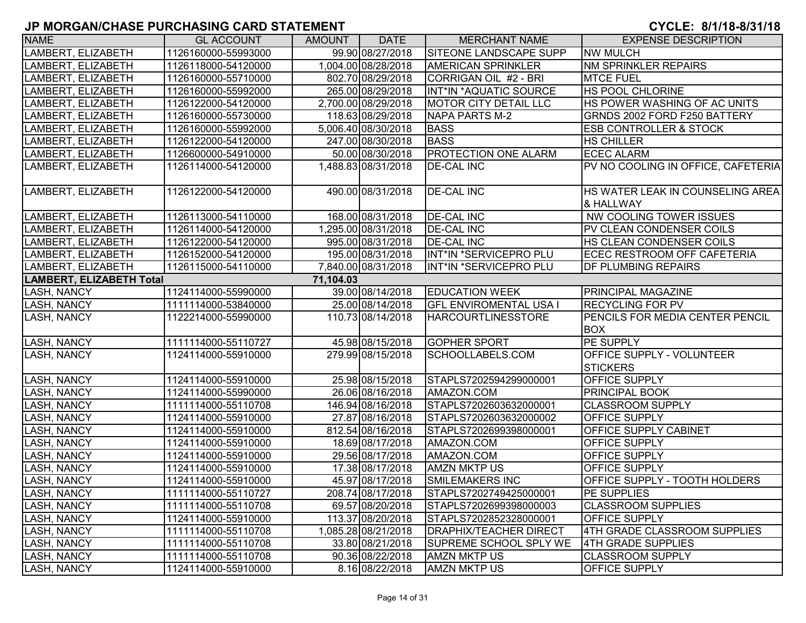| <b>NAME</b>                     | <b>GL ACCOUNT</b>   | AMOUNT    | <b>DATE</b>         | <b>MERCHANT NAME</b>          | <b>EXPENSE DESCRIPTION</b>                    |
|---------------------------------|---------------------|-----------|---------------------|-------------------------------|-----------------------------------------------|
| LAMBERT, ELIZABETH              | 1126160000-55993000 |           | 99.90 08/27/2018    | SITEONE LANDSCAPE SUPP        | <b>NW MULCH</b>                               |
| LAMBERT, ELIZABETH              | 1126118000-54120000 |           | 1,004.00 08/28/2018 | <b>AMERICAN SPRINKLER</b>     | <b>NM SPRINKLER REPAIRS</b>                   |
| LAMBERT, ELIZABETH              | 1126160000-55710000 |           | 802.70 08/29/2018   | CORRIGAN OIL #2 - BRI         | <b>MTCE FUEL</b>                              |
| LAMBERT, ELIZABETH              | 1126160000-55992000 |           | 265.00 08/29/2018   | INT*IN *AQUATIC SOURCE        | <b>HS POOL CHLORINE</b>                       |
| LAMBERT, ELIZABETH              | 1126122000-54120000 |           | 2,700.00 08/29/2018 | MOTOR CITY DETAIL LLC         | HS POWER WASHING OF AC UNITS                  |
| LAMBERT, ELIZABETH              | 1126160000-55730000 |           | 118.63 08/29/2018   | <b>NAPA PARTS M-2</b>         | GRNDS 2002 FORD F250 BATTERY                  |
| LAMBERT, ELIZABETH              | 1126160000-55992000 |           | 5,006.40 08/30/2018 | <b>BASS</b>                   | <b>ESB CONTROLLER &amp; STOCK</b>             |
| LAMBERT, ELIZABETH              | 1126122000-54120000 |           | 247.00 08/30/2018   | <b>BASS</b>                   | <b>HS CHILLER</b>                             |
| LAMBERT, ELIZABETH              | 1126600000-54910000 |           | 50.00 08/30/2018    | <b>PROTECTION ONE ALARM</b>   | <b>ECEC ALARM</b>                             |
| LAMBERT, ELIZABETH              | 1126114000-54120000 |           | 1,488.83 08/31/2018 | <b>DE-CAL INC</b>             | PV NO COOLING IN OFFICE, CAFETERIA            |
| LAMBERT, ELIZABETH              | 1126122000-54120000 |           | 490.00 08/31/2018   | <b>DE-CAL INC</b>             | HS WATER LEAK IN COUNSELING AREA<br>& HALLWAY |
| LAMBERT, ELIZABETH              | 1126113000-54110000 |           | 168.00 08/31/2018   | <b>DE-CAL INC</b>             | NW COOLING TOWER ISSUES                       |
| LAMBERT, ELIZABETH              | 1126114000-54120000 |           | 1,295.00 08/31/2018 | <b>DE-CAL INC</b>             | PV CLEAN CONDENSER COILS                      |
| LAMBERT, ELIZABETH              | 1126122000-54120000 |           | 995.00 08/31/2018   | <b>DE-CAL INC</b>             | HS CLEAN CONDENSER COILS                      |
| LAMBERT, ELIZABETH              | 1126152000-54120000 |           | 195.00 08/31/2018   | INT*IN *SERVICEPRO PLU        | ECEC RESTROOM OFF CAFETERIA                   |
| LAMBERT, ELIZABETH              | 1126115000-54110000 |           | 7,840.00 08/31/2018 | INT*IN *SERVICEPRO PLU        | <b>DF PLUMBING REPAIRS</b>                    |
| <b>LAMBERT, ELIZABETH Total</b> |                     | 71,104.03 |                     |                               |                                               |
| LASH, NANCY                     | 1124114000-55990000 |           | 39.00 08/14/2018    | <b>EDUCATION WEEK</b>         | PRINCIPAL MAGAZINE                            |
| LASH, NANCY                     | 1111114000-53840000 |           | 25.00 08/14/2018    | <b>GFL ENVIROMENTAL USA I</b> | <b>RECYCLING FOR PV</b>                       |
| LASH, NANCY                     | 1122214000-55990000 |           | 110.73 08/14/2018   | <b>HARCOURTLINESSTORE</b>     | PENCILS FOR MEDIA CENTER PENCIL<br><b>BOX</b> |
| LASH, NANCY                     | 1111114000-55110727 |           | 45.98 08/15/2018    | <b>GOPHER SPORT</b>           | PE SUPPLY                                     |
| <b>LASH, NANCY</b>              | 1124114000-55910000 |           | 279.99 08/15/2018   | SCHOOLLABELS.COM              | OFFICE SUPPLY - VOLUNTEER<br><b>STICKERS</b>  |
| <b>LASH, NANCY</b>              | 1124114000-55910000 |           | 25.98 08/15/2018    | STAPLS7202594299000001        | <b>OFFICE SUPPLY</b>                          |
| <b>LASH, NANCY</b>              | 1124114000-55990000 |           | 26.06 08/16/2018    | AMAZON.COM                    | <b>PRINCIPAL BOOK</b>                         |
| <b>LASH, NANCY</b>              | 1111114000-55110708 |           | 146.94 08/16/2018   | STAPLS7202603632000001        | <b>CLASSROOM SUPPLY</b>                       |
| <b>LASH, NANCY</b>              | 1124114000-55910000 |           | 27.87 08/16/2018    | STAPLS7202603632000002        | OFFICE SUPPLY                                 |
| <b>LASH, NANCY</b>              | 1124114000-55910000 |           | 812.54 08/16/2018   | STAPLS7202699398000001        | OFFICE SUPPLY CABINET                         |
| LASH, NANCY                     | 1124114000-55910000 |           | 18.69 08/17/2018    | AMAZON.COM                    | OFFICE SUPPLY                                 |
| LASH, NANCY                     | 1124114000-55910000 |           | 29.56 08/17/2018    | AMAZON.COM                    | OFFICE SUPPLY                                 |
| LASH, NANCY                     | 1124114000-55910000 |           | 17.38 08/17/2018    | <b>AMZN MKTP US</b>           | OFFICE SUPPLY                                 |
| <b>LASH, NANCY</b>              | 1124114000-55910000 |           | 45.97 08/17/2018    | SMILEMAKERS INC               | OFFICE SUPPLY - TOOTH HOLDERS                 |
| <b>LASH, NANCY</b>              | 1111114000-55110727 |           | 208.74 08/17/2018   | STAPLS7202749425000001        | <b>PE SUPPLIES</b>                            |
| <b>LASH, NANCY</b>              | 1111114000-55110708 |           | 69.57 08/20/2018    | STAPLS7202699398000003        | <b>CLASSROOM SUPPLIES</b>                     |
| <b>LASH, NANCY</b>              | 1124114000-55910000 |           | 113.37 08/20/2018   | STAPLS7202852328000001        | <b>OFFICE SUPPLY</b>                          |
| LASH, NANCY                     | 1111114000-55110708 |           | 1,085.28 08/21/2018 | <b>DRAPHIX/TEACHER DIRECT</b> | 4TH GRADE CLASSROOM SUPPLIES                  |
| LASH, NANCY                     | 1111114000-55110708 |           | 33.80 08/21/2018    | SUPREME SCHOOL SPLY WE        | 4TH GRADE SUPPLIES                            |
| LASH, NANCY                     | 1111114000-55110708 |           | 90.36 08/22/2018    | <b>AMZN MKTP US</b>           | <b>CLASSROOM SUPPLY</b>                       |
| LASH, NANCY                     | 1124114000-55910000 |           | 8.16 08/22/2018     | <b>AMZN MKTP US</b>           | OFFICE SUPPLY                                 |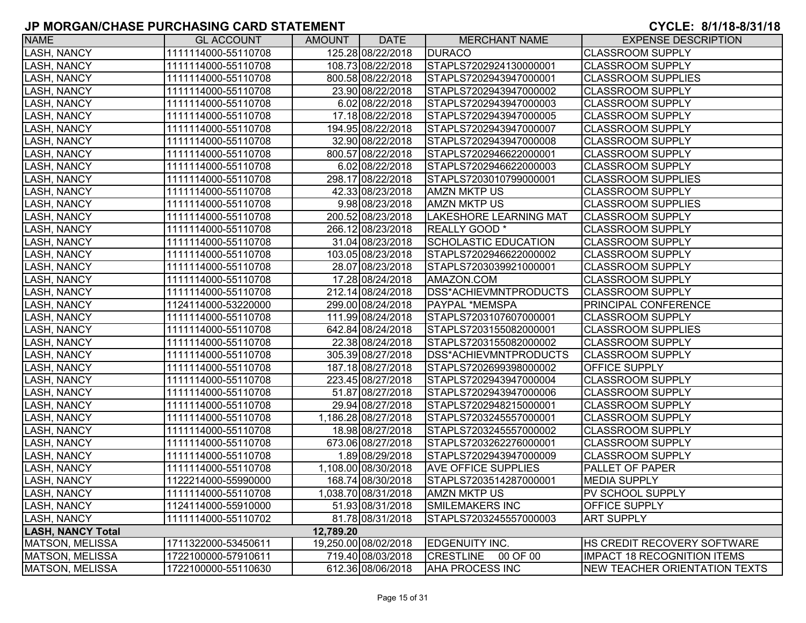| <b>NAME</b>              | <b>GL ACCOUNT</b>   | AMOUNT    | <b>DATE</b>          | <b>MERCHANT NAME</b>          | <b>EXPENSE DESCRIPTION</b>         |
|--------------------------|---------------------|-----------|----------------------|-------------------------------|------------------------------------|
| <b>LASH, NANCY</b>       | 1111114000-55110708 |           | 125.28 08/22/2018    | <b>DURACO</b>                 | <b>CLASSROOM SUPPLY</b>            |
| <b>LASH, NANCY</b>       | 1111114000-55110708 |           | 108.73 08/22/2018    | STAPLS7202924130000001        | <b>CLASSROOM SUPPLY</b>            |
| <b>LASH, NANCY</b>       | 1111114000-55110708 |           | 800.58 08/22/2018    | STAPLS7202943947000001        | <b>CLASSROOM SUPPLIES</b>          |
| <b>LASH, NANCY</b>       | 1111114000-55110708 |           | 23.90 08/22/2018     | STAPLS7202943947000002        | <b>CLASSROOM SUPPLY</b>            |
| <b>LASH, NANCY</b>       | 1111114000-55110708 |           | 6.02 08/22/2018      | STAPLS7202943947000003        | <b>CLASSROOM SUPPLY</b>            |
| <b>LASH, NANCY</b>       | 1111114000-55110708 |           | 17.18 08/22/2018     | STAPLS7202943947000005        | <b>CLASSROOM SUPPLY</b>            |
| <b>LASH, NANCY</b>       | 1111114000-55110708 |           | 194.95 08/22/2018    | STAPLS7202943947000007        | <b>CLASSROOM SUPPLY</b>            |
| <b>LASH, NANCY</b>       | 1111114000-55110708 |           | 32.90 08/22/2018     | STAPLS7202943947000008        | <b>CLASSROOM SUPPLY</b>            |
| <b>LASH, NANCY</b>       | 1111114000-55110708 |           | 800.57 08/22/2018    | STAPLS7202946622000001        | <b>CLASSROOM SUPPLY</b>            |
| <b>LASH, NANCY</b>       | 1111114000-55110708 |           | 6.02 08/22/2018      | STAPLS7202946622000003        | <b>CLASSROOM SUPPLY</b>            |
| <b>LASH, NANCY</b>       | 1111114000-55110708 |           | 298.17 08/22/2018    | STAPLS7203010799000001        | <b>CLASSROOM SUPPLIES</b>          |
| <b>LASH, NANCY</b>       | 1111114000-55110708 |           | 42.33 08/23/2018     | <b>AMZN MKTP US</b>           | <b>CLASSROOM SUPPLY</b>            |
| <b>LASH, NANCY</b>       | 1111114000-55110708 |           | 9.98 08/23/2018      | <b>AMZN MKTP US</b>           | <b>CLASSROOM SUPPLIES</b>          |
| <b>LASH, NANCY</b>       | 1111114000-55110708 |           | 200.52 08/23/2018    | <b>LAKESHORE LEARNING MAT</b> | <b>CLASSROOM SUPPLY</b>            |
| <b>LASH, NANCY</b>       | 1111114000-55110708 |           | 266.12 08/23/2018    | REALLY GOOD *                 | <b>CLASSROOM SUPPLY</b>            |
| <b>LASH, NANCY</b>       | 1111114000-55110708 |           | 31.04 08/23/2018     | <b>SCHOLASTIC EDUCATION</b>   | <b>CLASSROOM SUPPLY</b>            |
| <b>LASH, NANCY</b>       | 1111114000-55110708 |           | 103.05 08/23/2018    | STAPLS7202946622000002        | <b>CLASSROOM SUPPLY</b>            |
| <b>LASH, NANCY</b>       | 1111114000-55110708 |           | 28.07 08/23/2018     | STAPLS7203039921000001        | <b>CLASSROOM SUPPLY</b>            |
| <b>LASH, NANCY</b>       | 1111114000-55110708 |           | 17.28 08/24/2018     | AMAZON.COM                    | <b>CLASSROOM SUPPLY</b>            |
| <b>LASH, NANCY</b>       | 1111114000-55110708 |           | 212.14 08/24/2018    | DSS*ACHIEVMNTPRODUCTS         | <b>CLASSROOM SUPPLY</b>            |
| <b>LASH, NANCY</b>       | 1124114000-53220000 |           | 299.00 08/24/2018    | PAYPAL *MEMSPA                | <b>PRINCIPAL CONFERENCE</b>        |
| <b>LASH, NANCY</b>       | 1111114000-55110708 |           | 111.99 08/24/2018    | STAPLS7203107607000001        | <b>CLASSROOM SUPPLY</b>            |
| <b>LASH, NANCY</b>       | 1111114000-55110708 |           | 642.84 08/24/2018    | STAPLS7203155082000001        | <b>CLASSROOM SUPPLIES</b>          |
| <b>LASH, NANCY</b>       | 1111114000-55110708 |           | 22.38 08/24/2018     | STAPLS7203155082000002        | <b>CLASSROOM SUPPLY</b>            |
| <b>LASH, NANCY</b>       | 1111114000-55110708 |           | 305.39 08/27/2018    | DSS*ACHIEVMNTPRODUCTS         | <b>CLASSROOM SUPPLY</b>            |
| <b>LASH, NANCY</b>       | 1111114000-55110708 |           | 187.18 08/27/2018    | STAPLS7202699398000002        | <b>OFFICE SUPPLY</b>               |
| <b>LASH, NANCY</b>       | 1111114000-55110708 |           | 223.45 08/27/2018    | STAPLS7202943947000004        | <b>CLASSROOM SUPPLY</b>            |
| <b>LASH, NANCY</b>       | 1111114000-55110708 |           | 51.87 08/27/2018     | STAPLS7202943947000006        | <b>CLASSROOM SUPPLY</b>            |
| <b>LASH, NANCY</b>       | 1111114000-55110708 |           | 29.94 08/27/2018     | STAPLS7202948215000001        | <b>CLASSROOM SUPPLY</b>            |
| <b>LASH, NANCY</b>       | 1111114000-55110708 |           | 1,186.28 08/27/2018  | STAPLS7203245557000001        | <b>CLASSROOM SUPPLY</b>            |
| <b>LASH, NANCY</b>       | 1111114000-55110708 |           | 18.98 08/27/2018     | STAPLS7203245557000002        | <b>CLASSROOM SUPPLY</b>            |
| <b>LASH, NANCY</b>       | 1111114000-55110708 |           | 673.06 08/27/2018    | STAPLS7203262276000001        | <b>CLASSROOM SUPPLY</b>            |
| <b>LASH, NANCY</b>       | 1111114000-55110708 |           | 1.89 08/29/2018      | STAPLS7202943947000009        | <b>CLASSROOM SUPPLY</b>            |
| <b>LASH, NANCY</b>       | 1111114000-55110708 |           | 1,108.00 08/30/2018  | <b>AVE OFFICE SUPPLIES</b>    | PALLET OF PAPER                    |
| <b>LASH, NANCY</b>       | 1122214000-55990000 |           | 168.74 08/30/2018    | STAPLS7203514287000001        | <b>MEDIA SUPPLY</b>                |
| <b>LASH, NANCY</b>       | 1111114000-55110708 |           | 1,038.70 08/31/2018  | <b>AMZN MKTP US</b>           | <b>PV SCHOOL SUPPLY</b>            |
| <b>LASH, NANCY</b>       | 1124114000-55910000 |           | 51.93 08/31/2018     | <b>SMILEMAKERS INC</b>        | <b>OFFICE SUPPLY</b>               |
| <b>LASH, NANCY</b>       | 1111114000-55110702 |           | 81.78 08/31/2018     | STAPLS7203245557000003        | <b>ART SUPPLY</b>                  |
| <b>LASH, NANCY Total</b> |                     | 12,789.20 |                      |                               |                                    |
| MATSON, MELISSA          | 1711322000-53450611 |           | 19,250.00 08/02/2018 | <b>EDGENUITY INC.</b>         | <b>HS CREDIT RECOVERY SOFTWARE</b> |
| MATSON, MELISSA          | 1722100000-57910611 |           | 719.40 08/03/2018    | <b>CRESTLINE</b><br>00 OF 00  | <b>IMPACT 18 RECOGNITION ITEMS</b> |
| MATSON, MELISSA          | 1722100000-55110630 |           | 612.36 08/06/2018    | <b>AHA PROCESS INC</b>        | NEW TEACHER ORIENTATION TEXTS      |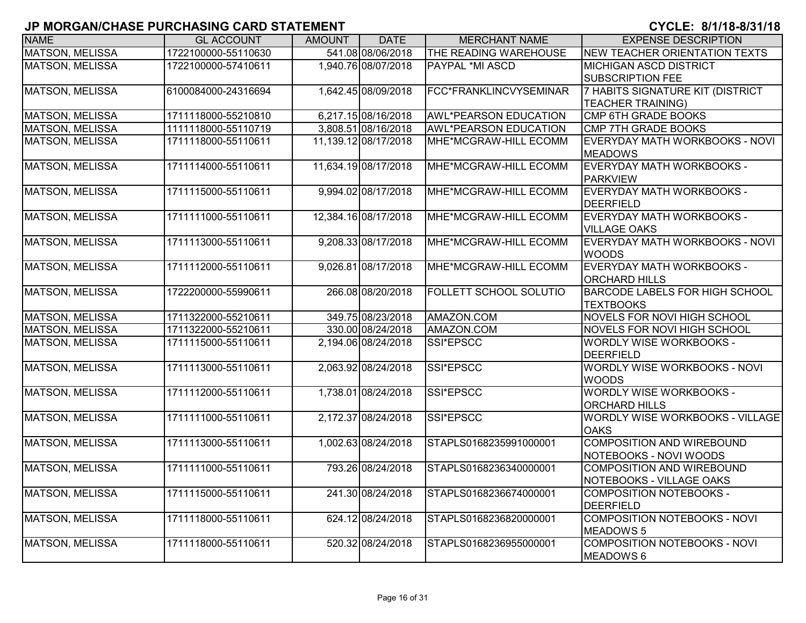| <b>NAME</b>            | <b>GL ACCOUNT</b>   | <b>AMOUNT</b> | <b>DATE</b>          | <b>MERCHANT NAME</b>          | <b>EXPENSE DESCRIPTION</b>                                |
|------------------------|---------------------|---------------|----------------------|-------------------------------|-----------------------------------------------------------|
| <b>MATSON, MELISSA</b> | 1722100000-55110630 |               | 541.08 08/06/2018    | THE READING WAREHOUSE         | NEW TEACHER ORIENTATION TEXTS                             |
| <b>MATSON, MELISSA</b> | 1722100000-57410611 |               | 1,940.76 08/07/2018  | <b>PAYPAL *MI ASCD</b>        | <b>MICHIGAN ASCD DISTRICT</b><br><b>SUBSCRIPTION FEE</b>  |
| <b>MATSON, MELISSA</b> | 6100084000-24316694 |               | 1,642.45 08/09/2018  | FCC*FRANKLINCVYSEMINAR        | 7 HABITS SIGNATURE KIT (DISTRICT<br>TEACHER TRAINING)     |
| <b>MATSON, MELISSA</b> | 1711118000-55210810 |               | 6,217.15 08/16/2018  | <b>AWL*PEARSON EDUCATION</b>  | <b>CMP 6TH GRADE BOOKS</b>                                |
| <b>MATSON, MELISSA</b> | 1111118000-55110719 |               | 3,808.51 08/16/2018  | <b>AWL*PEARSON EDUCATION</b>  | CMP 7TH GRADE BOOKS                                       |
| MATSON, MELISSA        | 1711118000-55110611 |               | 11,139.12 08/17/2018 | MHE*MCGRAW-HILL ECOMM         | EVERYDAY MATH WORKBOOKS - NOVI<br><b>MEADOWS</b>          |
| <b>MATSON, MELISSA</b> | 1711114000-55110611 |               | 11,634.19 08/17/2018 | MHE*MCGRAW-HILL ECOMM         | EVERYDAY MATH WORKBOOKS -<br><b>PARKVIEW</b>              |
| <b>MATSON, MELISSA</b> | 1711115000-55110611 |               | 9,994.02 08/17/2018  | MHE*MCGRAW-HILL ECOMM         | EVERYDAY MATH WORKBOOKS -<br><b>DEERFIELD</b>             |
| MATSON, MELISSA        | 1711111000-55110611 |               | 12,384.16 08/17/2018 | MHE*MCGRAW-HILL ECOMM         | EVERYDAY MATH WORKBOOKS -<br><b>VILLAGE OAKS</b>          |
| <b>MATSON, MELISSA</b> | 1711113000-55110611 |               | 9,208.33 08/17/2018  | MHE*MCGRAW-HILL ECOMM         | EVERYDAY MATH WORKBOOKS - NOVI<br><b>WOODS</b>            |
| <b>MATSON, MELISSA</b> | 1711112000-55110611 |               | 9,026.81 08/17/2018  | MHE*MCGRAW-HILL ECOMM         | EVERYDAY MATH WORKBOOKS -<br><b>ORCHARD HILLS</b>         |
| <b>MATSON, MELISSA</b> | 1722200000-55990611 |               | 266.08 08/20/2018    | <b>FOLLETT SCHOOL SOLUTIO</b> | <b>BARCODE LABELS FOR HIGH SCHOOL</b><br><b>TEXTBOOKS</b> |
| <b>MATSON, MELISSA</b> | 1711322000-55210611 |               | 349.75 08/23/2018    | AMAZON.COM                    | NOVELS FOR NOVI HIGH SCHOOL                               |
| <b>MATSON, MELISSA</b> | 1711322000-55210611 |               | 330.00 08/24/2018    | AMAZON.COM                    | NOVELS FOR NOVI HIGH SCHOOL                               |
| <b>MATSON, MELISSA</b> | 1711115000-55110611 |               | 2,194.06 08/24/2018  | SSI*EPSCC                     | <b>WORDLY WISE WORKBOOKS -</b><br><b>DEERFIELD</b>        |
| <b>MATSON, MELISSA</b> | 1711113000-55110611 |               | 2,063.92 08/24/2018  | SSI*EPSCC                     | WORDLY WISE WORKBOOKS - NOVI<br><b>WOODS</b>              |
| <b>MATSON, MELISSA</b> | 1711112000-55110611 |               | 1,738.01 08/24/2018  | SSI*EPSCC                     | <b>WORDLY WISE WORKBOOKS -</b><br><b>ORCHARD HILLS</b>    |
| <b>MATSON, MELISSA</b> | 1711111000-55110611 |               | 2,172.37 08/24/2018  | SSI*EPSCC                     | WORDLY WISE WORKBOOKS - VILLAGE<br><b>OAKS</b>            |
| <b>MATSON, MELISSA</b> | 1711113000-55110611 |               | 1,002.63 08/24/2018  | STAPLS0168235991000001        | COMPOSITION AND WIREBOUND<br>NOTEBOOKS - NOVI WOODS       |
| <b>MATSON, MELISSA</b> | 1711111000-55110611 |               | 793.26 08/24/2018    | STAPLS0168236340000001        | COMPOSITION AND WIREBOUND<br>NOTEBOOKS - VILLAGE OAKS     |
| <b>MATSON, MELISSA</b> | 1711115000-55110611 |               | 241.30 08/24/2018    | STAPLS0168236674000001        | <b>COMPOSITION NOTEBOOKS -</b><br><b>DEERFIELD</b>        |
| <b>MATSON, MELISSA</b> | 1711118000-55110611 |               | 624.12 08/24/2018    | STAPLS0168236820000001        | COMPOSITION NOTEBOOKS - NOVI<br>MEADOWS 5                 |
| MATSON, MELISSA        | 1711118000-55110611 |               | 520.32 08/24/2018    | STAPLS0168236955000001        | <b>COMPOSITION NOTEBOOKS - NOVI</b><br>MEADOWS 6          |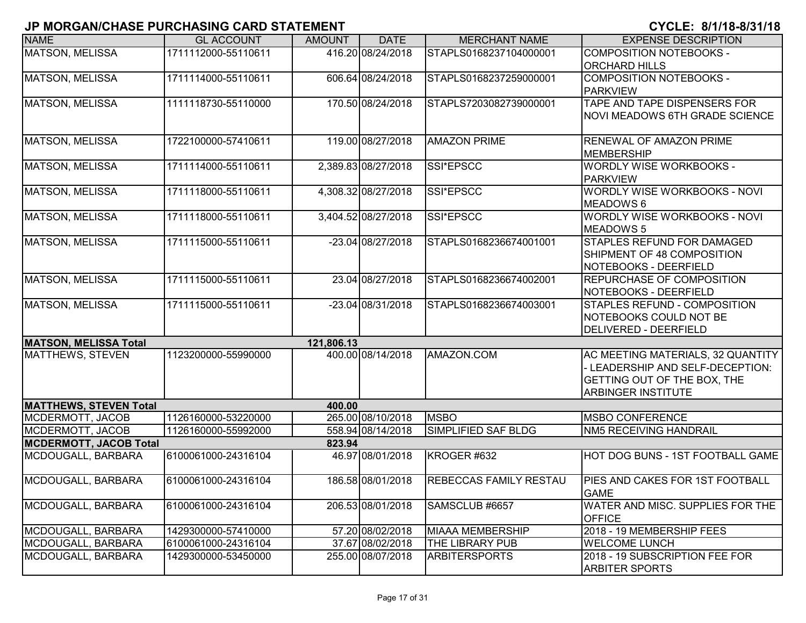| <b>NAME</b>                   | <b>GL ACCOUNT</b>   | <b>AMOUNT</b> | <b>DATE</b>         | <b>MERCHANT NAME</b>          | <b>EXPENSE DESCRIPTION</b>                                                                                                        |
|-------------------------------|---------------------|---------------|---------------------|-------------------------------|-----------------------------------------------------------------------------------------------------------------------------------|
| <b>MATSON, MELISSA</b>        | 1711112000-55110611 |               | 416.20 08/24/2018   | STAPLS0168237104000001        | <b>COMPOSITION NOTEBOOKS -</b><br><b>ORCHARD HILLS</b>                                                                            |
| <b>MATSON, MELISSA</b>        | 1711114000-55110611 |               | 606.64 08/24/2018   | STAPLS0168237259000001        | COMPOSITION NOTEBOOKS -<br><b>PARKVIEW</b>                                                                                        |
| <b>MATSON, MELISSA</b>        | 1111118730-55110000 |               | 170.50 08/24/2018   | STAPLS7203082739000001        | TAPE AND TAPE DISPENSERS FOR<br>NOVI MEADOWS 6TH GRADE SCIENCE                                                                    |
| <b>MATSON, MELISSA</b>        | 1722100000-57410611 |               | 119.00 08/27/2018   | <b>AMAZON PRIME</b>           | <b>RENEWAL OF AMAZON PRIME</b><br>MEMBERSHIP                                                                                      |
| MATSON, MELISSA               | 1711114000-55110611 |               | 2,389.83 08/27/2018 | SSI*EPSCC                     | <b>WORDLY WISE WORKBOOKS -</b><br><b>PARKVIEW</b>                                                                                 |
| MATSON, MELISSA               | 1711118000-55110611 |               | 4,308.32 08/27/2018 | SSI*EPSCC                     | WORDLY WISE WORKBOOKS - NOVI<br>MEADOWS 6                                                                                         |
| <b>MATSON, MELISSA</b>        | 1711118000-55110611 |               | 3,404.52 08/27/2018 | SSI*EPSCC                     | WORDLY WISE WORKBOOKS - NOVI<br><b>MEADOWS 5</b>                                                                                  |
| MATSON, MELISSA               | 1711115000-55110611 |               | -23.04 08/27/2018   | STAPLS0168236674001001        | <b>STAPLES REFUND FOR DAMAGED</b><br>SHIPMENT OF 48 COMPOSITION<br>NOTEBOOKS - DEERFIELD                                          |
| <b>MATSON, MELISSA</b>        | 1711115000-55110611 |               | 23.04 08/27/2018    | STAPLS0168236674002001        | <b>REPURCHASE OF COMPOSITION</b><br>NOTEBOOKS - DEERFIELD                                                                         |
| <b>MATSON, MELISSA</b>        | 1711115000-55110611 |               | -23.04 08/31/2018   | STAPLS0168236674003001        | <b>STAPLES REFUND - COMPOSITION</b><br>NOTEBOOKS COULD NOT BE<br>DELIVERED - DEERFIELD                                            |
| <b>MATSON, MELISSA Total</b>  |                     | 121,806.13    |                     |                               |                                                                                                                                   |
| <b>MATTHEWS, STEVEN</b>       | 1123200000-55990000 |               | 400.00 08/14/2018   | AMAZON.COM                    | AC MEETING MATERIALS, 32 QUANTITY<br>- LEADERSHIP AND SELF-DECEPTION:<br>GETTING OUT OF THE BOX, THE<br><b>ARBINGER INSTITUTE</b> |
| <b>MATTHEWS, STEVEN Total</b> |                     | 400.00        |                     |                               |                                                                                                                                   |
| MCDERMOTT, JACOB              | 1126160000-53220000 |               | 265.00 08/10/2018   | <b>MSBO</b>                   | <b>MSBO CONFERENCE</b>                                                                                                            |
| MCDERMOTT, JACOB              | 1126160000-55992000 |               | 558.94 08/14/2018   | SIMPLIFIED SAF BLDG           | <b>NM5 RECEIVING HANDRAIL</b>                                                                                                     |
| <b>MCDERMOTT, JACOB Total</b> |                     | 823.94        |                     |                               |                                                                                                                                   |
| MCDOUGALL, BARBARA            | 6100061000-24316104 |               | 46.97 08/01/2018    | KROGER #632                   | HOT DOG BUNS - 1ST FOOTBALL GAME                                                                                                  |
| MCDOUGALL, BARBARA            | 6100061000-24316104 |               | 186.58 08/01/2018   | <b>REBECCAS FAMILY RESTAU</b> | <b>PIES AND CAKES FOR 1ST FOOTBALL</b><br><b>GAME</b>                                                                             |
| MCDOUGALL, BARBARA            | 6100061000-24316104 |               | 206.53 08/01/2018   | SAMSCLUB #6657                | WATER AND MISC. SUPPLIES FOR THE<br><b>OFFICE</b>                                                                                 |
| MCDOUGALL, BARBARA            | 1429300000-57410000 |               | 57.20 08/02/2018    | <b>MIAAA MEMBERSHIP</b>       | 2018 - 19 MEMBERSHIP FEES                                                                                                         |
| MCDOUGALL, BARBARA            | 6100061000-24316104 |               | 37.67 08/02/2018    | THE LIBRARY PUB               | <b>WELCOME LUNCH</b>                                                                                                              |
| MCDOUGALL, BARBARA            | 1429300000-53450000 |               | 255.00 08/07/2018   | <b>ARBITERSPORTS</b>          | 2018 - 19 SUBSCRIPTION FEE FOR<br><b>ARBITER SPORTS</b>                                                                           |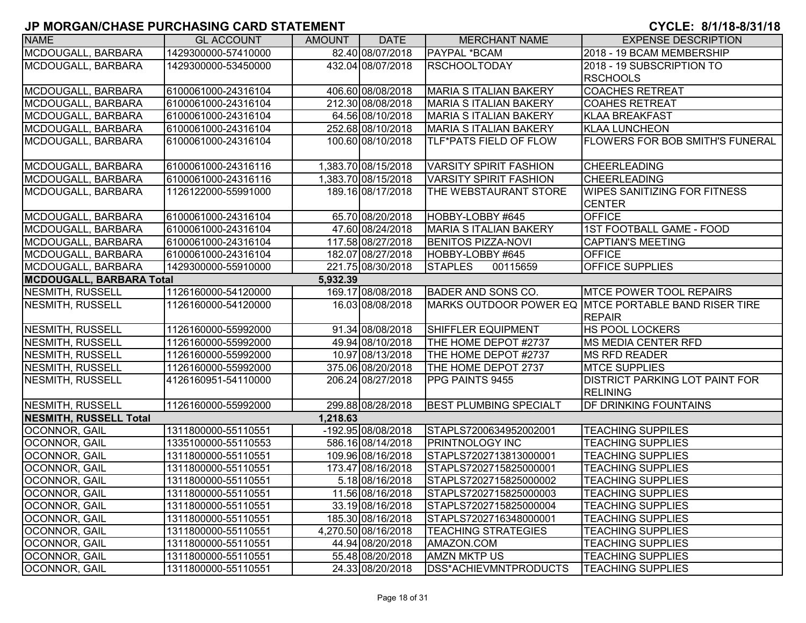| <b>NAME</b>                     | <b>GL ACCOUNT</b>   | <b>AMOUNT</b> | <b>DATE</b>         | <b>MERCHANT NAME</b>          | <b>EXPENSE DESCRIPTION</b>                               |
|---------------------------------|---------------------|---------------|---------------------|-------------------------------|----------------------------------------------------------|
| MCDOUGALL, BARBARA              | 1429300000-57410000 |               | 82.40 08/07/2018    | PAYPAL *BCAM                  | 2018 - 19 BCAM MEMBERSHIP                                |
| MCDOUGALL, BARBARA              | 1429300000-53450000 |               | 432.04 08/07/2018   | <b>RSCHOOLTODAY</b>           | 2018 - 19 SUBSCRIPTION TO                                |
|                                 |                     |               |                     |                               | <b>RSCHOOLS</b>                                          |
| MCDOUGALL, BARBARA              | 6100061000-24316104 |               | 406.60 08/08/2018   | <b>MARIA S ITALIAN BAKERY</b> | <b>COACHES RETREAT</b>                                   |
| MCDOUGALL, BARBARA              | 6100061000-24316104 |               | 212.30 08/08/2018   | <b>MARIA S ITALIAN BAKERY</b> | <b>COAHES RETREAT</b>                                    |
| MCDOUGALL, BARBARA              | 6100061000-24316104 |               | 64.56 08/10/2018    | <b>MARIA S ITALIAN BAKERY</b> | <b>KLAA BREAKFAST</b>                                    |
| MCDOUGALL, BARBARA              | 6100061000-24316104 |               | 252.68 08/10/2018   | <b>MARIA S ITALIAN BAKERY</b> | <b>KLAA LUNCHEON</b>                                     |
| MCDOUGALL, BARBARA              | 6100061000-24316104 |               | 100.60 08/10/2018   | TLF*PATS FIELD OF FLOW        | <b>FLOWERS FOR BOB SMITH'S FUNERAL</b>                   |
| MCDOUGALL, BARBARA              | 6100061000-24316116 |               | 1,383.70 08/15/2018 | <b>VARSITY SPIRIT FASHION</b> | CHEERLEADING                                             |
| MCDOUGALL, BARBARA              | 6100061000-24316116 |               | 1,383.70 08/15/2018 | <b>VARSITY SPIRIT FASHION</b> | <b>CHEERLEADING</b>                                      |
| MCDOUGALL, BARBARA              | 1126122000-55991000 |               | 189.16 08/17/2018   | THE WEBSTAURANT STORE         | <b>WIPES SANITIZING FOR FITNESS</b>                      |
|                                 |                     |               |                     |                               | <b>CENTER</b>                                            |
| MCDOUGALL, BARBARA              | 6100061000-24316104 |               | 65.70 08/20/2018    | HOBBY-LOBBY #645              | <b>OFFICE</b>                                            |
| MCDOUGALL, BARBARA              | 6100061000-24316104 |               | 47.60 08/24/2018    | <b>MARIA S ITALIAN BAKERY</b> | <b>1ST FOOTBALL GAME - FOOD</b>                          |
| MCDOUGALL, BARBARA              | 6100061000-24316104 |               | 117.58 08/27/2018   | <b>BENITOS PIZZA-NOVI</b>     | <b>CAPTIAN'S MEETING</b>                                 |
| MCDOUGALL, BARBARA              | 6100061000-24316104 |               | 182.07 08/27/2018   | HOBBY-LOBBY #645              | <b>OFFICE</b>                                            |
| MCDOUGALL, BARBARA              | 1429300000-55910000 |               | 221.75 08/30/2018   | <b>STAPLES</b><br>00115659    | <b>OFFICE SUPPLIES</b>                                   |
| <b>MCDOUGALL, BARBARA Total</b> |                     | 5,932.39      |                     |                               |                                                          |
| NESMITH, RUSSELL                | 1126160000-54120000 |               | 169.17 08/08/2018   | <b>BADER AND SONS CO.</b>     | <b>MTCE POWER TOOL REPAIRS</b>                           |
| NESMITH, RUSSELL                | 1126160000-54120000 |               | 16.03 08/08/2018    |                               | MARKS OUTDOOR POWER EQ MTCE PORTABLE BAND RISER TIRE     |
|                                 |                     |               |                     |                               | <b>REPAIR</b>                                            |
| NESMITH, RUSSELL                | 1126160000-55992000 |               | 91.34 08/08/2018    | <b>SHIFFLER EQUIPMENT</b>     | <b>HS POOL LOCKERS</b>                                   |
| <b>NESMITH, RUSSELL</b>         | 1126160000-55992000 |               | 49.94 08/10/2018    | THE HOME DEPOT #2737          | <b>MS MEDIA CENTER RFD</b>                               |
| NESMITH, RUSSELL                | 1126160000-55992000 |               | 10.97 08/13/2018    | THE HOME DEPOT #2737          | <b>MS RFD READER</b>                                     |
| NESMITH, RUSSELL                | 1126160000-55992000 |               | 375.06 08/20/2018   | THE HOME DEPOT 2737           | <b>MTCE SUPPLIES</b>                                     |
| NESMITH, RUSSELL                | 4126160951-54110000 |               | 206.24 08/27/2018   | PPG PAINTS 9455               | <b>DISTRICT PARKING LOT PAINT FOR</b><br><b>RELINING</b> |
| NESMITH, RUSSELL                | 1126160000-55992000 |               | 299.88 08/28/2018   | <b>BEST PLUMBING SPECIALT</b> | <b>DF DRINKING FOUNTAINS</b>                             |
| <b>NESMITH, RUSSELL Total</b>   |                     | 1,218.63      |                     |                               |                                                          |
| OCONNOR, GAIL                   | 1311800000-55110551 |               | -192.95 08/08/2018  | STAPLS7200634952002001        | <b>TEACHING SUPPILES</b>                                 |
| OCONNOR, GAIL                   | 1335100000-55110553 |               | 586.16 08/14/2018   | <b>PRINTNOLOGY INC</b>        | <b>TEACHING SUPPLIES</b>                                 |
| <b>OCONNOR, GAIL</b>            | 1311800000-55110551 |               | 109.96 08/16/2018   | STAPLS7202713813000001        | <b>TEACHING SUPPLIES</b>                                 |
| <b>OCONNOR, GAIL</b>            | 1311800000-55110551 |               | 173.47 08/16/2018   | STAPLS7202715825000001        | <b>TEACHING SUPPLIES</b>                                 |
| <b>OCONNOR, GAIL</b>            | 1311800000-55110551 |               | 5.18 08/16/2018     | STAPLS7202715825000002        | <b>TEACHING SUPPLIES</b>                                 |
| OCONNOR, GAIL                   | 1311800000-55110551 |               | 11.56 08/16/2018    | STAPLS7202715825000003        | <b>TEACHING SUPPLIES</b>                                 |
| OCONNOR, GAIL                   | 1311800000-55110551 |               | 33.19 08/16/2018    | STAPLS7202715825000004        | <b>TEACHING SUPPLIES</b>                                 |
| OCONNOR, GAIL                   | 1311800000-55110551 |               | 185.30 08/16/2018   | STAPLS7202716348000001        | <b>TEACHING SUPPLIES</b>                                 |
| OCONNOR, GAIL                   | 1311800000-55110551 |               | 4,270.50 08/16/2018 | <b>TEACHING STRATEGIES</b>    | <b>TEACHING SUPPLIES</b>                                 |
| <b>OCONNOR, GAIL</b>            | 1311800000-55110551 |               | 44.94 08/20/2018    | AMAZON.COM                    | <b>TEACHING SUPPLIES</b>                                 |
| <b>OCONNOR, GAIL</b>            | 1311800000-55110551 |               | 55.48 08/20/2018    | <b>AMZN MKTP US</b>           | <b>TEACHING SUPPLIES</b>                                 |
| <b>OCONNOR, GAIL</b>            | 1311800000-55110551 |               | 24.33 08/20/2018    | DSS*ACHIEVMNTPRODUCTS         | <b>TEACHING SUPPLIES</b>                                 |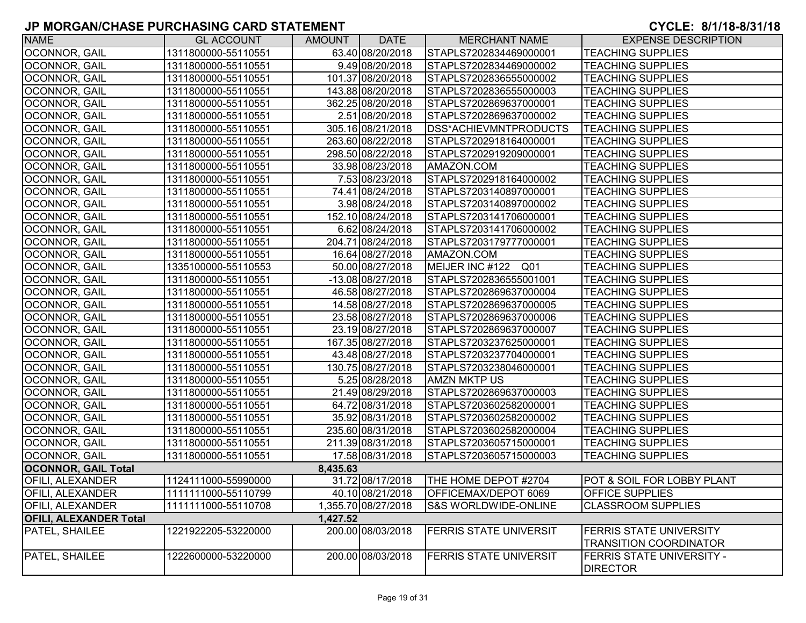| <b>NAME</b>                   | <b>GL ACCOUNT</b>   | AMOUNT   | <b>DATE</b>         | <b>MERCHANT NAME</b>          | <b>EXPENSE DESCRIPTION</b>                                      |
|-------------------------------|---------------------|----------|---------------------|-------------------------------|-----------------------------------------------------------------|
| OCONNOR, GAIL                 | 1311800000-55110551 |          | 63.40 08/20/2018    | STAPLS7202834469000001        | <b>TEACHING SUPPLIES</b>                                        |
| OCONNOR, GAIL                 | 1311800000-55110551 |          | 9.49 08/20/2018     | STAPLS7202834469000002        | <b>TEACHING SUPPLIES</b>                                        |
| OCONNOR, GAIL                 | 1311800000-55110551 |          | 101.37 08/20/2018   | STAPLS7202836555000002        | <b>TEACHING SUPPLIES</b>                                        |
| OCONNOR, GAIL                 | 1311800000-55110551 |          | 143.88 08/20/2018   | STAPLS7202836555000003        | <b>TEACHING SUPPLIES</b>                                        |
| OCONNOR, GAIL                 | 1311800000-55110551 |          | 362.25 08/20/2018   | STAPLS7202869637000001        | <b>TEACHING SUPPLIES</b>                                        |
| OCONNOR, GAIL                 | 1311800000-55110551 |          | 2.51 08/20/2018     | STAPLS7202869637000002        | <b>TEACHING SUPPLIES</b>                                        |
| OCONNOR, GAIL                 | 1311800000-55110551 |          | 305.16 08/21/2018   | DSS*ACHIEVMNTPRODUCTS         | <b>TEACHING SUPPLIES</b>                                        |
| <b>OCONNOR, GAIL</b>          | 1311800000-55110551 |          | 263.60 08/22/2018   | STAPLS7202918164000001        | <b>TEACHING SUPPLIES</b>                                        |
| <b>OCONNOR, GAIL</b>          | 1311800000-55110551 |          | 298.50 08/22/2018   | STAPLS7202919209000001        | <b>TEACHING SUPPLIES</b>                                        |
| <b>OCONNOR, GAIL</b>          | 1311800000-55110551 |          | 33.98 08/23/2018    | AMAZON.COM                    | <b>TEACHING SUPPLIES</b>                                        |
| OCONNOR, GAIL                 | 1311800000-55110551 |          | 7.53 08/23/2018     | STAPLS7202918164000002        | <b>TEACHING SUPPLIES</b>                                        |
| <b>OCONNOR, GAIL</b>          | 1311800000-55110551 |          | 74.41 08/24/2018    | STAPLS7203140897000001        | <b>TEACHING SUPPLIES</b>                                        |
| <b>OCONNOR, GAIL</b>          | 1311800000-55110551 |          | 3.98 08/24/2018     | STAPLS7203140897000002        | <b>TEACHING SUPPLIES</b>                                        |
| <b>OCONNOR, GAIL</b>          | 1311800000-55110551 |          | 152.10 08/24/2018   | STAPLS7203141706000001        | <b>TEACHING SUPPLIES</b>                                        |
| OCONNOR, GAIL                 | 1311800000-55110551 |          | 6.62 08/24/2018     | STAPLS7203141706000002        | <b>TEACHING SUPPLIES</b>                                        |
| OCONNOR, GAIL                 | 1311800000-55110551 |          | 204.71 08/24/2018   | STAPLS7203179777000001        | <b>TEACHING SUPPLIES</b>                                        |
| OCONNOR, GAIL                 | 1311800000-55110551 |          | 16.64 08/27/2018    | AMAZON.COM                    | <b>TEACHING SUPPLIES</b>                                        |
| <b>OCONNOR, GAIL</b>          | 1335100000-55110553 |          | 50.00 08/27/2018    | MEIJER INC #122 Q01           | <b>TEACHING SUPPLIES</b>                                        |
| OCONNOR, GAIL                 | 1311800000-55110551 |          | -13.08 08/27/2018   | STAPLS7202836555001001        | <b>TEACHING SUPPLIES</b>                                        |
| OCONNOR, GAIL                 | 1311800000-55110551 |          | 46.58 08/27/2018    | STAPLS7202869637000004        | <b>TEACHING SUPPLIES</b>                                        |
| OCONNOR, GAIL                 | 1311800000-55110551 |          | 14.58 08/27/2018    | STAPLS7202869637000005        | <b>TEACHING SUPPLIES</b>                                        |
| OCONNOR, GAIL                 | 1311800000-55110551 |          | 23.58 08/27/2018    | STAPLS7202869637000006        | <b>TEACHING SUPPLIES</b>                                        |
| OCONNOR, GAIL                 | 1311800000-55110551 |          | 23.19 08/27/2018    | STAPLS7202869637000007        | <b>TEACHING SUPPLIES</b>                                        |
| OCONNOR, GAIL                 | 1311800000-55110551 |          | 167.35 08/27/2018   | STAPLS7203237625000001        | <b>TEACHING SUPPLIES</b>                                        |
| OCONNOR, GAIL                 | 1311800000-55110551 |          | 43.48 08/27/2018    | STAPLS7203237704000001        | <b>TEACHING SUPPLIES</b>                                        |
| OCONNOR, GAIL                 | 1311800000-55110551 |          | 130.75 08/27/2018   | STAPLS7203238046000001        | <b>TEACHING SUPPLIES</b>                                        |
| <b>OCONNOR, GAIL</b>          | 1311800000-55110551 |          | 5.25 08/28/2018     | <b>AMZN MKTP US</b>           | <b>TEACHING SUPPLIES</b>                                        |
| <b>OCONNOR, GAIL</b>          | 1311800000-55110551 |          | 21.49 08/29/2018    | STAPLS7202869637000003        | <b>TEACHING SUPPLIES</b>                                        |
| <b>OCONNOR, GAIL</b>          | 1311800000-55110551 |          | 64.72 08/31/2018    | STAPLS7203602582000001        | <b>TEACHING SUPPLIES</b>                                        |
| <b>OCONNOR, GAIL</b>          | 1311800000-55110551 |          | 35.92 08/31/2018    | STAPLS7203602582000002        | <b>TEACHING SUPPLIES</b>                                        |
| <b>OCONNOR, GAIL</b>          | 1311800000-55110551 |          | 235.60 08/31/2018   | STAPLS7203602582000004        | <b>TEACHING SUPPLIES</b>                                        |
| OCONNOR, GAIL                 | 1311800000-55110551 |          | 211.39 08/31/2018   | STAPLS7203605715000001        | <b>TEACHING SUPPLIES</b>                                        |
| OCONNOR, GAIL                 | 1311800000-55110551 |          | 17.58 08/31/2018    | STAPLS7203605715000003        | <b>TEACHING SUPPLIES</b>                                        |
| <b>OCONNOR, GAIL Total</b>    |                     | 8,435.63 |                     |                               |                                                                 |
| <b>OFILI, ALEXANDER</b>       | 1124111000-55990000 |          | 31.72 08/17/2018    | THE HOME DEPOT #2704          | POT & SOIL FOR LOBBY PLANT                                      |
| OFILI, ALEXANDER              | 1111111000-55110799 |          | 40.10 08/21/2018    | OFFICEMAX/DEPOT 6069          | OFFICE SUPPLIES                                                 |
| <b>OFILI, ALEXANDER</b>       | 1111111000-55110708 |          | 1,355.70 08/27/2018 | S&S WORLDWIDE-ONLINE          | <b>CLASSROOM SUPPLIES</b>                                       |
| <b>OFILI, ALEXANDER Total</b> |                     | 1,427.52 |                     |                               |                                                                 |
| <b>PATEL, SHAILEE</b>         | 1221922205-53220000 |          | 200.00 08/03/2018   | FERRIS STATE UNIVERSIT        | <b>FERRIS STATE UNIVERSITY</b><br><b>TRANSITION COORDINATOR</b> |
| PATEL, SHAILEE                | 1222600000-53220000 |          | 200.00 08/03/2018   | <b>FERRIS STATE UNIVERSIT</b> | <b>FERRIS STATE UNIVERSITY -</b>                                |
|                               |                     |          |                     |                               | <b>DIRECTOR</b>                                                 |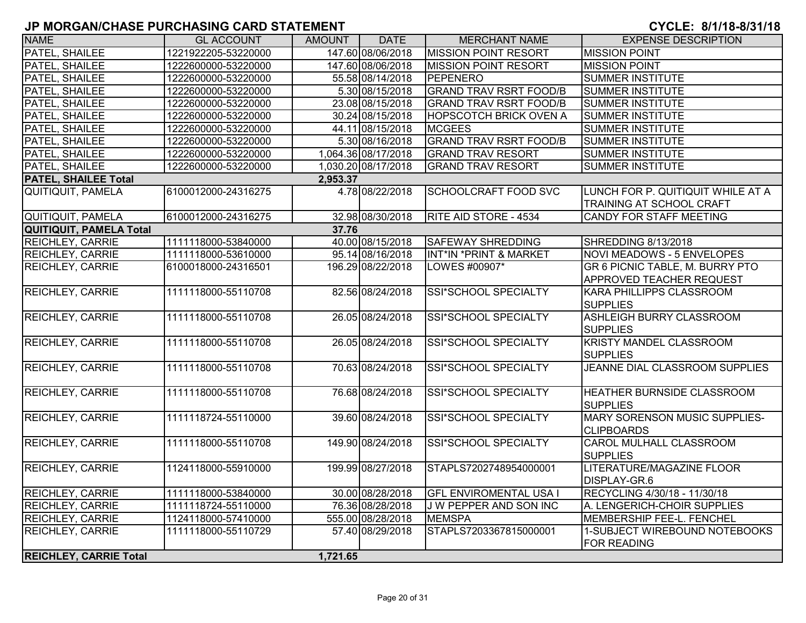| <b>NAME</b>                   | <b>GL ACCOUNT</b>   | AMOUNT   | <b>DATE</b>         | <b>MERCHANT NAME</b>          | <b>EXPENSE DESCRIPTION</b>                                    |
|-------------------------------|---------------------|----------|---------------------|-------------------------------|---------------------------------------------------------------|
| PATEL, SHAILEE                | 1221922205-53220000 |          | 147.60 08/06/2018   | <b>MISSION POINT RESORT</b>   | <b>MISSION POINT</b>                                          |
| PATEL, SHAILEE                | 1222600000-53220000 |          | 147.60 08/06/2018   | <b>MISSION POINT RESORT</b>   | <b>MISSION POINT</b>                                          |
| PATEL, SHAILEE                | 1222600000-53220000 |          | 55.58 08/14/2018    | PEPENERO                      | <b>SUMMER INSTITUTE</b>                                       |
| PATEL, SHAILEE                | 1222600000-53220000 |          | 5.30 08/15/2018     | <b>GRAND TRAV RSRT FOOD/B</b> | <b>SUMMER INSTITUTE</b>                                       |
| PATEL, SHAILEE                | 1222600000-53220000 |          | 23.08 08/15/2018    | <b>GRAND TRAV RSRT FOOD/B</b> | <b>SUMMER INSTITUTE</b>                                       |
| PATEL, SHAILEE                | 1222600000-53220000 |          | 30.24 08/15/2018    | <b>HOPSCOTCH BRICK OVEN A</b> | <b>SUMMER INSTITUTE</b>                                       |
| PATEL, SHAILEE                | 1222600000-53220000 |          | 44.11 08/15/2018    | <b>MCGEES</b>                 | <b>SUMMER INSTITUTE</b>                                       |
| PATEL, SHAILEE                | 1222600000-53220000 |          | 5.30 08/16/2018     | <b>GRAND TRAV RSRT FOOD/B</b> | <b>SUMMER INSTITUTE</b>                                       |
| PATEL, SHAILEE                | 1222600000-53220000 |          | 1,064.36 08/17/2018 | <b>GRAND TRAV RESORT</b>      | <b>SUMMER INSTITUTE</b>                                       |
| PATEL, SHAILEE                | 1222600000-53220000 |          | 1,030.20 08/17/2018 | <b>GRAND TRAV RESORT</b>      | <b>SUMMER INSTITUTE</b>                                       |
| <b>PATEL, SHAILEE Total</b>   |                     | 2,953.37 |                     |                               |                                                               |
| QUITIQUIT, PAMELA             | 6100012000-24316275 |          | 4.78 08/22/2018     | <b>SCHOOLCRAFT FOOD SVC</b>   | LUNCH FOR P. QUITIQUIT WHILE AT A<br>TRAINING AT SCHOOL CRAFT |
| QUITIQUIT, PAMELA             | 6100012000-24316275 |          | 32.98 08/30/2018    | <b>RITE AID STORE - 4534</b>  | CANDY FOR STAFF MEETING                                       |
| QUITIQUIT, PAMELA Total       |                     | 37.76    |                     |                               |                                                               |
| <b>REICHLEY, CARRIE</b>       | 1111118000-53840000 |          | 40.00 08/15/2018    | <b>SAFEWAY SHREDDING</b>      | SHREDDING 8/13/2018                                           |
| <b>REICHLEY, CARRIE</b>       | 1111118000-53610000 |          | 95.14 08/16/2018    | INT*IN *PRINT & MARKET        | NOVI MEADOWS - 5 ENVELOPES                                    |
| REICHLEY, CARRIE              | 6100018000-24316501 |          | 196.29 08/22/2018   | LOWES #00907*                 | GR 6 PICNIC TABLE, M. BURRY PTO                               |
|                               |                     |          |                     |                               | <b>APPROVED TEACHER REQUEST</b>                               |
| REICHLEY, CARRIE              | 1111118000-55110708 |          | 82.56 08/24/2018    | SSI*SCHOOL SPECIALTY          | KARA PHILLIPPS CLASSROOM                                      |
|                               |                     |          |                     |                               | <b>SUPPLIES</b>                                               |
| REICHLEY, CARRIE              | 1111118000-55110708 |          | 26.05 08/24/2018    | SSI*SCHOOL SPECIALTY          | ASHLEIGH BURRY CLASSROOM<br><b>SUPPLIES</b>                   |
| REICHLEY, CARRIE              | 1111118000-55110708 |          | 26.05 08/24/2018    | <b>SSI*SCHOOL SPECIALTY</b>   | <b>KRISTY MANDEL CLASSROOM</b><br><b>SUPPLIES</b>             |
| REICHLEY, CARRIE              | 1111118000-55110708 |          | 70.63 08/24/2018    | SSI*SCHOOL SPECIALTY          | JEANNE DIAL CLASSROOM SUPPLIES                                |
|                               |                     |          |                     |                               |                                                               |
| REICHLEY, CARRIE              | 1111118000-55110708 |          | 76.68 08/24/2018    | <b>SSI*SCHOOL SPECIALTY</b>   | HEATHER BURNSIDE CLASSROOM<br><b>SUPPLIES</b>                 |
| REICHLEY, CARRIE              | 1111118724-55110000 |          | 39.60 08/24/2018    | SSI*SCHOOL SPECIALTY          | MARY SORENSON MUSIC SUPPLIES-<br><b>CLIPBOARDS</b>            |
| REICHLEY, CARRIE              | 1111118000-55110708 |          | 149.90 08/24/2018   | SSI*SCHOOL SPECIALTY          | CAROL MULHALL CLASSROOM<br><b>SUPPLIES</b>                    |
| REICHLEY, CARRIE              | 1124118000-55910000 |          | 199.99 08/27/2018   | STAPLS7202748954000001        | LITERATURE/MAGAZINE FLOOR<br>DISPLAY-GR.6                     |
| REICHLEY, CARRIE              | 1111118000-53840000 |          | 30.00 08/28/2018    | <b>GFL ENVIROMENTAL USA I</b> | RECYCLING 4/30/18 - 11/30/18                                  |
| REICHLEY, CARRIE              | 1111118724-55110000 |          | 76.36 08/28/2018    | J W PEPPER AND SON INC        | A. LENGERICH-CHOIR SUPPLIES                                   |
| <b>REICHLEY, CARRIE</b>       | 1124118000-57410000 |          | 555.00 08/28/2018   | <b>MEMSPA</b>                 | MEMBERSHIP FEE-L. FENCHEL                                     |
| <b>REICHLEY, CARRIE</b>       | 1111118000-55110729 |          | 57.40 08/29/2018    | STAPLS7203367815000001        | 1-SUBJECT WIREBOUND NOTEBOOKS<br><b>FOR READING</b>           |
| <b>REICHLEY, CARRIE Total</b> |                     | 1,721.65 |                     |                               |                                                               |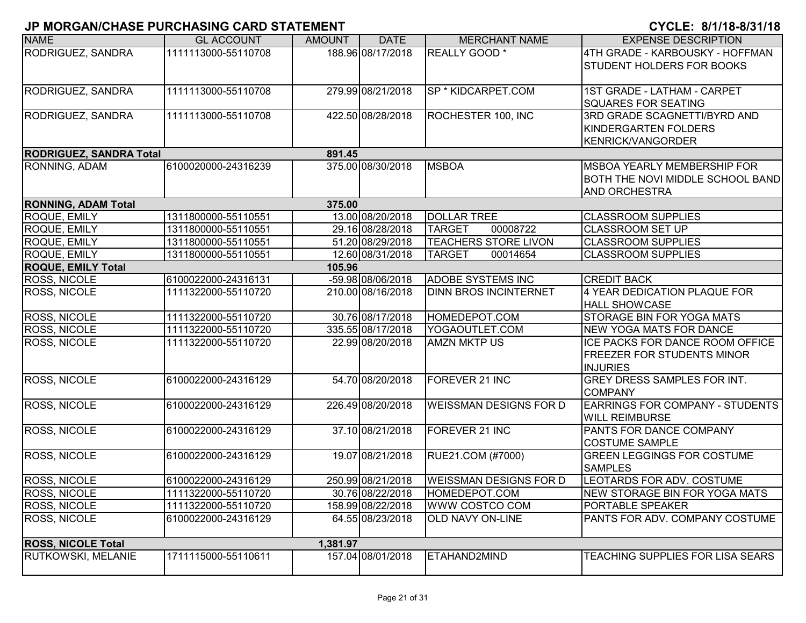| <b>NAME</b>                    | <b>GL ACCOUNT</b>   | <b>AMOUNT</b> | <b>DATE</b>       | <b>MERCHANT NAME</b>          | <b>EXPENSE DESCRIPTION</b>             |
|--------------------------------|---------------------|---------------|-------------------|-------------------------------|----------------------------------------|
| RODRIGUEZ, SANDRA              | 1111113000-55110708 |               | 188.96 08/17/2018 | <b>REALLY GOOD</b> *          | 4TH GRADE - KARBOUSKY - HOFFMAN        |
|                                |                     |               |                   |                               | <b>STUDENT HOLDERS FOR BOOKS</b>       |
|                                |                     |               |                   |                               |                                        |
| RODRIGUEZ, SANDRA              | 1111113000-55110708 |               | 279.99 08/21/2018 | SP * KIDCARPET.COM            | 1ST GRADE - LATHAM - CARPET            |
|                                |                     |               |                   |                               | <b>SQUARES FOR SEATING</b>             |
| RODRIGUEZ, SANDRA              | 1111113000-55110708 |               | 422.50 08/28/2018 | ROCHESTER 100, INC            | 3RD GRADE SCAGNETTI/BYRD AND           |
|                                |                     |               |                   |                               | <b>KINDERGARTEN FOLDERS</b>            |
|                                |                     |               |                   |                               | <b>KENRICK/VANGORDER</b>               |
| <b>RODRIGUEZ, SANDRA Total</b> |                     | 891.45        |                   |                               |                                        |
| RONNING, ADAM                  | 6100020000-24316239 |               | 375.00 08/30/2018 | <b>MSBOA</b>                  | <b>MSBOA YEARLY MEMBERSHIP FOR</b>     |
|                                |                     |               |                   |                               | BOTH THE NOVI MIDDLE SCHOOL BAND       |
|                                |                     |               |                   |                               | <b>AND ORCHESTRA</b>                   |
| <b>RONNING, ADAM Total</b>     |                     | 375.00        |                   |                               |                                        |
| <b>ROQUE, EMILY</b>            | 1311800000-55110551 |               | 13.00 08/20/2018  | <b>DOLLAR TREE</b>            | <b>CLASSROOM SUPPLIES</b>              |
| <b>ROQUE, EMILY</b>            | 1311800000-55110551 |               | 29.16 08/28/2018  | <b>TARGET</b><br>00008722     | <b>CLASSROOM SET UP</b>                |
| ROQUE, EMILY                   | 1311800000-55110551 |               | 51.20 08/29/2018  | <b>TEACHERS STORE LIVON</b>   | <b>CLASSROOM SUPPLIES</b>              |
| <b>ROQUE, EMILY</b>            | 1311800000-55110551 |               | 12.60 08/31/2018  | <b>TARGET</b><br>00014654     | <b>CLASSROOM SUPPLIES</b>              |
| <b>ROQUE, EMILY Total</b>      |                     | 105.96        |                   |                               |                                        |
| <b>ROSS, NICOLE</b>            | 6100022000-24316131 |               | -59.98 08/06/2018 | <b>ADOBE SYSTEMS INC</b>      | <b>CREDIT BACK</b>                     |
| ROSS, NICOLE                   | 1111322000-55110720 |               | 210.00 08/16/2018 | <b>DINN BROS INCINTERNET</b>  | 4 YEAR DEDICATION PLAQUE FOR           |
|                                |                     |               |                   |                               | <b>HALL SHOWCASE</b>                   |
| <b>ROSS, NICOLE</b>            | 1111322000-55110720 |               | 30.76 08/17/2018  | HOMEDEPOT.COM                 | STORAGE BIN FOR YOGA MATS              |
| <b>ROSS, NICOLE</b>            | 1111322000-55110720 |               | 335.55 08/17/2018 | YOGAOUTLET.COM                | <b>NEW YOGA MATS FOR DANCE</b>         |
| <b>ROSS, NICOLE</b>            | 1111322000-55110720 |               | 22.99 08/20/2018  | <b>AMZN MKTP US</b>           | ICE PACKS FOR DANCE ROOM OFFICE        |
|                                |                     |               |                   |                               | <b>FREEZER FOR STUDENTS MINOR</b>      |
|                                |                     |               |                   |                               | <b>INJURIES</b>                        |
| <b>ROSS, NICOLE</b>            | 6100022000-24316129 |               | 54.70 08/20/2018  | FOREVER 21 INC                | GREY DRESS SAMPLES FOR INT.            |
|                                |                     |               |                   |                               | <b>COMPANY</b>                         |
| <b>ROSS, NICOLE</b>            | 6100022000-24316129 |               | 226.49 08/20/2018 | <b>WEISSMAN DESIGNS FOR D</b> | <b>EARRINGS FOR COMPANY - STUDENTS</b> |
|                                |                     |               |                   |                               | <b>WILL REIMBURSE</b>                  |
| <b>ROSS, NICOLE</b>            | 6100022000-24316129 |               | 37.10 08/21/2018  | FOREVER 21 INC                | <b>PANTS FOR DANCE COMPANY</b>         |
|                                |                     |               |                   |                               | <b>COSTUME SAMPLE</b>                  |
| <b>ROSS, NICOLE</b>            | 6100022000-24316129 |               | 19.07 08/21/2018  | RUE21.COM (#7000)             | <b>GREEN LEGGINGS FOR COSTUME</b>      |
|                                |                     |               |                   |                               | <b>SAMPLES</b>                         |
| <b>ROSS, NICOLE</b>            | 6100022000-24316129 |               | 250.99 08/21/2018 | <b>WEISSMAN DESIGNS FOR D</b> | LEOTARDS FOR ADV. COSTUME              |
| <b>ROSS, NICOLE</b>            | 1111322000-55110720 |               | 30.76 08/22/2018  | HOMEDEPOT.COM                 | <b>NEW STORAGE BIN FOR YOGA MATS</b>   |
| <b>ROSS, NICOLE</b>            | 1111322000-55110720 |               | 158.99 08/22/2018 | WWW COSTCO COM                | <b>PORTABLE SPEAKER</b>                |
| <b>ROSS, NICOLE</b>            | 6100022000-24316129 |               | 64.55 08/23/2018  | <b>OLD NAVY ON-LINE</b>       | PANTS FOR ADV. COMPANY COSTUME         |
|                                |                     |               |                   |                               |                                        |
| <b>ROSS, NICOLE Total</b>      |                     | 1,381.97      |                   |                               |                                        |
| RUTKOWSKI, MELANIE             | 1711115000-55110611 |               | 157.04 08/01/2018 | ETAHAND2MIND                  | TEACHING SUPPLIES FOR LISA SEARS       |
|                                |                     |               |                   |                               |                                        |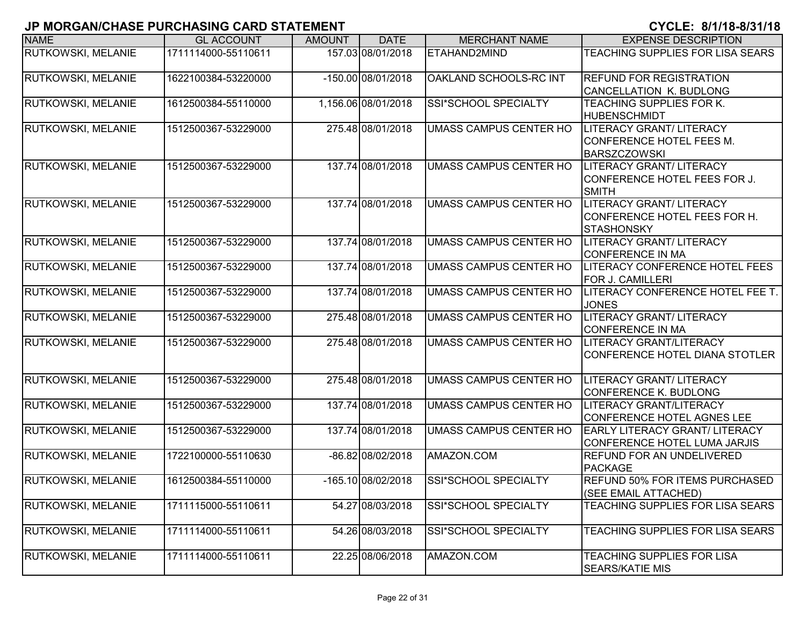| <b>NAME</b>               | <b>GL ACCOUNT</b>   | <b>AMOUNT</b> | <b>DATE</b>         | <b>MERCHANT NAME</b>          | <b>EXPENSE DESCRIPTION</b>                                                           |
|---------------------------|---------------------|---------------|---------------------|-------------------------------|--------------------------------------------------------------------------------------|
| RUTKOWSKI, MELANIE        | 1711114000-55110611 |               | 157.03 08/01/2018   | ETAHAND2MIND                  | TEACHING SUPPLIES FOR LISA SEARS                                                     |
| RUTKOWSKI, MELANIE        | 1622100384-53220000 |               | -150.00 08/01/2018  | OAKLAND SCHOOLS-RC INT        | <b>REFUND FOR REGISTRATION</b><br>CANCELLATION K. BUDLONG                            |
| RUTKOWSKI, MELANIE        | 1612500384-55110000 |               | 1,156.06 08/01/2018 | SSI*SCHOOL SPECIALTY          | TEACHING SUPPLIES FOR K.                                                             |
|                           |                     |               |                     |                               | <b>HUBENSCHMIDT</b>                                                                  |
| <b>RUTKOWSKI, MELANIE</b> | 1512500367-53229000 |               | 275.48 08/01/2018   | <b>UMASS CAMPUS CENTER HO</b> | LITERACY GRANT/ LITERACY<br>CONFERENCE HOTEL FEES M.                                 |
|                           |                     |               |                     |                               | <b>BARSZCZOWSKI</b>                                                                  |
| <b>RUTKOWSKI, MELANIE</b> | 1512500367-53229000 |               | 137.74 08/01/2018   | <b>UMASS CAMPUS CENTER HO</b> | LITERACY GRANT/ LITERACY<br>CONFERENCE HOTEL FEES FOR J.<br><b>SMITH</b>             |
| <b>RUTKOWSKI, MELANIE</b> | 1512500367-53229000 |               | 137.74 08/01/2018   | <b>UMASS CAMPUS CENTER HO</b> | <b>LITERACY GRANT/ LITERACY</b><br>CONFERENCE HOTEL FEES FOR H.<br><b>STASHONSKY</b> |
| <b>RUTKOWSKI, MELANIE</b> | 1512500367-53229000 |               | 137.74 08/01/2018   | UMASS CAMPUS CENTER HO        | LITERACY GRANT/ LITERACY<br><b>CONFERENCE IN MA</b>                                  |
| RUTKOWSKI, MELANIE        | 1512500367-53229000 |               | 137.74 08/01/2018   | <b>UMASS CAMPUS CENTER HO</b> | <b>LITERACY CONFERENCE HOTEL FEES</b><br>FOR J. CAMILLERI                            |
| <b>RUTKOWSKI, MELANIE</b> | 1512500367-53229000 |               | 137.74 08/01/2018   | UMASS CAMPUS CENTER HO        | LITERACY CONFERENCE HOTEL FEE T.<br><b>JONES</b>                                     |
| RUTKOWSKI, MELANIE        | 1512500367-53229000 |               | 275.48 08/01/2018   | <b>UMASS CAMPUS CENTER HO</b> | <b>LITERACY GRANT/ LITERACY</b><br><b>CONFERENCE IN MA</b>                           |
| <b>RUTKOWSKI, MELANIE</b> | 1512500367-53229000 |               | 275.48 08/01/2018   | UMASS CAMPUS CENTER HO        | LITERACY GRANT/LITERACY<br>CONFERENCE HOTEL DIANA STOTLER                            |
| <b>RUTKOWSKI, MELANIE</b> | 1512500367-53229000 |               | 275.48 08/01/2018   | UMASS CAMPUS CENTER HO        | <b>LITERACY GRANT/ LITERACY</b><br><b>CONFERENCE K. BUDLONG</b>                      |
| <b>RUTKOWSKI, MELANIE</b> | 1512500367-53229000 |               | 137.74 08/01/2018   | <b>UMASS CAMPUS CENTER HO</b> | <b>LITERACY GRANT/LITERACY</b><br><b>CONFERENCE HOTEL AGNES LEE</b>                  |
| RUTKOWSKI, MELANIE        | 1512500367-53229000 |               | 137.74 08/01/2018   | <b>UMASS CAMPUS CENTER HO</b> | <b>EARLY LITERACY GRANT/ LITERACY</b><br>CONFERENCE HOTEL LUMA JARJIS                |
| <b>RUTKOWSKI, MELANIE</b> | 1722100000-55110630 |               | -86.82 08/02/2018   | AMAZON.COM                    | <b>REFUND FOR AN UNDELIVERED</b><br><b>PACKAGE</b>                                   |
| <b>RUTKOWSKI, MELANIE</b> | 1612500384-55110000 |               | -165.10 08/02/2018  | SSI*SCHOOL SPECIALTY          | <b>REFUND 50% FOR ITEMS PURCHASED</b><br>(SEE EMAIL ATTACHED)                        |
| <b>RUTKOWSKI, MELANIE</b> | 1711115000-55110611 |               | 54.27 08/03/2018    | SSI*SCHOOL SPECIALTY          | TEACHING SUPPLIES FOR LISA SEARS                                                     |
| <b>RUTKOWSKI, MELANIE</b> | 1711114000-55110611 |               | 54.26 08/03/2018    | SSI*SCHOOL SPECIALTY          | TEACHING SUPPLIES FOR LISA SEARS                                                     |
| <b>RUTKOWSKI, MELANIE</b> | 1711114000-55110611 |               | 22.25 08/06/2018    | AMAZON.COM                    | TEACHING SUPPLIES FOR LISA<br><b>SEARS/KATIE MIS</b>                                 |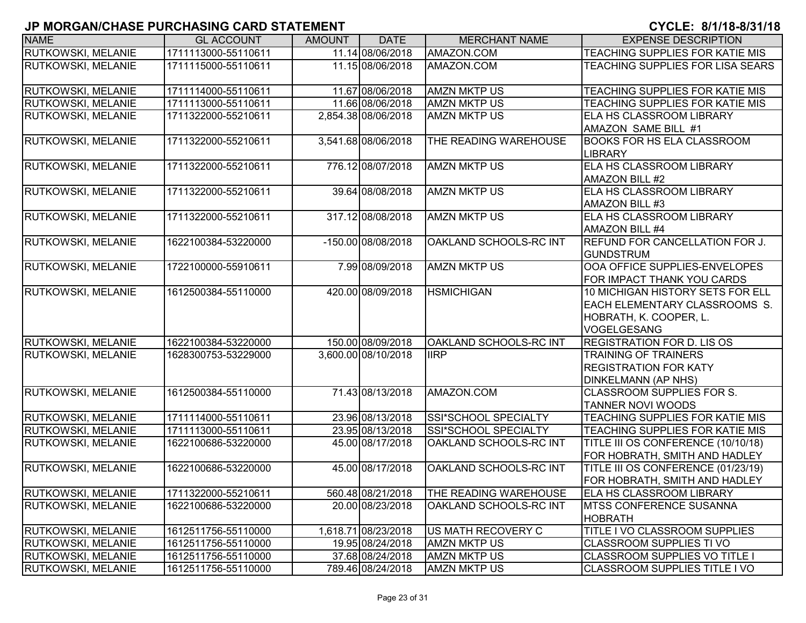| <b>NAME</b>               | <b>GL ACCOUNT</b>   | <b>AMOUNT</b> | <b>DATE</b>         | <b>MERCHANT NAME</b>   | <b>EXPENSE DESCRIPTION</b>                                                                                        |
|---------------------------|---------------------|---------------|---------------------|------------------------|-------------------------------------------------------------------------------------------------------------------|
| RUTKOWSKI, MELANIE        | 1711113000-55110611 |               | 11.14 08/06/2018    | AMAZON.COM             | <b>TEACHING SUPPLIES FOR KATIE MIS</b>                                                                            |
| RUTKOWSKI, MELANIE        | 1711115000-55110611 |               | 11.15 08/06/2018    | AMAZON.COM             | TEACHING SUPPLIES FOR LISA SEARS                                                                                  |
| RUTKOWSKI, MELANIE        | 1711114000-55110611 |               | 11.67 08/06/2018    | <b>AMZN MKTP US</b>    | <b>TEACHING SUPPLIES FOR KATIE MIS</b>                                                                            |
| <b>RUTKOWSKI, MELANIE</b> | 1711113000-55110611 |               | 11.66 08/06/2018    | <b>AMZN MKTP US</b>    | TEACHING SUPPLIES FOR KATIE MIS                                                                                   |
| <b>RUTKOWSKI, MELANIE</b> | 1711322000-55210611 |               | 2,854.38 08/06/2018 | <b>AMZN MKTP US</b>    | <b>ELA HS CLASSROOM LIBRARY</b><br>AMAZON SAME BILL #1                                                            |
| <b>RUTKOWSKI, MELANIE</b> | 1711322000-55210611 |               | 3,541.68 08/06/2018 | THE READING WAREHOUSE  | <b>BOOKS FOR HS ELA CLASSROOM</b><br><b>LIBRARY</b>                                                               |
| RUTKOWSKI, MELANIE        | 1711322000-55210611 |               | 776.12 08/07/2018   | <b>AMZN MKTP US</b>    | ELA HS CLASSROOM LIBRARY<br><b>AMAZON BILL #2</b>                                                                 |
| RUTKOWSKI, MELANIE        | 1711322000-55210611 |               | 39.64 08/08/2018    | <b>AMZN MKTP US</b>    | <b>ELA HS CLASSROOM LIBRARY</b><br><b>AMAZON BILL #3</b>                                                          |
| <b>RUTKOWSKI, MELANIE</b> | 1711322000-55210611 |               | 317.12 08/08/2018   | <b>AMZN MKTP US</b>    | <b>ELA HS CLASSROOM LIBRARY</b><br><b>AMAZON BILL #4</b>                                                          |
| <b>RUTKOWSKI, MELANIE</b> | 1622100384-53220000 |               | -150.00 08/08/2018  | OAKLAND SCHOOLS-RC INT | <b>REFUND FOR CANCELLATION FOR J.</b><br><b>IGUNDSTRUM</b>                                                        |
| RUTKOWSKI, MELANIE        | 1722100000-55910611 |               | 7.99 08/09/2018     | <b>AMZN MKTP US</b>    | OOA OFFICE SUPPLIES-ENVELOPES<br>FOR IMPACT THANK YOU CARDS                                                       |
| RUTKOWSKI, MELANIE        | 1612500384-55110000 |               | 420.00 08/09/2018   | <b>HSMICHIGAN</b>      | 10 MICHIGAN HISTORY SETS FOR ELL<br>EACH ELEMENTARY CLASSROOMS S.<br>HOBRATH, K. COOPER, L.<br><b>VOGELGESANG</b> |
| <b>RUTKOWSKI, MELANIE</b> | 1622100384-53220000 |               | 150.00 08/09/2018   | OAKLAND SCHOOLS-RC INT | <b>REGISTRATION FOR D. LIS OS</b>                                                                                 |
| <b>RUTKOWSKI, MELANIE</b> | 1628300753-53229000 |               | 3,600.00 08/10/2018 | <b>IIRP</b>            | <b>TRAINING OF TRAINERS</b><br><b>REGISTRATION FOR KATY</b><br><b>DINKELMANN (AP NHS)</b>                         |
| RUTKOWSKI, MELANIE        | 1612500384-55110000 |               | 71.43 08/13/2018    | AMAZON.COM             | <b>CLASSROOM SUPPLIES FOR S.</b><br><b>TANNER NOVI WOODS</b>                                                      |
| <b>RUTKOWSKI, MELANIE</b> | 1711114000-55110611 |               | 23.96 08/13/2018    | SSI*SCHOOL SPECIALTY   | TEACHING SUPPLIES FOR KATIE MIS                                                                                   |
| <b>RUTKOWSKI, MELANIE</b> | 1711113000-55110611 |               | 23.95 08/13/2018    | SSI*SCHOOL SPECIALTY   | TEACHING SUPPLIES FOR KATIE MIS                                                                                   |
| <b>RUTKOWSKI, MELANIE</b> | 1622100686-53220000 |               | 45.00 08/17/2018    | OAKLAND SCHOOLS-RC INT | TITLE III OS CONFERENCE (10/10/18)<br>FOR HOBRATH, SMITH AND HADLEY                                               |
| RUTKOWSKI, MELANIE        | 1622100686-53220000 |               | 45.00 08/17/2018    | OAKLAND SCHOOLS-RC INT | TITLE III OS CONFERENCE (01/23/19)<br>FOR HOBRATH, SMITH AND HADLEY                                               |
| <b>RUTKOWSKI, MELANIE</b> | 1711322000-55210611 |               | 560.48 08/21/2018   | THE READING WAREHOUSE  | <b>ELA HS CLASSROOM LIBRARY</b>                                                                                   |
| <b>RUTKOWSKI, MELANIE</b> | 1622100686-53220000 |               | 20.00 08/23/2018    | OAKLAND SCHOOLS-RC INT | <b>IMTSS CONFERENCE SUSANNA</b><br><b>HOBRATH</b>                                                                 |
| <b>RUTKOWSKI, MELANIE</b> | 1612511756-55110000 |               | 1,618.71 08/23/2018 | US MATH RECOVERY C     | TITLE I VO CLASSROOM SUPPLIES                                                                                     |
| <b>RUTKOWSKI, MELANIE</b> | 1612511756-55110000 |               | 19.95 08/24/2018    | <b>AMZN MKTP US</b>    | CLASSROOM SUPPLIES TI VO                                                                                          |
| <b>RUTKOWSKI, MELANIE</b> | 1612511756-55110000 |               | 37.68 08/24/2018    | <b>AMZN MKTP US</b>    | <b>CLASSROOM SUPPLIES VO TITLE I</b>                                                                              |
| <b>RUTKOWSKI, MELANIE</b> | 1612511756-55110000 |               | 789.46 08/24/2018   | <b>AMZN MKTP US</b>    | <b>CLASSROOM SUPPLIES TITLE I VO</b>                                                                              |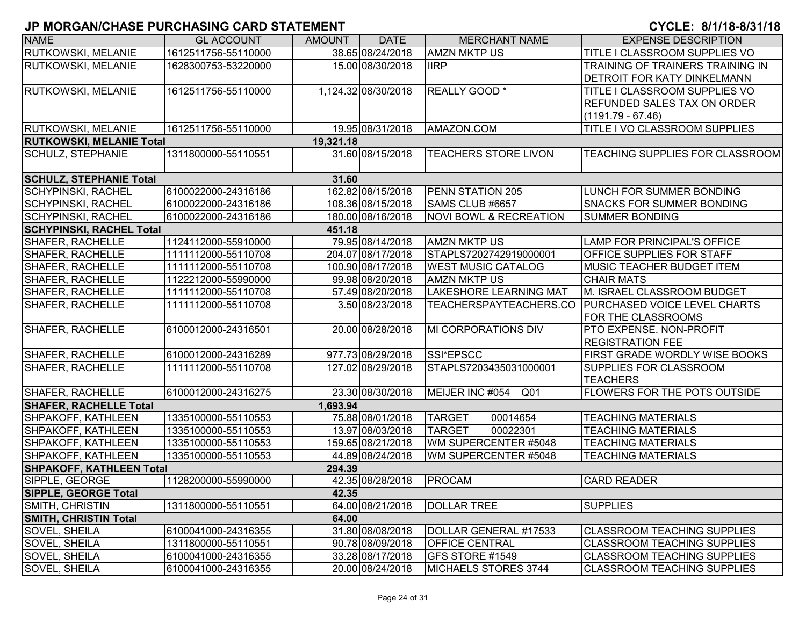| <b>NAME</b>                     | <b>GL ACCOUNT</b>   | <b>AMOUNT</b> | <b>DATE</b>         | <b>MERCHANT NAME</b>              | <b>EXPENSE DESCRIPTION</b>                                |
|---------------------------------|---------------------|---------------|---------------------|-----------------------------------|-----------------------------------------------------------|
| RUTKOWSKI, MELANIE              | 1612511756-55110000 |               | 38.65 08/24/2018    | <b>AMZN MKTP US</b>               | TITLE I CLASSROOM SUPPLIES VO                             |
| RUTKOWSKI, MELANIE              | 1628300753-53220000 |               | 15.00 08/30/2018    | <b>IIRP</b>                       | TRAINING OF TRAINERS TRAINING IN                          |
|                                 |                     |               |                     |                                   | <b>DETROIT FOR KATY DINKELMANN</b>                        |
| RUTKOWSKI, MELANIE              | 1612511756-55110000 |               | 1,124.32 08/30/2018 | REALLY GOOD *                     | <b>TITLE I CLASSROOM SUPPLIES VO</b>                      |
|                                 |                     |               |                     |                                   | <b>REFUNDED SALES TAX ON ORDER</b>                        |
|                                 |                     |               |                     |                                   | $(1191.79 - 67.46)$                                       |
| <b>RUTKOWSKI, MELANIE</b>       | 1612511756-55110000 |               | 19.95 08/31/2018    | AMAZON.COM                        | TITLE I VO CLASSROOM SUPPLIES                             |
| <b>RUTKOWSKI, MELANIE Total</b> |                     | 19,321.18     |                     |                                   |                                                           |
| <b>SCHULZ, STEPHANIE</b>        | 1311800000-55110551 |               | 31.60 08/15/2018    | <b>TEACHERS STORE LIVON</b>       | <b>TEACHING SUPPLIES FOR CLASSROOM</b>                    |
| <b>SCHULZ, STEPHANIE Total</b>  |                     | 31.60         |                     |                                   |                                                           |
| <b>SCHYPINSKI, RACHEL</b>       | 6100022000-24316186 |               | 162.82 08/15/2018   | PENN STATION 205                  | LUNCH FOR SUMMER BONDING                                  |
| <b>SCHYPINSKI, RACHEL</b>       | 6100022000-24316186 |               | 108.36 08/15/2018   | SAMS CLUB #6657                   | <b>SNACKS FOR SUMMER BONDING</b>                          |
| <b>SCHYPINSKI, RACHEL</b>       | 6100022000-24316186 |               | 180.00 08/16/2018   | <b>NOVI BOWL &amp; RECREATION</b> | <b>SUMMER BONDING</b>                                     |
| <b>SCHYPINSKI, RACHEL Total</b> |                     | 451.18        |                     |                                   |                                                           |
| <b>SHAFER, RACHELLE</b>         | 1124112000-55910000 |               | 79.95 08/14/2018    | <b>AMZN MKTP US</b>               | LAMP FOR PRINCIPAL'S OFFICE                               |
| <b>SHAFER, RACHELLE</b>         | 1111112000-55110708 |               | 204.07 08/17/2018   | STAPLS7202742919000001            | <b>OFFICE SUPPLIES FOR STAFF</b>                          |
| <b>SHAFER, RACHELLE</b>         | 1111112000-55110708 |               | 100.90 08/17/2018   | <b>WEST MUSIC CATALOG</b>         | <b>MUSIC TEACHER BUDGET ITEM</b>                          |
| SHAFER, RACHELLE                | 1122212000-55990000 |               | 99.98 08/20/2018    | <b>AMZN MKTP US</b>               | <b>CHAIR MATS</b>                                         |
| <b>SHAFER, RACHELLE</b>         | 1111112000-55110708 |               | 57.49 08/20/2018    | <b>LAKESHORE LEARNING MAT</b>     | M. ISRAEL CLASSROOM BUDGET                                |
| SHAFER, RACHELLE                | 1111112000-55110708 |               | 3.50 08/23/2018     | TEACHERSPAYTEACHERS.CO            | <b>PURCHASED VOICE LEVEL CHARTS</b><br>FOR THE CLASSROOMS |
| <b>SHAFER, RACHELLE</b>         | 6100012000-24316501 |               | 20.00 08/28/2018    | <b>MI CORPORATIONS DIV</b>        | <b>PTO EXPENSE. NON-PROFIT</b><br><b>REGISTRATION FEE</b> |
| <b>SHAFER, RACHELLE</b>         | 6100012000-24316289 |               | 977.73 08/29/2018   | SSI*EPSCC                         | FIRST GRADE WORDLY WISE BOOKS                             |
| <b>SHAFER, RACHELLE</b>         | 1111112000-55110708 |               | 127.02 08/29/2018   | STAPLS7203435031000001            | SUPPLIES FOR CLASSROOM<br><b>TEACHERS</b>                 |
| SHAFER, RACHELLE                | 6100012000-24316275 |               | 23.30 08/30/2018    | MEIJER INC #054<br>Q01            | <b>FLOWERS FOR THE POTS OUTSIDE</b>                       |
| <b>SHAFER, RACHELLE Total</b>   |                     | 1,693.94      |                     |                                   |                                                           |
| SHPAKOFF, KATHLEEN              | 1335100000-55110553 |               | 75.88 08/01/2018    | <b>TARGET</b><br>00014654         | <b>TEACHING MATERIALS</b>                                 |
| SHPAKOFF, KATHLEEN              | 1335100000-55110553 |               | 13.97 08/03/2018    | <b>TARGET</b><br>00022301         | <b>TEACHING MATERIALS</b>                                 |
| SHPAKOFF, KATHLEEN              | 1335100000-55110553 |               | 159.65 08/21/2018   | WM SUPERCENTER #5048              | <b>TEACHING MATERIALS</b>                                 |
| SHPAKOFF, KATHLEEN              | 1335100000-55110553 |               | 44.89 08/24/2018    | WM SUPERCENTER #5048              | <b>TEACHING MATERIALS</b>                                 |
| <b>SHPAKOFF, KATHLEEN Total</b> |                     | 294.39        |                     |                                   |                                                           |
| SIPPLE, GEORGE                  | 1128200000-55990000 |               | 42.35 08/28/2018    | PROCAM                            | <b>CARD READER</b>                                        |
| <b>SIPPLE, GEORGE Total</b>     |                     | 42.35         |                     |                                   |                                                           |
| <b>SMITH, CHRISTIN</b>          | 1311800000-55110551 |               | 64.00 08/21/2018    | <b>DOLLAR TREE</b>                | <b>SUPPLIES</b>                                           |
| <b>SMITH, CHRISTIN Total</b>    |                     | 64.00         |                     |                                   |                                                           |
| SOVEL, SHEILA                   | 6100041000-24316355 |               | 31.80 08/08/2018    | DOLLAR GENERAL #17533             | <b>CLASSROOM TEACHING SUPPLIES</b>                        |
| SOVEL, SHEILA                   | 1311800000-55110551 |               | 90.78 08/09/2018    | <b>OFFICE CENTRAL</b>             | <b>CLASSROOM TEACHING SUPPLIES</b>                        |
| SOVEL, SHEILA                   | 6100041000-24316355 |               | 33.28 08/17/2018    | GFS STORE #1549                   | <b>CLASSROOM TEACHING SUPPLIES</b>                        |
| SOVEL, SHEILA                   | 6100041000-24316355 |               | 20.00 08/24/2018    | MICHAELS STORES 3744              | <b>CLASSROOM TEACHING SUPPLIES</b>                        |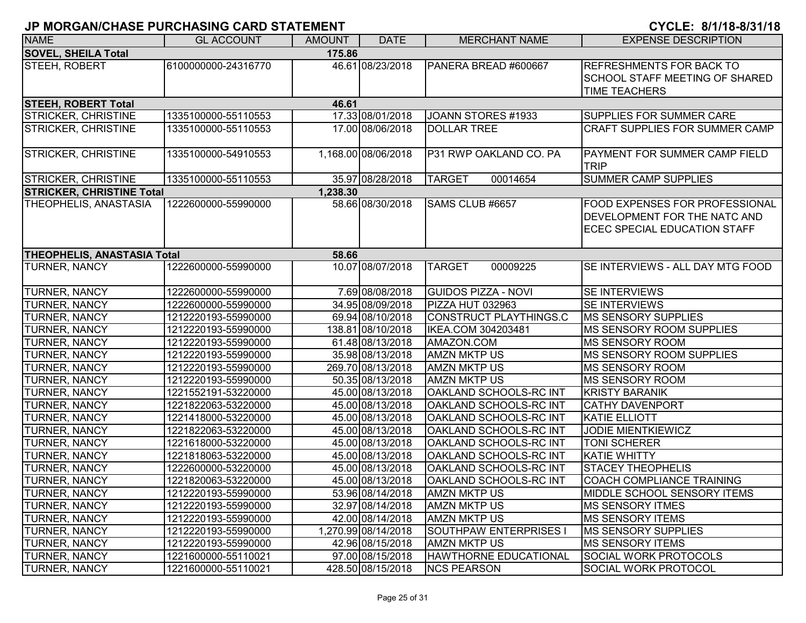| CYCLE: 8/1/18-8/31/18 |  |  |  |  |  |  |
|-----------------------|--|--|--|--|--|--|
|-----------------------|--|--|--|--|--|--|

| <b>NAME</b>                          | <b>GL ACCOUNT</b>   | <b>AMOUNT</b> | <b>DATE</b>         | <b>MERCHANT NAME</b>          | <b>EXPENSE DESCRIPTION</b>                                                                                          |  |  |  |
|--------------------------------------|---------------------|---------------|---------------------|-------------------------------|---------------------------------------------------------------------------------------------------------------------|--|--|--|
| <b>SOVEL, SHEILA Total</b><br>175.86 |                     |               |                     |                               |                                                                                                                     |  |  |  |
| STEEH, ROBERT                        | 6100000000-24316770 |               | 46.61 08/23/2018    | PANERA BREAD #600667          | <b>REFRESHMENTS FOR BACK TO</b><br><b>SCHOOL STAFF MEETING OF SHARED</b><br><b>TIME TEACHERS</b>                    |  |  |  |
| <b>STEEH, ROBERT Total</b>           |                     | 46.61         |                     |                               |                                                                                                                     |  |  |  |
| <b>STRICKER, CHRISTINE</b>           | 1335100000-55110553 |               | 17.33 08/01/2018    | JOANN STORES #1933            | <b>SUPPLIES FOR SUMMER CARE</b>                                                                                     |  |  |  |
| <b>STRICKER, CHRISTINE</b>           | 1335100000-55110553 |               | 17.00 08/06/2018    | <b>DOLLAR TREE</b>            | <b>CRAFT SUPPLIES FOR SUMMER CAMP</b>                                                                               |  |  |  |
| <b>STRICKER, CHRISTINE</b>           | 1335100000-54910553 |               | 1,168.00 08/06/2018 | P31 RWP OAKLAND CO. PA        | <b>PAYMENT FOR SUMMER CAMP FIELD</b><br><b>TRIP</b>                                                                 |  |  |  |
| <b>STRICKER, CHRISTINE</b>           | 1335100000-55110553 |               | 35.97 08/28/2018    | <b>TARGET</b><br>00014654     | <b>SUMMER CAMP SUPPLIES</b>                                                                                         |  |  |  |
| <b>STRICKER, CHRISTINE Total</b>     |                     | 1,238.30      |                     |                               |                                                                                                                     |  |  |  |
| THEOPHELIS, ANASTASIA                | 1222600000-55990000 |               | 58.66 08/30/2018    | SAMS CLUB #6657               | <b>FOOD EXPENSES FOR PROFESSIONAL</b><br><b>DEVELOPMENT FOR THE NATC AND</b><br><b>ECEC SPECIAL EDUCATION STAFF</b> |  |  |  |
| <b>THEOPHELIS, ANASTASIA Total</b>   |                     | 58.66         |                     |                               |                                                                                                                     |  |  |  |
| <b>TURNER, NANCY</b>                 | 1222600000-55990000 |               | 10.07 08/07/2018    | <b>TARGET</b><br>00009225     | SE INTERVIEWS - ALL DAY MTG FOOD                                                                                    |  |  |  |
| <b>TURNER, NANCY</b>                 | 1222600000-55990000 |               | 7.69 08/08/2018     | <b>GUIDOS PIZZA - NOVI</b>    | SE INTERVIEWS                                                                                                       |  |  |  |
| <b>TURNER, NANCY</b>                 | 1222600000-55990000 |               | 34.95 08/09/2018    | PIZZA HUT 032963              | SE INTERVIEWS                                                                                                       |  |  |  |
| <b>TURNER, NANCY</b>                 | 1212220193-55990000 |               | 69.94 08/10/2018    | CONSTRUCT PLAYTHINGS.C        | <b>MS SENSORY SUPPLIES</b>                                                                                          |  |  |  |
| <b>TURNER, NANCY</b>                 | 1212220193-55990000 |               | 138.81 08/10/2018   | IKEA.COM 304203481            | MS SENSORY ROOM SUPPLIES                                                                                            |  |  |  |
| <b>TURNER, NANCY</b>                 | 1212220193-55990000 |               | 61.48 08/13/2018    | AMAZON.COM                    | <b>MS SENSORY ROOM</b>                                                                                              |  |  |  |
| <b>TURNER, NANCY</b>                 | 1212220193-55990000 |               | 35.98 08/13/2018    | <b>AMZN MKTP US</b>           | <b>IMS SENSORY ROOM SUPPLIES</b>                                                                                    |  |  |  |
| <b>TURNER, NANCY</b>                 | 1212220193-55990000 |               | 269.70 08/13/2018   | <b>AMZN MKTP US</b>           | <b>MS SENSORY ROOM</b>                                                                                              |  |  |  |
| <b>TURNER, NANCY</b>                 | 1212220193-55990000 |               | 50.35 08/13/2018    | <b>AMZN MKTP US</b>           | <b>IMS SENSORY ROOM</b>                                                                                             |  |  |  |
| <b>TURNER, NANCY</b>                 | 1221552191-53220000 |               | 45.00 08/13/2018    | OAKLAND SCHOOLS-RC INT        | <b>KRISTY BARANIK</b>                                                                                               |  |  |  |
| <b>TURNER, NANCY</b>                 | 1221822063-53220000 |               | 45.00 08/13/2018    | OAKLAND SCHOOLS-RC INT        | <b>CATHY DAVENPORT</b>                                                                                              |  |  |  |
| <b>TURNER, NANCY</b>                 | 1221418000-53220000 |               | 45.00 08/13/2018    | OAKLAND SCHOOLS-RC INT        | <b>KATIE ELLIOTT</b>                                                                                                |  |  |  |
| <b>TURNER, NANCY</b>                 | 1221822063-53220000 |               | 45.00 08/13/2018    | OAKLAND SCHOOLS-RC INT        | <b>JODIE MIENTKIEWICZ</b>                                                                                           |  |  |  |
| <b>TURNER, NANCY</b>                 | 1221618000-53220000 |               | 45.00 08/13/2018    | <b>OAKLAND SCHOOLS-RC INT</b> | <b>TONI SCHERER</b>                                                                                                 |  |  |  |
| <b>TURNER, NANCY</b>                 | 1221818063-53220000 |               | 45.00 08/13/2018    | OAKLAND SCHOOLS-RC INT        | <b>KATIE WHITTY</b>                                                                                                 |  |  |  |
| <b>TURNER, NANCY</b>                 | 1222600000-53220000 |               | 45.00 08/13/2018    | OAKLAND SCHOOLS-RC INT        | <b>STACEY THEOPHELIS</b>                                                                                            |  |  |  |
| <b>TURNER, NANCY</b>                 | 1221820063-53220000 |               | 45.00 08/13/2018    | OAKLAND SCHOOLS-RC INT        | <b>COACH COMPLIANCE TRAINING</b>                                                                                    |  |  |  |
| <b>TURNER, NANCY</b>                 | 1212220193-55990000 |               | 53.96 08/14/2018    | <b>AMZN MKTP US</b>           | MIDDLE SCHOOL SENSORY ITEMS                                                                                         |  |  |  |
| <b>TURNER, NANCY</b>                 | 1212220193-55990000 |               | 32.97 08/14/2018    | <b>AMZN MKTP US</b>           | <b>MS SENSORY ITMES</b>                                                                                             |  |  |  |
| <b>TURNER, NANCY</b>                 | 1212220193-55990000 |               | 42.00 08/14/2018    | <b>AMZN MKTP US</b>           | <b>MS SENSORY ITEMS</b>                                                                                             |  |  |  |
| <b>TURNER, NANCY</b>                 | 1212220193-55990000 |               | 1,270.99 08/14/2018 | SOUTHPAW ENTERPRISES I        | <b>IMS SENSORY SUPPLIES</b>                                                                                         |  |  |  |
| <b>TURNER, NANCY</b>                 | 1212220193-55990000 |               | 42.96 08/15/2018    | <b>AMZN MKTP US</b>           | <b>MS SENSORY ITEMS</b>                                                                                             |  |  |  |
| <b>TURNER, NANCY</b>                 | 1221600000-55110021 |               | 97.00 08/15/2018    | <b>HAWTHORNE EDUCATIONAL</b>  | <b>SOCIAL WORK PROTOCOLS</b>                                                                                        |  |  |  |
| <b>TURNER, NANCY</b>                 | 1221600000-55110021 |               | 428.50 08/15/2018   | <b>NCS PEARSON</b>            | SOCIAL WORK PROTOCOL                                                                                                |  |  |  |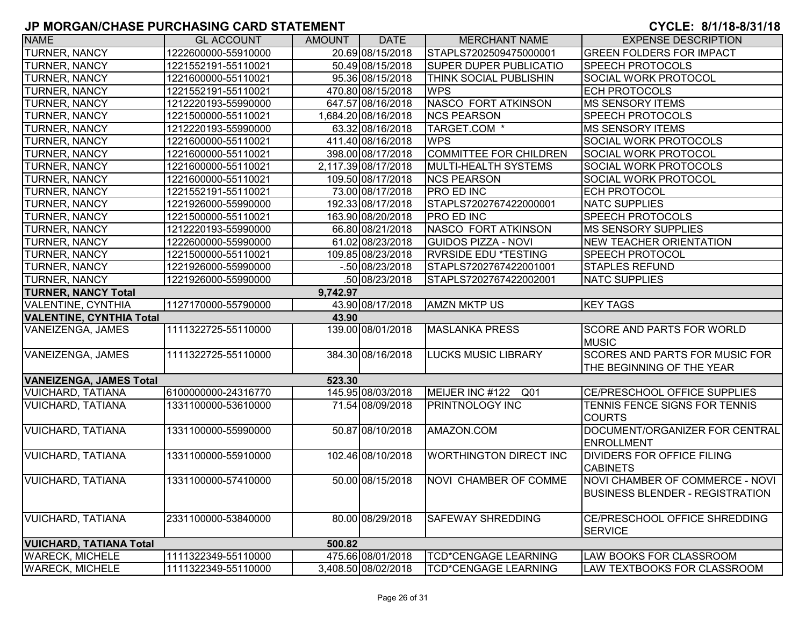| <b>NAME</b>                     | <b>GL ACCOUNT</b>   | <b>AMOUNT</b> | <b>DATE</b>         | <b>MERCHANT NAME</b>          | <b>EXPENSE DESCRIPTION</b>                                                |
|---------------------------------|---------------------|---------------|---------------------|-------------------------------|---------------------------------------------------------------------------|
| TURNER, NANCY                   | 1222600000-55910000 |               | 20.69 08/15/2018    | STAPLS7202509475000001        | <b>GREEN FOLDERS FOR IMPACT</b>                                           |
| <b>TURNER, NANCY</b>            | 1221552191-55110021 |               | 50.49 08/15/2018    | <b>SUPER DUPER PUBLICATIO</b> | <b>SPEECH PROTOCOLS</b>                                                   |
| <b>TURNER, NANCY</b>            | 1221600000-55110021 |               | 95.36 08/15/2018    | <b>THINK SOCIAL PUBLISHIN</b> | <b>SOCIAL WORK PROTOCOL</b>                                               |
| <b>TURNER, NANCY</b>            | 1221552191-55110021 |               | 470.80 08/15/2018   | <b>WPS</b>                    | <b>ECH PROTOCOLS</b>                                                      |
| <b>TURNER, NANCY</b>            | 1212220193-55990000 |               | 647.57 08/16/2018   | <b>NASCO FORT ATKINSON</b>    | <b>MS SENSORY ITEMS</b>                                                   |
| <b>TURNER, NANCY</b>            | 1221500000-55110021 |               | 1,684.20 08/16/2018 | <b>NCS PEARSON</b>            | <b>SPEECH PROTOCOLS</b>                                                   |
| <b>TURNER, NANCY</b>            | 1212220193-55990000 |               | 63.32 08/16/2018    | TARGET.COM *                  | <b>MS SENSORY ITEMS</b>                                                   |
| TURNER, NANCY                   | 1221600000-55110021 |               | 411.40 08/16/2018   | <b>WPS</b>                    | <b>SOCIAL WORK PROTOCOLS</b>                                              |
| TURNER, NANCY                   | 1221600000-55110021 |               | 398.00 08/17/2018   | <b>COMMITTEE FOR CHILDREN</b> | <b>SOCIAL WORK PROTOCOL</b>                                               |
| <b>TURNER, NANCY</b>            | 1221600000-55110021 |               | 2,117.39 08/17/2018 | MULTI-HEALTH SYSTEMS          | SOCIAL WORK PROTOCOLS                                                     |
| <b>TURNER, NANCY</b>            | 1221600000-55110021 |               | 109.50 08/17/2018   | <b>NCS PEARSON</b>            | SOCIAL WORK PROTOCOL                                                      |
| TURNER, NANCY                   | 1221552191-55110021 |               | 73.00 08/17/2018    | <b>PRO ED INC</b>             | <b>ECH PROTOCOL</b>                                                       |
| TURNER, NANCY                   | 1221926000-55990000 |               | 192.33 08/17/2018   | STAPLS7202767422000001        | <b>NATC SUPPLIES</b>                                                      |
| <b>TURNER, NANCY</b>            | 1221500000-55110021 |               | 163.90 08/20/2018   | <b>PRO ED INC</b>             | <b>SPEECH PROTOCOLS</b>                                                   |
| TURNER, NANCY                   | 1212220193-55990000 |               | 66.80 08/21/2018    | <b>NASCO FORT ATKINSON</b>    | <b>MS SENSORY SUPPLIES</b>                                                |
| TURNER, NANCY                   | 1222600000-55990000 |               | 61.02 08/23/2018    | <b>GUIDOS PIZZA - NOVI</b>    | <b>NEW TEACHER ORIENTATION</b>                                            |
| TURNER, NANCY                   | 1221500000-55110021 |               | 109.85 08/23/2018   | <b>RVRSIDE EDU *TESTING</b>   | <b>SPEECH PROTOCOL</b>                                                    |
| TURNER, NANCY                   | 1221926000-55990000 |               | $-.50 08/23/2018$   | STAPLS7202767422001001        | <b>STAPLES REFUND</b>                                                     |
| <b>TURNER, NANCY</b>            | 1221926000-55990000 |               | .50 08/23/2018      | STAPLS7202767422002001        | <b>NATC SUPPLIES</b>                                                      |
| <b>TURNER, NANCY Total</b>      |                     | 9,742.97      |                     |                               |                                                                           |
| <b>VALENTINE, CYNTHIA</b>       | 1127170000-55790000 |               | 43.90 08/17/2018    | <b>AMZN MKTP US</b>           | <b>KEY TAGS</b>                                                           |
| <b>VALENTINE, CYNTHIA Total</b> |                     | 43.90         |                     |                               |                                                                           |
| VANEIZENGA, JAMES               | 1111322725-55110000 |               | 139.00 08/01/2018   | <b>MASLANKA PRESS</b>         | <b>SCORE AND PARTS FOR WORLD</b><br><b>MUSIC</b>                          |
| VANEIZENGA, JAMES               | 1111322725-55110000 |               | 384.30 08/16/2018   | <b>LUCKS MUSIC LIBRARY</b>    | <b>SCORES AND PARTS FOR MUSIC FOR</b><br>THE BEGINNING OF THE YEAR        |
| <b>VANEIZENGA, JAMES Total</b>  |                     | 523.30        |                     |                               |                                                                           |
| <b>VUICHARD, TATIANA</b>        | 6100000000-24316770 |               | 145.95 08/03/2018   | MEIJER INC #122 Q01           | CE/PRESCHOOL OFFICE SUPPLIES                                              |
| <b>VUICHARD, TATIANA</b>        | 1331100000-53610000 |               | 71.54 08/09/2018    | <b>PRINTNOLOGY INC</b>        | TENNIS FENCE SIGNS FOR TENNIS<br><b>COURTS</b>                            |
| <b>VUICHARD, TATIANA</b>        | 1331100000-55990000 |               | 50.87 08/10/2018    | AMAZON.COM                    | DOCUMENT/ORGANIZER FOR CENTRAL<br><b>ENROLLMENT</b>                       |
| <b>VUICHARD, TATIANA</b>        | 1331100000-55910000 |               | 102.46 08/10/2018   | <b>WORTHINGTON DIRECT INC</b> | <b>DIVIDERS FOR OFFICE FILING</b><br><b>CABINETS</b>                      |
| <b>VUICHARD, TATIANA</b>        | 1331100000-57410000 |               | 50.00 08/15/2018    | NOVI CHAMBER OF COMME         | NOVI CHAMBER OF COMMERCE - NOVI<br><b>BUSINESS BLENDER - REGISTRATION</b> |
| <b>VUICHARD, TATIANA</b>        | 2331100000-53840000 |               | 80.00 08/29/2018    | <b>SAFEWAY SHREDDING</b>      | CE/PRESCHOOL OFFICE SHREDDING<br><b>SERVICE</b>                           |
| <b>VUICHARD, TATIANA Total</b>  |                     | 500.82        |                     |                               |                                                                           |
| <b>WARECK, MICHELE</b>          | 1111322349-55110000 |               | 475.66 08/01/2018   | <b>TCD*CENGAGE LEARNING</b>   | LAW BOOKS FOR CLASSROOM                                                   |
| <b>WARECK, MICHELE</b>          | 1111322349-55110000 |               | 3,408.50 08/02/2018 | TCD*CENGAGE LEARNING          | LAW TEXTBOOKS FOR CLASSROOM                                               |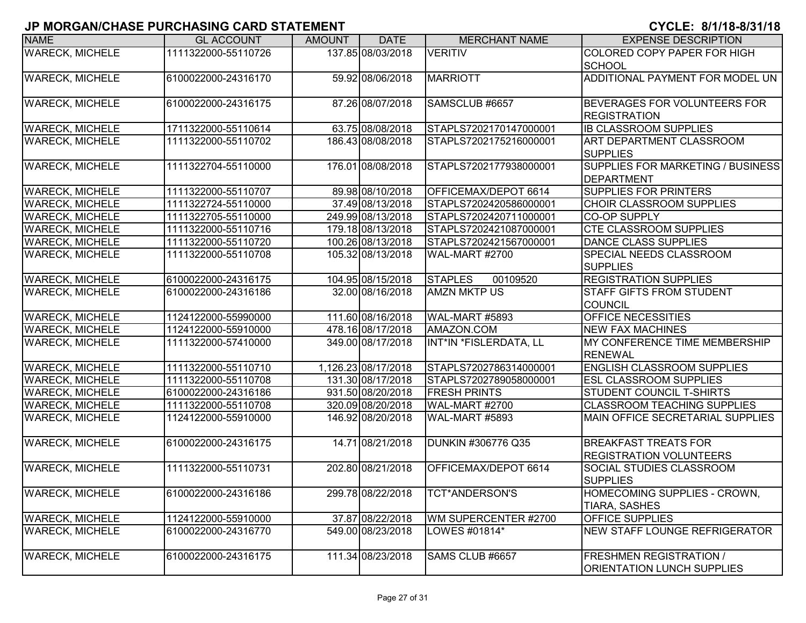| <b>NAME</b>            | <b>GL ACCOUNT</b>   | <b>AMOUNT</b> | <b>DATE</b>         | <b>MERCHANT NAME</b>       | <b>EXPENSE DESCRIPTION</b>                                          |
|------------------------|---------------------|---------------|---------------------|----------------------------|---------------------------------------------------------------------|
| <b>WARECK, MICHELE</b> | 1111322000-55110726 |               | 137.85 08/03/2018   | <b>VERITIV</b>             | COLORED COPY PAPER FOR HIGH<br><b>SCHOOL</b>                        |
| <b>WARECK, MICHELE</b> | 6100022000-24316170 |               | 59.92 08/06/2018    | <b>MARRIOTT</b>            | ADDITIONAL PAYMENT FOR MODEL UN                                     |
| <b>WARECK, MICHELE</b> | 6100022000-24316175 |               | 87.26 08/07/2018    | SAMSCLUB #6657             | BEVERAGES FOR VOLUNTEERS FOR<br><b>REGISTRATION</b>                 |
| <b>WARECK, MICHELE</b> | 1711322000-55110614 |               | 63.75 08/08/2018    | STAPLS7202170147000001     | <b>IB CLASSROOM SUPPLIES</b>                                        |
| <b>WARECK, MICHELE</b> | 1111322000-55110702 |               | 186.43 08/08/2018   | STAPLS7202175216000001     | ART DEPARTMENT CLASSROOM<br><b>SUPPLIES</b>                         |
| <b>WARECK, MICHELE</b> | 1111322704-55110000 |               | 176.01 08/08/2018   | STAPLS7202177938000001     | SUPPLIES FOR MARKETING / BUSINESS<br><b>DEPARTMENT</b>              |
| <b>WARECK, MICHELE</b> | 1111322000-55110707 |               | 89.98 08/10/2018    | OFFICEMAX/DEPOT 6614       | SUPPLIES FOR PRINTERS                                               |
| <b>WARECK, MICHELE</b> | 1111322724-55110000 |               | 37.49 08/13/2018    | STAPLS7202420586000001     | <b>CHOIR CLASSROOM SUPPLIES</b>                                     |
| <b>WARECK, MICHELE</b> | 1111322705-55110000 |               | 249.99 08/13/2018   | STAPLS7202420711000001     | <b>CO-OP SUPPLY</b>                                                 |
| <b>WARECK, MICHELE</b> | 1111322000-55110716 |               | 179.18 08/13/2018   | STAPLS7202421087000001     | <b>CTE CLASSROOM SUPPLIES</b>                                       |
| <b>WARECK, MICHELE</b> | 1111322000-55110720 |               | 100.26 08/13/2018   | STAPLS7202421567000001     | DANCE CLASS SUPPLIES                                                |
| <b>WARECK, MICHELE</b> | 1111322000-55110708 |               | 105.32 08/13/2018   | WAL-MART #2700             | SPECIAL NEEDS CLASSROOM<br><b>SUPPLIES</b>                          |
| <b>WARECK, MICHELE</b> | 6100022000-24316175 |               | 104.95 08/15/2018   | <b>STAPLES</b><br>00109520 | <b>REGISTRATION SUPPLIES</b>                                        |
| <b>WARECK, MICHELE</b> | 6100022000-24316186 |               | 32.00 08/16/2018    | <b>AMZN MKTP US</b>        | STAFF GIFTS FROM STUDENT<br>COUNCIL                                 |
| <b>WARECK, MICHELE</b> | 1124122000-55990000 |               | 111.60 08/16/2018   | WAL-MART #5893             | OFFICE NECESSITIES                                                  |
| <b>WARECK, MICHELE</b> | 1124122000-55910000 |               | 478.16 08/17/2018   | AMAZON.COM                 | <b>NEW FAX MACHINES</b>                                             |
| <b>WARECK, MICHELE</b> | 1111322000-57410000 |               | 349.00 08/17/2018   | INT*IN *FISLERDATA, LL     | MY CONFERENCE TIME MEMBERSHIP<br><b>RENEWAL</b>                     |
| <b>WARECK, MICHELE</b> | 1111322000-55110710 |               | 1,126.23 08/17/2018 | STAPLS7202786314000001     | <b>ENGLISH CLASSROOM SUPPLIES</b>                                   |
| <b>WARECK, MICHELE</b> | 1111322000-55110708 |               | 131.30 08/17/2018   | STAPLS7202789058000001     | <b>ESL CLASSROOM SUPPLIES</b>                                       |
| <b>WARECK, MICHELE</b> | 6100022000-24316186 |               | 931.50 08/20/2018   | <b>FRESH PRINTS</b>        | STUDENT COUNCIL T-SHIRTS                                            |
| <b>WARECK, MICHELE</b> | 1111322000-55110708 |               | 320.09 08/20/2018   | WAL-MART #2700             | <b>CLASSROOM TEACHING SUPPLIES</b>                                  |
| <b>WARECK, MICHELE</b> | 1124122000-55910000 |               | 146.92 08/20/2018   | WAL-MART #5893             | MAIN OFFICE SECRETARIAL SUPPLIES                                    |
| <b>WARECK, MICHELE</b> | 6100022000-24316175 |               | 14.71 08/21/2018    | <b>DUNKIN #306776 Q35</b>  | <b>BREAKFAST TREATS FOR</b><br><b>REGISTRATION VOLUNTEERS</b>       |
| <b>WARECK, MICHELE</b> | 1111322000-55110731 |               | 202.80 08/21/2018   | OFFICEMAX/DEPOT 6614       | SOCIAL STUDIES CLASSROOM<br><b>SUPPLIES</b>                         |
| <b>WARECK, MICHELE</b> | 6100022000-24316186 |               | 299.78 08/22/2018   | <b>TCT*ANDERSON'S</b>      | HOMECOMING SUPPLIES - CROWN,<br>TIARA, SASHES                       |
| <b>WARECK, MICHELE</b> | 1124122000-55910000 |               | 37.87 08/22/2018    | WM SUPERCENTER #2700       | OFFICE SUPPLIES                                                     |
| <b>WARECK, MICHELE</b> | 6100022000-24316770 |               | 549.00 08/23/2018   | LOWES #01814*              | NEW STAFF LOUNGE REFRIGERATOR                                       |
| <b>WARECK, MICHELE</b> | 6100022000-24316175 |               | 111.34 08/23/2018   | SAMS CLUB #6657            | <b>FRESHMEN REGISTRATION /</b><br><b>ORIENTATION LUNCH SUPPLIES</b> |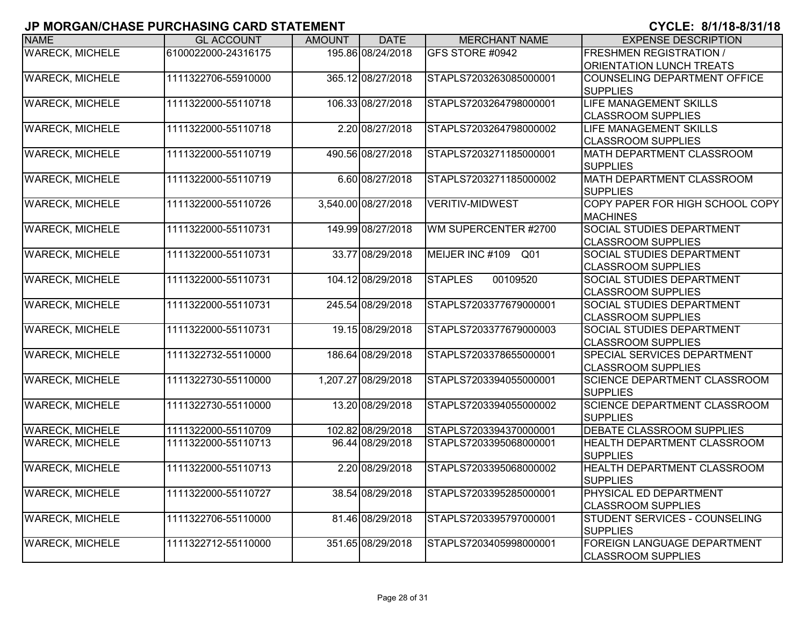| <b>NAME</b>            | <b>GL ACCOUNT</b>   | <b>AMOUNT</b> | <b>DATE</b>         | <b>MERCHANT NAME</b>       | <b>EXPENSE DESCRIPTION</b>                                      |
|------------------------|---------------------|---------------|---------------------|----------------------------|-----------------------------------------------------------------|
| <b>WARECK, MICHELE</b> | 6100022000-24316175 |               | 195.86 08/24/2018   | GFS STORE #0942            | <b>FRESHMEN REGISTRATION /</b><br>ORIENTATION LUNCH TREATS      |
| <b>WARECK, MICHELE</b> | 1111322706-55910000 |               | 365.12 08/27/2018   | STAPLS7203263085000001     | COUNSELING DEPARTMENT OFFICE<br><b>SUPPLIES</b>                 |
| <b>WARECK, MICHELE</b> | 1111322000-55110718 |               | 106.33 08/27/2018   | STAPLS7203264798000001     | <b>LIFE MANAGEMENT SKILLS</b><br><b>CLASSROOM SUPPLIES</b>      |
| <b>WARECK, MICHELE</b> | 1111322000-55110718 |               | 2.20 08/27/2018     | STAPLS7203264798000002     | LIFE MANAGEMENT SKILLS<br><b>CLASSROOM SUPPLIES</b>             |
| <b>WARECK, MICHELE</b> | 1111322000-55110719 |               | 490.56 08/27/2018   | STAPLS7203271185000001     | <b>MATH DEPARTMENT CLASSROOM</b><br><b>SUPPLIES</b>             |
| <b>WARECK, MICHELE</b> | 1111322000-55110719 |               | 6.60 08/27/2018     | STAPLS7203271185000002     | <b>MATH DEPARTMENT CLASSROOM</b><br><b>SUPPLIES</b>             |
| <b>WARECK, MICHELE</b> | 1111322000-55110726 |               | 3,540.00 08/27/2018 | <b>VERITIV-MIDWEST</b>     | COPY PAPER FOR HIGH SCHOOL COPY<br><b>MACHINES</b>              |
| <b>WARECK, MICHELE</b> | 1111322000-55110731 |               | 149.99 08/27/2018   | WM SUPERCENTER #2700       | <b>SOCIAL STUDIES DEPARTMENT</b><br><b>CLASSROOM SUPPLIES</b>   |
| <b>WARECK, MICHELE</b> | 1111322000-55110731 |               | 33.77 08/29/2018    | MEIJER INC #109 Q01        | <b>SOCIAL STUDIES DEPARTMENT</b><br><b>CLASSROOM SUPPLIES</b>   |
| <b>WARECK, MICHELE</b> | 1111322000-55110731 |               | 104.12 08/29/2018   | 00109520<br><b>STAPLES</b> | <b>SOCIAL STUDIES DEPARTMENT</b><br><b>CLASSROOM SUPPLIES</b>   |
| <b>WARECK, MICHELE</b> | 1111322000-55110731 |               | 245.54 08/29/2018   | STAPLS7203377679000001     | <b>SOCIAL STUDIES DEPARTMENT</b><br><b>CLASSROOM SUPPLIES</b>   |
| <b>WARECK, MICHELE</b> | 1111322000-55110731 |               | 19.15 08/29/2018    | STAPLS7203377679000003     | <b>SOCIAL STUDIES DEPARTMENT</b><br><b>CLASSROOM SUPPLIES</b>   |
| <b>WARECK, MICHELE</b> | 1111322732-55110000 |               | 186.64 08/29/2018   | STAPLS7203378655000001     | <b>SPECIAL SERVICES DEPARTMENT</b><br><b>CLASSROOM SUPPLIES</b> |
| <b>WARECK, MICHELE</b> | 1111322730-55110000 |               | 1,207.27 08/29/2018 | STAPLS7203394055000001     | <b>SCIENCE DEPARTMENT CLASSROOM</b><br><b>SUPPLIES</b>          |
| <b>WARECK, MICHELE</b> | 1111322730-55110000 |               | 13.20 08/29/2018    | STAPLS7203394055000002     | <b>SCIENCE DEPARTMENT CLASSROOM</b><br><b>SUPPLIES</b>          |
| <b>WARECK, MICHELE</b> | 1111322000-55110709 |               | 102.82 08/29/2018   | STAPLS7203394370000001     | DEBATE CLASSROOM SUPPLIES                                       |
| <b>WARECK, MICHELE</b> | 1111322000-55110713 |               | 96.44 08/29/2018    | STAPLS7203395068000001     | <b>HEALTH DEPARTMENT CLASSROOM</b><br><b>SUPPLIES</b>           |
| <b>WARECK, MICHELE</b> | 1111322000-55110713 |               | 2.20 08/29/2018     | STAPLS7203395068000002     | <b>HEALTH DEPARTMENT CLASSROOM</b><br><b>SUPPLIES</b>           |
| <b>WARECK, MICHELE</b> | 1111322000-55110727 |               | 38.54 08/29/2018    | STAPLS7203395285000001     | <b>PHYSICAL ED DEPARTMENT</b><br><b>CLASSROOM SUPPLIES</b>      |
| <b>WARECK, MICHELE</b> | 1111322706-55110000 |               | 81.46 08/29/2018    | STAPLS7203395797000001     | STUDENT SERVICES - COUNSELING<br><b>SUPPLIES</b>                |
| <b>WARECK, MICHELE</b> | 1111322712-55110000 |               | 351.65 08/29/2018   | STAPLS7203405998000001     | FOREIGN LANGUAGE DEPARTMENT<br><b>CLASSROOM SUPPLIES</b>        |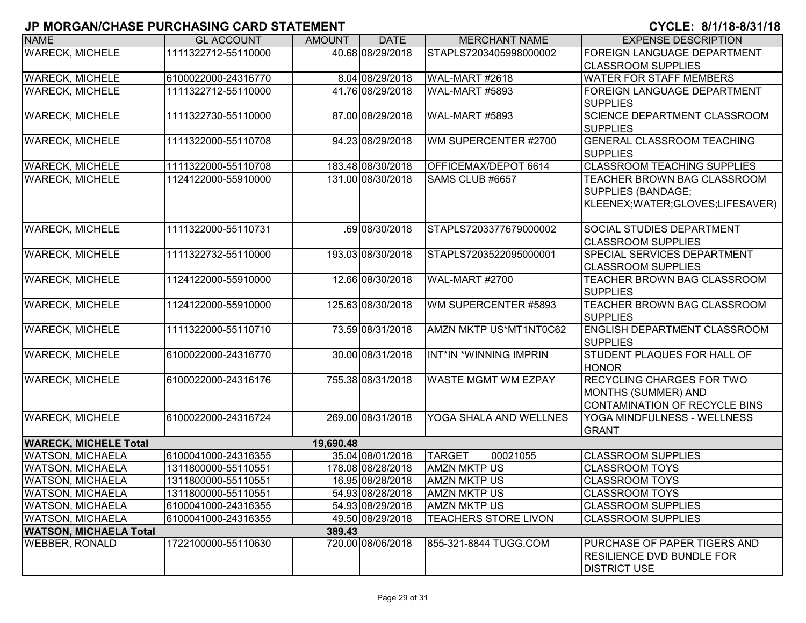| <b>NAME</b>                   | <b>GL ACCOUNT</b>   | <b>AMOUNT</b> | <b>DATE</b>       | <b>MERCHANT NAME</b>        | <b>EXPENSE DESCRIPTION</b>          |
|-------------------------------|---------------------|---------------|-------------------|-----------------------------|-------------------------------------|
| <b>WARECK, MICHELE</b>        | 1111322712-55110000 |               | 40.68 08/29/2018  | STAPLS7203405998000002      | FOREIGN LANGUAGE DEPARTMENT         |
|                               |                     |               |                   |                             | <b>CLASSROOM SUPPLIES</b>           |
| <b>WARECK, MICHELE</b>        | 6100022000-24316770 |               | 8.04 08/29/2018   | WAL-MART #2618              | <b>WATER FOR STAFF MEMBERS</b>      |
| <b>WARECK, MICHELE</b>        | 1111322712-55110000 |               | 41.76 08/29/2018  | WAL-MART #5893              | <b>FOREIGN LANGUAGE DEPARTMENT</b>  |
|                               |                     |               |                   |                             | <b>SUPPLIES</b>                     |
| <b>WARECK, MICHELE</b>        | 1111322730-55110000 |               | 87.00 08/29/2018  | <b>WAL-MART #5893</b>       | <b>SCIENCE DEPARTMENT CLASSROOM</b> |
|                               |                     |               |                   |                             | <b>SUPPLIES</b>                     |
| <b>WARECK, MICHELE</b>        | 1111322000-55110708 |               | 94.23 08/29/2018  | WM SUPERCENTER #2700        | <b>GENERAL CLASSROOM TEACHING</b>   |
|                               |                     |               |                   |                             | <b>SUPPLIES</b>                     |
| <b>WARECK, MICHELE</b>        | 1111322000-55110708 |               | 183.48 08/30/2018 | OFFICEMAX/DEPOT 6614        | <b>CLASSROOM TEACHING SUPPLIES</b>  |
| <b>WARECK, MICHELE</b>        | 1124122000-55910000 |               | 131.00 08/30/2018 | SAMS CLUB #6657             | TEACHER BROWN BAG CLASSROOM         |
|                               |                     |               |                   |                             | SUPPLIES (BANDAGE;                  |
|                               |                     |               |                   |                             | KLEENEX;WATER;GLOVES;LIFESAVER)     |
|                               |                     |               |                   |                             |                                     |
| <b>WARECK, MICHELE</b>        | 1111322000-55110731 |               | 69 08/30/2018     | STAPLS7203377679000002      | <b>SOCIAL STUDIES DEPARTMENT</b>    |
|                               |                     |               |                   |                             | <b>CLASSROOM SUPPLIES</b>           |
| <b>WARECK, MICHELE</b>        | 1111322732-55110000 |               | 193.03 08/30/2018 | STAPLS7203522095000001      | <b>SPECIAL SERVICES DEPARTMENT</b>  |
|                               |                     |               |                   |                             | <b>ICLASSROOM SUPPLIES</b>          |
| <b>WARECK, MICHELE</b>        | 1124122000-55910000 |               | 12.66 08/30/2018  | <b>WAL-MART #2700</b>       | TEACHER BROWN BAG CLASSROOM         |
|                               |                     |               |                   |                             | <b>SUPPLIES</b>                     |
| <b>WARECK, MICHELE</b>        | 1124122000-55910000 |               | 125.63 08/30/2018 | WM SUPERCENTER #5893        | <b>TEACHER BROWN BAG CLASSROOM</b>  |
|                               |                     |               |                   |                             | <b>SUPPLIES</b>                     |
| <b>WARECK, MICHELE</b>        | 1111322000-55110710 |               | 73.59 08/31/2018  | AMZN MKTP US*MT1NT0C62      | <b>ENGLISH DEPARTMENT CLASSROOM</b> |
|                               |                     |               |                   |                             | <b>SUPPLIES</b>                     |
| <b>WARECK, MICHELE</b>        | 6100022000-24316770 |               | 30.00 08/31/2018  | INT*IN *WINNING IMPRIN      | STUDENT PLAQUES FOR HALL OF         |
|                               |                     |               |                   |                             | <b>HONOR</b>                        |
| <b>WARECK, MICHELE</b>        | 6100022000-24316176 |               | 755.38 08/31/2018 | <b>WASTE MGMT WM EZPAY</b>  | <b>RECYCLING CHARGES FOR TWO</b>    |
|                               |                     |               |                   |                             | MONTHS (SUMMER) AND                 |
|                               |                     |               |                   |                             | CONTAMINATION OF RECYCLE BINS       |
| <b>WARECK, MICHELE</b>        | 6100022000-24316724 |               | 269.00 08/31/2018 | YOGA SHALA AND WELLNES      | YOGA MINDFULNESS - WELLNESS         |
|                               |                     |               |                   |                             | <b>GRANT</b>                        |
| <b>WARECK, MICHELE Total</b>  |                     | 19,690.48     |                   |                             |                                     |
| <b>WATSON, MICHAELA</b>       | 6100041000-24316355 |               | 35.04 08/01/2018  | <b>TARGET</b><br>00021055   | <b>CLASSROOM SUPPLIES</b>           |
| <b>WATSON, MICHAELA</b>       | 1311800000-55110551 |               | 178.08 08/28/2018 | <b>AMZN MKTP US</b>         | <b>CLASSROOM TOYS</b>               |
| <b>WATSON, MICHAELA</b>       | 1311800000-55110551 |               | 16.95 08/28/2018  | <b>AMZN MKTP US</b>         | <b>CLASSROOM TOYS</b>               |
| <b>WATSON, MICHAELA</b>       | 1311800000-55110551 |               | 54.93 08/28/2018  | <b>AMZN MKTP US</b>         | <b>CLASSROOM TOYS</b>               |
| <b>WATSON, MICHAELA</b>       | 6100041000-24316355 |               | 54.93 08/29/2018  | <b>AMZN MKTP US</b>         | <b>CLASSROOM SUPPLIES</b>           |
| <b>WATSON, MICHAELA</b>       | 6100041000-24316355 |               | 49.50 08/29/2018  | <b>TEACHERS STORE LIVON</b> | <b>CLASSROOM SUPPLIES</b>           |
| <b>WATSON, MICHAELA Total</b> |                     | 389.43        |                   |                             |                                     |
| <b>WEBBER, RONALD</b>         | 1722100000-55110630 |               | 720.00 08/06/2018 | 855-321-8844 TUGG.COM       | PURCHASE OF PAPER TIGERS AND        |
|                               |                     |               |                   |                             | <b>IRESILIENCE DVD BUNDLE FOR</b>   |
|                               |                     |               |                   |                             | <b>DISTRICT USE</b>                 |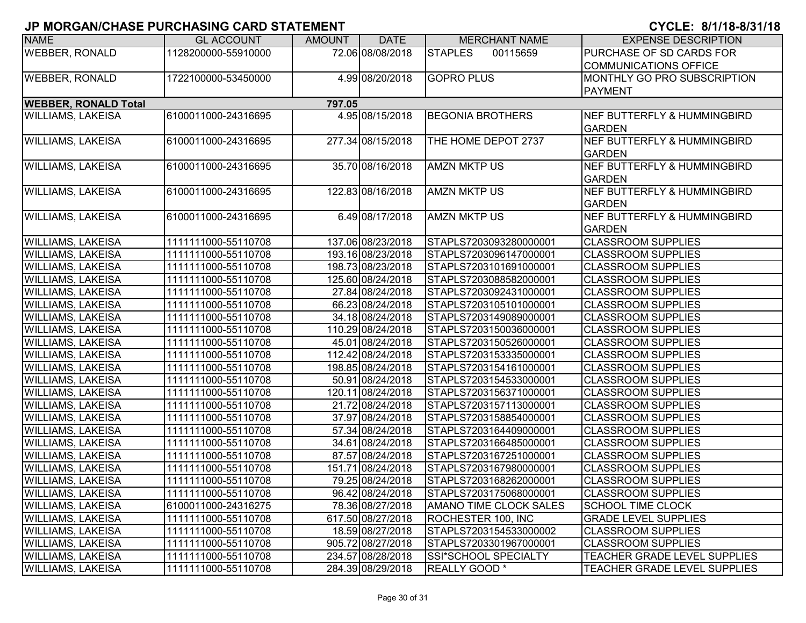| <b>NAME</b>                 | <b>GL ACCOUNT</b>   | <b>AMOUNT</b> | <b>DATE</b>       | <b>MERCHANT NAME</b>          | <b>EXPENSE DESCRIPTION</b>             |
|-----------------------------|---------------------|---------------|-------------------|-------------------------------|----------------------------------------|
| <b>WEBBER, RONALD</b>       | 1128200000-55910000 |               | 72.06 08/08/2018  | <b>STAPLES</b><br>00115659    | PURCHASE OF SD CARDS FOR               |
|                             |                     |               |                   |                               | <b>COMMUNICATIONS OFFICE</b>           |
| <b>WEBBER, RONALD</b>       | 1722100000-53450000 |               | 4.99 08/20/2018   | <b>GOPRO PLUS</b>             | MONTHLY GO PRO SUBSCRIPTION            |
|                             |                     |               |                   |                               | <b>PAYMENT</b>                         |
| <b>WEBBER, RONALD Total</b> |                     | 797.05        |                   |                               |                                        |
| <b>WILLIAMS, LAKEISA</b>    | 6100011000-24316695 |               | 4.95 08/15/2018   | <b>BEGONIA BROTHERS</b>       | <b>NEF BUTTERFLY &amp; HUMMINGBIRD</b> |
|                             |                     |               |                   |                               | <b>GARDEN</b>                          |
| <b>WILLIAMS, LAKEISA</b>    | 6100011000-24316695 |               | 277.34 08/15/2018 | THE HOME DEPOT 2737           | <b>NEF BUTTERFLY &amp; HUMMINGBIRD</b> |
|                             |                     |               |                   |                               | <b>GARDEN</b>                          |
| <b>WILLIAMS, LAKEISA</b>    | 6100011000-24316695 |               | 35.70 08/16/2018  | <b>AMZN MKTP US</b>           | <b>NEF BUTTERFLY &amp; HUMMINGBIRD</b> |
|                             |                     |               |                   |                               | <b>GARDEN</b>                          |
| <b>WILLIAMS, LAKEISA</b>    | 6100011000-24316695 |               | 122.83 08/16/2018 | <b>AMZN MKTP US</b>           | <b>NEF BUTTERFLY &amp; HUMMINGBIRD</b> |
|                             |                     |               |                   |                               | <b>GARDEN</b>                          |
| <b>WILLIAMS, LAKEISA</b>    | 6100011000-24316695 |               | 6.49 08/17/2018   | <b>AMZN MKTP US</b>           | <b>NEF BUTTERFLY &amp; HUMMINGBIRD</b> |
|                             |                     |               |                   |                               | <b>GARDEN</b>                          |
| <b>WILLIAMS, LAKEISA</b>    | 1111111000-55110708 |               | 137.06 08/23/2018 | STAPLS7203093280000001        | <b>CLASSROOM SUPPLIES</b>              |
| <b>WILLIAMS, LAKEISA</b>    | 1111111000-55110708 |               | 193.16 08/23/2018 | STAPLS7203096147000001        | <b>CLASSROOM SUPPLIES</b>              |
| <b>WILLIAMS, LAKEISA</b>    | 1111111000-55110708 |               | 198.73 08/23/2018 | STAPLS7203101691000001        | <b>CLASSROOM SUPPLIES</b>              |
| <b>WILLIAMS, LAKEISA</b>    | 1111111000-55110708 |               | 125.60 08/24/2018 | STAPLS7203088582000001        | <b>CLASSROOM SUPPLIES</b>              |
| <b>WILLIAMS, LAKEISA</b>    | 1111111000-55110708 |               | 27.84 08/24/2018  | STAPLS7203092431000001        | <b>CLASSROOM SUPPLIES</b>              |
| <b>WILLIAMS, LAKEISA</b>    | 1111111000-55110708 |               | 66.23 08/24/2018  | STAPLS7203105101000001        | <b>CLASSROOM SUPPLIES</b>              |
| <b>WILLIAMS, LAKEISA</b>    | 1111111000-55110708 |               | 34.18 08/24/2018  | STAPLS7203149089000001        | <b>CLASSROOM SUPPLIES</b>              |
| <b>WILLIAMS, LAKEISA</b>    | 1111111000-55110708 |               | 110.29 08/24/2018 | STAPLS7203150036000001        | <b>CLASSROOM SUPPLIES</b>              |
| <b>WILLIAMS, LAKEISA</b>    | 1111111000-55110708 |               | 45.01 08/24/2018  | STAPLS7203150526000001        | <b>CLASSROOM SUPPLIES</b>              |
| <b>WILLIAMS, LAKEISA</b>    | 1111111000-55110708 |               | 112.42 08/24/2018 | STAPLS7203153335000001        | <b>CLASSROOM SUPPLIES</b>              |
| <b>WILLIAMS, LAKEISA</b>    | 1111111000-55110708 |               | 198.85 08/24/2018 | STAPLS7203154161000001        | <b>CLASSROOM SUPPLIES</b>              |
| <b>WILLIAMS, LAKEISA</b>    | 1111111000-55110708 |               | 50.91 08/24/2018  | STAPLS7203154533000001        | <b>CLASSROOM SUPPLIES</b>              |
| <b>WILLIAMS, LAKEISA</b>    | 1111111000-55110708 |               | 120.11 08/24/2018 | STAPLS7203156371000001        | <b>CLASSROOM SUPPLIES</b>              |
| <b>WILLIAMS, LAKEISA</b>    | 1111111000-55110708 |               | 21.72 08/24/2018  | STAPLS7203157113000001        | <b>CLASSROOM SUPPLIES</b>              |
| <b>WILLIAMS, LAKEISA</b>    | 1111111000-55110708 |               | 37.97 08/24/2018  | STAPLS7203158854000001        | <b>CLASSROOM SUPPLIES</b>              |
| <b>WILLIAMS, LAKEISA</b>    | 1111111000-55110708 |               | 57.34 08/24/2018  | STAPLS7203164409000001        | <b>CLASSROOM SUPPLIES</b>              |
| <b>WILLIAMS, LAKEISA</b>    | 1111111000-55110708 |               | 34.61 08/24/2018  | STAPLS7203166485000001        | <b>CLASSROOM SUPPLIES</b>              |
| <b>WILLIAMS, LAKEISA</b>    | 1111111000-55110708 |               | 87.57 08/24/2018  | STAPLS7203167251000001        | <b>CLASSROOM SUPPLIES</b>              |
| <b>WILLIAMS, LAKEISA</b>    | 1111111000-55110708 |               | 151.71 08/24/2018 | STAPLS7203167980000001        | <b>CLASSROOM SUPPLIES</b>              |
| <b>WILLIAMS, LAKEISA</b>    | 1111111000-55110708 |               | 79.25 08/24/2018  | STAPLS7203168262000001        | <b>CLASSROOM SUPPLIES</b>              |
| <b>WILLIAMS, LAKEISA</b>    | 1111111000-55110708 |               | 96.42 08/24/2018  | STAPLS7203175068000001        | <b>CLASSROOM SUPPLIES</b>              |
| <b>WILLIAMS, LAKEISA</b>    | 6100011000-24316275 |               | 78.36 08/27/2018  | <b>AMANO TIME CLOCK SALES</b> | <b>SCHOOL TIME CLOCK</b>               |
| <b>WILLIAMS, LAKEISA</b>    | 1111111000-55110708 |               | 617.50 08/27/2018 | ROCHESTER 100, INC            | <b>GRADE LEVEL SUPPLIES</b>            |
| <b>WILLIAMS, LAKEISA</b>    | 1111111000-55110708 |               | 18.59 08/27/2018  | STAPLS7203154533000002        | <b>CLASSROOM SUPPLIES</b>              |
| <b>WILLIAMS, LAKEISA</b>    | 1111111000-55110708 |               | 905.72 08/27/2018 | STAPLS7203301967000001        | <b>CLASSROOM SUPPLIES</b>              |
| <b>WILLIAMS, LAKEISA</b>    | 1111111000-55110708 |               | 234.57 08/28/2018 | SSI*SCHOOL SPECIALTY          | <b>TEACHER GRADE LEVEL SUPPLIES</b>    |
| <b>WILLIAMS, LAKEISA</b>    | 1111111000-55110708 |               | 284.39 08/29/2018 | REALLY GOOD *                 | TEACHER GRADE LEVEL SUPPLIES           |